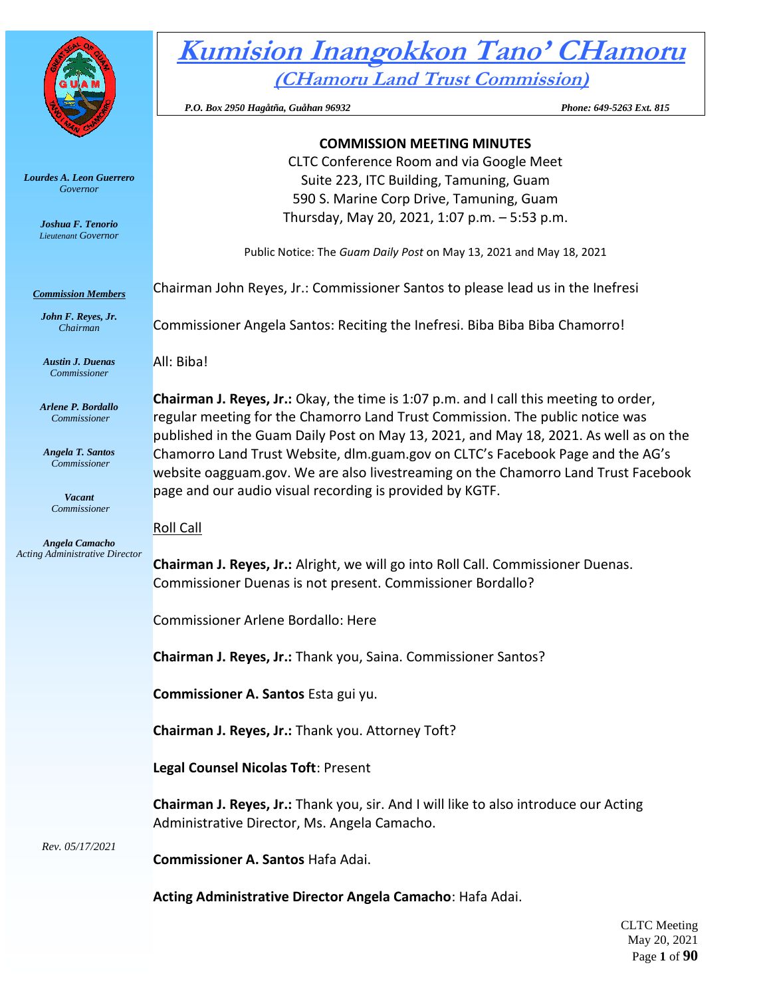

*Lourdes A. Leon Guerrero Governor* 

> *Joshua F. Tenorio Lieutenant Governor*

*Commission Members John F. Reyes, Jr. Chairman*

# **Kumision Inangokkon Tano' CHamoru (CHamoru Land Trust Commission)**

 *P.O. Box 2950 Hagåtña, Guåhan 96932 Phone: 649-5263 Ext. 815* 

## **COMMISSION MEETING MINUTES**

CLTC Conference Room and via Google Meet Suite 223, ITC Building, Tamuning, Guam 590 S. Marine Corp Drive, Tamuning, Guam Thursday, May 20, 2021, 1:07 p.m. – 5:53 p.m.

Public Notice: The *Guam Daily Post* on May 13, 2021 and May 18, 2021

Chairman John Reyes, Jr.: Commissioner Santos to please lead us in the Inefresi

Commissioner Angela Santos: Reciting the Inefresi. Biba Biba Biba Chamorro!

*Austin J. Duenas Commissioner*

*Arlene P. Bordallo Commissioner*

*Angela T. Santos Commissioner*

> *Vacant Commissioner*

*Angela Camacho Acting Administrative Director*

All: Biba!

**Chairman J. Reyes, Jr.:** Okay, the time is 1:07 p.m. and I call this meeting to order, regular meeting for the Chamorro Land Trust Commission. The public notice was published in the Guam Daily Post on May 13, 2021, and May 18, 2021. As well as on the Chamorro Land Trust Website, dlm.guam.gov on CLTC's Facebook Page and the AG's website oagguam.gov. We are also livestreaming on the Chamorro Land Trust Facebook page and our audio visual recording is provided by KGTF.

# Roll Call

**Chairman J. Reyes, Jr.:** Alright, we will go into Roll Call. Commissioner Duenas. Commissioner Duenas is not present. Commissioner Bordallo?

Commissioner Arlene Bordallo: Here

**Chairman J. Reyes, Jr.:** Thank you, Saina. Commissioner Santos?

**Commissioner A. Santos** Esta gui yu.

**Chairman J. Reyes, Jr.:** Thank you. Attorney Toft?

**Legal Counsel Nicolas Toft**: Present

**Chairman J. Reyes, Jr.:** Thank you, sir. And I will like to also introduce our Acting Administrative Director, Ms. Angela Camacho.

*Rev. 05/17/2021*

**Commissioner A. Santos** Hafa Adai.

**Acting Administrative Director Angela Camacho**: Hafa Adai.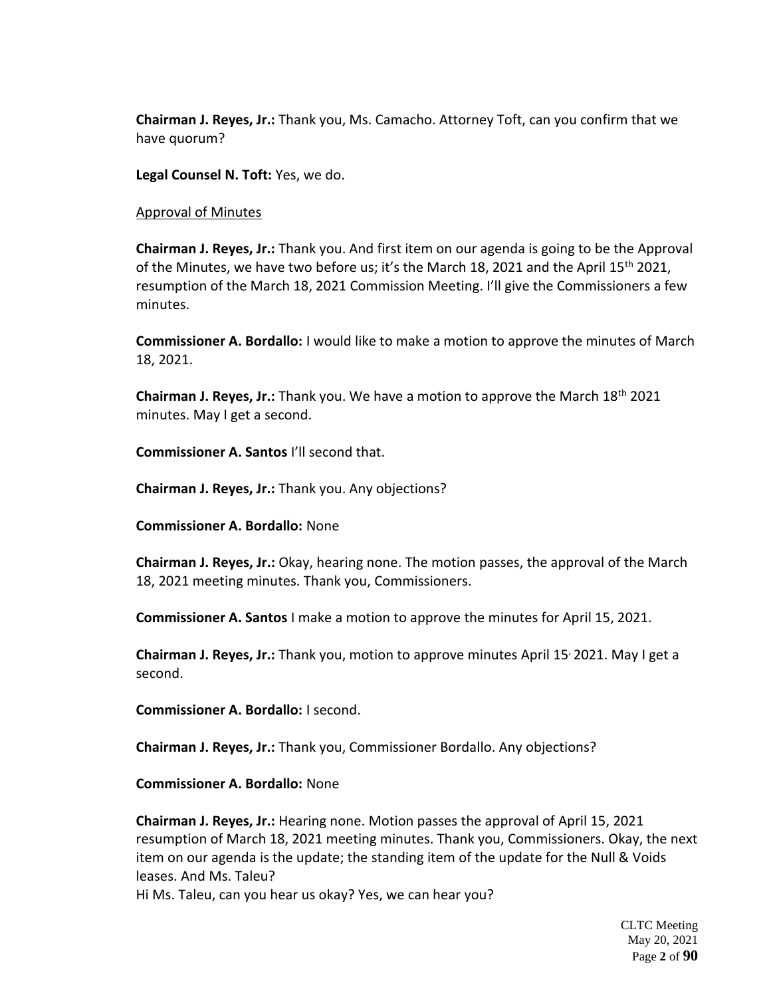**Chairman J. Reyes, Jr.:** Thank you, Ms. Camacho. Attorney Toft, can you confirm that we have quorum?

**Legal Counsel N. Toft:** Yes, we do.

Approval of Minutes

**Chairman J. Reyes, Jr.:** Thank you. And first item on our agenda is going to be the Approval of the Minutes, we have two before us; it's the March 18, 2021 and the April 15<sup>th</sup> 2021, resumption of the March 18, 2021 Commission Meeting. I'll give the Commissioners a few minutes.

**Commissioner A. Bordallo:** I would like to make a motion to approve the minutes of March 18, 2021.

**Chairman J. Reyes, Jr.:** Thank you. We have a motion to approve the March 18th 2021 minutes. May I get a second.

**Commissioner A. Santos** I'll second that.

**Chairman J. Reyes, Jr.:** Thank you. Any objections?

**Commissioner A. Bordallo:** None

**Chairman J. Reyes, Jr.:** Okay, hearing none. The motion passes, the approval of the March 18, 2021 meeting minutes. Thank you, Commissioners.

**Commissioner A. Santos** I make a motion to approve the minutes for April 15, 2021.

**Chairman J. Reyes, Jr.:** Thank you, motion to approve minutes April 15, 2021. May I get a second.

**Commissioner A. Bordallo:** I second.

**Chairman J. Reyes, Jr.:** Thank you, Commissioner Bordallo. Any objections?

**Commissioner A. Bordallo:** None

**Chairman J. Reyes, Jr.:** Hearing none. Motion passes the approval of April 15, 2021 resumption of March 18, 2021 meeting minutes. Thank you, Commissioners. Okay, the next item on our agenda is the update; the standing item of the update for the Null & Voids leases. And Ms. Taleu?

Hi Ms. Taleu, can you hear us okay? Yes, we can hear you?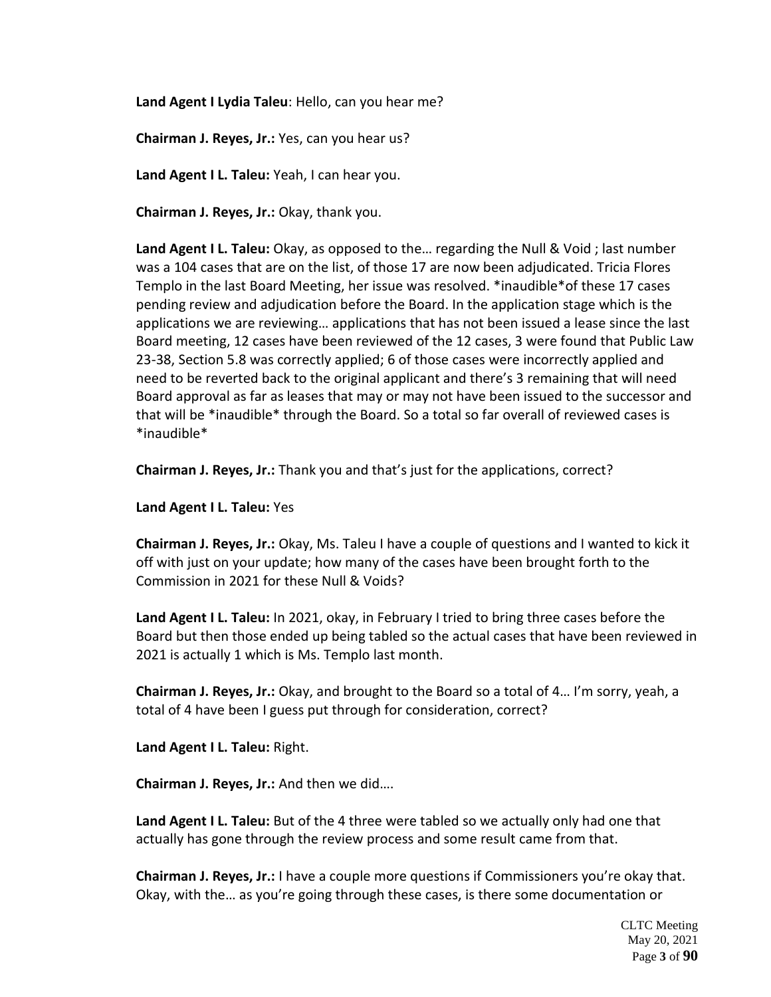**Land Agent I Lydia Taleu**: Hello, can you hear me?

**Chairman J. Reyes, Jr.:** Yes, can you hear us?

**Land Agent I L. Taleu:** Yeah, I can hear you.

**Chairman J. Reyes, Jr.:** Okay, thank you.

**Land Agent I L. Taleu:** Okay, as opposed to the… regarding the Null & Void ; last number was a 104 cases that are on the list, of those 17 are now been adjudicated. Tricia Flores Templo in the last Board Meeting, her issue was resolved. \*inaudible\*of these 17 cases pending review and adjudication before the Board. In the application stage which is the applications we are reviewing… applications that has not been issued a lease since the last Board meeting, 12 cases have been reviewed of the 12 cases, 3 were found that Public Law 23-38, Section 5.8 was correctly applied; 6 of those cases were incorrectly applied and need to be reverted back to the original applicant and there's 3 remaining that will need Board approval as far as leases that may or may not have been issued to the successor and that will be \*inaudible\* through the Board. So a total so far overall of reviewed cases is \*inaudible\*

**Chairman J. Reyes, Jr.:** Thank you and that's just for the applications, correct?

**Land Agent I L. Taleu:** Yes

**Chairman J. Reyes, Jr.:** Okay, Ms. Taleu I have a couple of questions and I wanted to kick it off with just on your update; how many of the cases have been brought forth to the Commission in 2021 for these Null & Voids?

**Land Agent I L. Taleu:** In 2021, okay, in February I tried to bring three cases before the Board but then those ended up being tabled so the actual cases that have been reviewed in 2021 is actually 1 which is Ms. Templo last month.

**Chairman J. Reyes, Jr.:** Okay, and brought to the Board so a total of 4… I'm sorry, yeah, a total of 4 have been I guess put through for consideration, correct?

**Land Agent I L. Taleu:** Right.

**Chairman J. Reyes, Jr.:** And then we did….

**Land Agent I L. Taleu:** But of the 4 three were tabled so we actually only had one that actually has gone through the review process and some result came from that.

**Chairman J. Reyes, Jr.:** I have a couple more questions if Commissioners you're okay that. Okay, with the… as you're going through these cases, is there some documentation or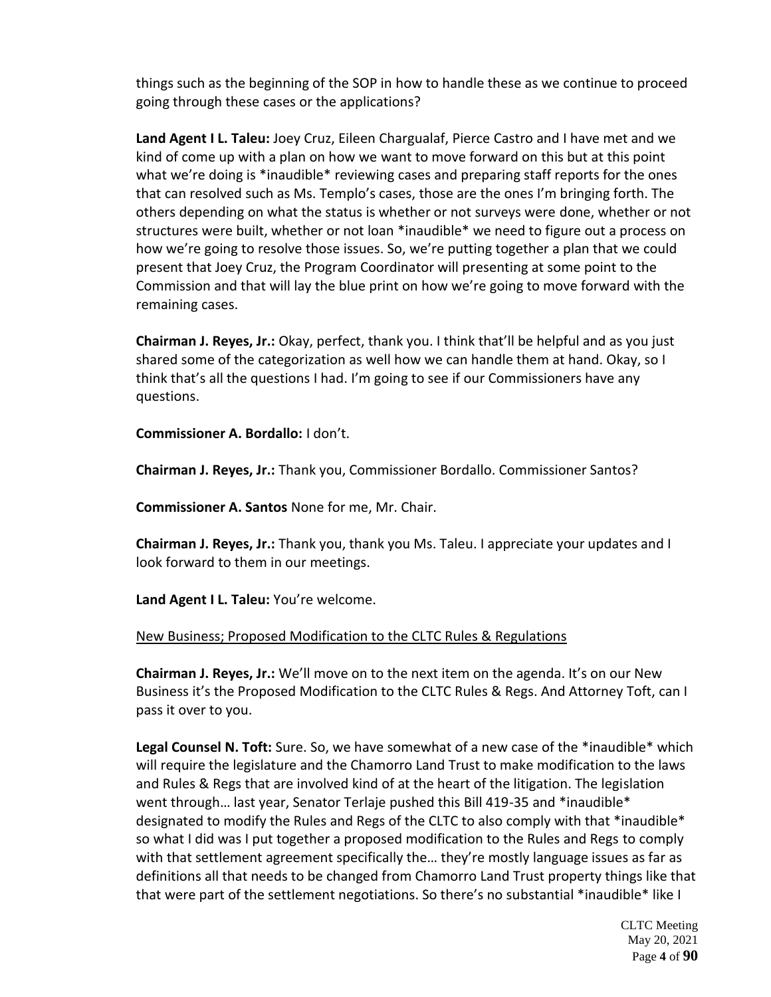things such as the beginning of the SOP in how to handle these as we continue to proceed going through these cases or the applications?

**Land Agent I L. Taleu:** Joey Cruz, Eileen Chargualaf, Pierce Castro and I have met and we kind of come up with a plan on how we want to move forward on this but at this point what we're doing is \*inaudible\* reviewing cases and preparing staff reports for the ones that can resolved such as Ms. Templo's cases, those are the ones I'm bringing forth. The others depending on what the status is whether or not surveys were done, whether or not structures were built, whether or not loan \*inaudible\* we need to figure out a process on how we're going to resolve those issues. So, we're putting together a plan that we could present that Joey Cruz, the Program Coordinator will presenting at some point to the Commission and that will lay the blue print on how we're going to move forward with the remaining cases.

**Chairman J. Reyes, Jr.:** Okay, perfect, thank you. I think that'll be helpful and as you just shared some of the categorization as well how we can handle them at hand. Okay, so I think that's all the questions I had. I'm going to see if our Commissioners have any questions.

**Commissioner A. Bordallo:** I don't.

**Chairman J. Reyes, Jr.:** Thank you, Commissioner Bordallo. Commissioner Santos?

**Commissioner A. Santos** None for me, Mr. Chair.

**Chairman J. Reyes, Jr.:** Thank you, thank you Ms. Taleu. I appreciate your updates and I look forward to them in our meetings.

**Land Agent I L. Taleu:** You're welcome.

# New Business; Proposed Modification to the CLTC Rules & Regulations

**Chairman J. Reyes, Jr.:** We'll move on to the next item on the agenda. It's on our New Business it's the Proposed Modification to the CLTC Rules & Regs. And Attorney Toft, can I pass it over to you.

Legal Counsel N. Toft: Sure. So, we have somewhat of a new case of the \*inaudible\* which will require the legislature and the Chamorro Land Trust to make modification to the laws and Rules & Regs that are involved kind of at the heart of the litigation. The legislation went through… last year, Senator Terlaje pushed this Bill 419-35 and \*inaudible\* designated to modify the Rules and Regs of the CLTC to also comply with that \*inaudible\* so what I did was I put together a proposed modification to the Rules and Regs to comply with that settlement agreement specifically the… they're mostly language issues as far as definitions all that needs to be changed from Chamorro Land Trust property things like that that were part of the settlement negotiations. So there's no substantial \*inaudible\* like I

> CLTC Meeting May 20, 2021 Page **4** of **90**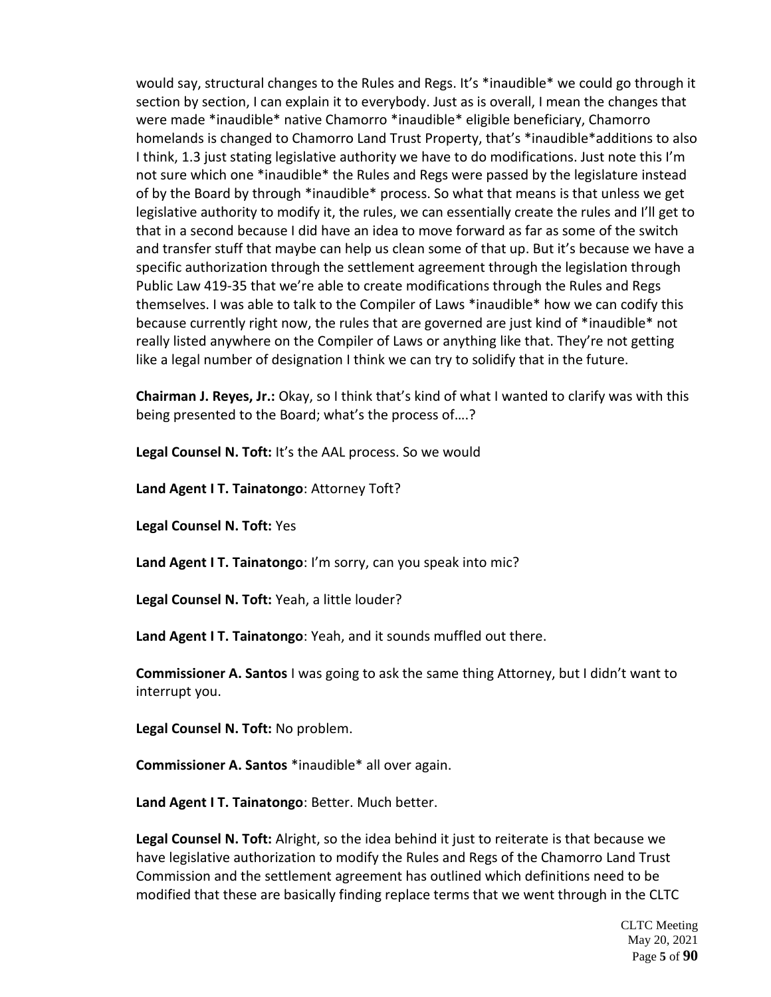would say, structural changes to the Rules and Regs. It's \*inaudible\* we could go through it section by section, I can explain it to everybody. Just as is overall, I mean the changes that were made \*inaudible\* native Chamorro \*inaudible\* eligible beneficiary, Chamorro homelands is changed to Chamorro Land Trust Property, that's \*inaudible\*additions to also I think, 1.3 just stating legislative authority we have to do modifications. Just note this I'm not sure which one \*inaudible\* the Rules and Regs were passed by the legislature instead of by the Board by through \*inaudible\* process. So what that means is that unless we get legislative authority to modify it, the rules, we can essentially create the rules and I'll get to that in a second because I did have an idea to move forward as far as some of the switch and transfer stuff that maybe can help us clean some of that up. But it's because we have a specific authorization through the settlement agreement through the legislation through Public Law 419-35 that we're able to create modifications through the Rules and Regs themselves. I was able to talk to the Compiler of Laws \*inaudible\* how we can codify this because currently right now, the rules that are governed are just kind of \*inaudible\* not really listed anywhere on the Compiler of Laws or anything like that. They're not getting like a legal number of designation I think we can try to solidify that in the future.

**Chairman J. Reyes, Jr.:** Okay, so I think that's kind of what I wanted to clarify was with this being presented to the Board; what's the process of….?

**Legal Counsel N. Toft:** It's the AAL process. So we would

**Land Agent I T. Tainatongo**: Attorney Toft?

**Legal Counsel N. Toft:** Yes

**Land Agent I T. Tainatongo**: I'm sorry, can you speak into mic?

**Legal Counsel N. Toft:** Yeah, a little louder?

**Land Agent I T. Tainatongo**: Yeah, and it sounds muffled out there.

**Commissioner A. Santos** I was going to ask the same thing Attorney, but I didn't want to interrupt you.

**Legal Counsel N. Toft:** No problem.

**Commissioner A. Santos** \*inaudible\* all over again.

**Land Agent I T. Tainatongo**: Better. Much better.

**Legal Counsel N. Toft:** Alright, so the idea behind it just to reiterate is that because we have legislative authorization to modify the Rules and Regs of the Chamorro Land Trust Commission and the settlement agreement has outlined which definitions need to be modified that these are basically finding replace terms that we went through in the CLTC

> CLTC Meeting May 20, 2021 Page **5** of **90**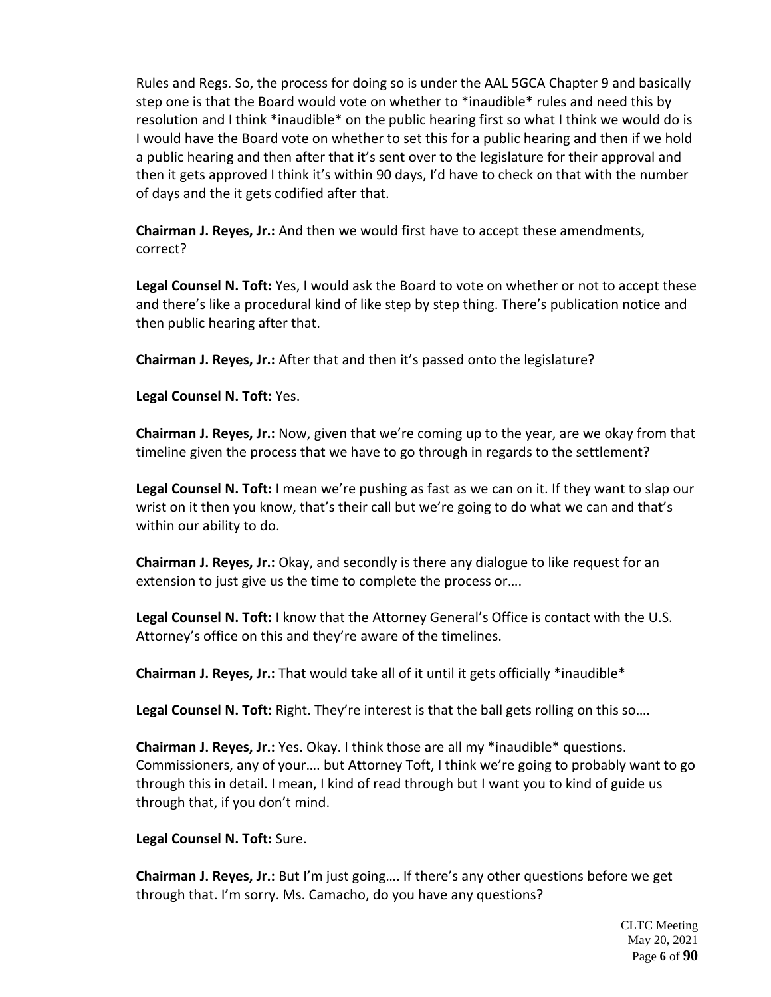Rules and Regs. So, the process for doing so is under the AAL 5GCA Chapter 9 and basically step one is that the Board would vote on whether to \*inaudible\* rules and need this by resolution and I think \*inaudible\* on the public hearing first so what I think we would do is I would have the Board vote on whether to set this for a public hearing and then if we hold a public hearing and then after that it's sent over to the legislature for their approval and then it gets approved I think it's within 90 days, I'd have to check on that with the number of days and the it gets codified after that.

**Chairman J. Reyes, Jr.:** And then we would first have to accept these amendments, correct?

**Legal Counsel N. Toft:** Yes, I would ask the Board to vote on whether or not to accept these and there's like a procedural kind of like step by step thing. There's publication notice and then public hearing after that.

**Chairman J. Reyes, Jr.:** After that and then it's passed onto the legislature?

**Legal Counsel N. Toft:** Yes.

**Chairman J. Reyes, Jr.:** Now, given that we're coming up to the year, are we okay from that timeline given the process that we have to go through in regards to the settlement?

**Legal Counsel N. Toft:** I mean we're pushing as fast as we can on it. If they want to slap our wrist on it then you know, that's their call but we're going to do what we can and that's within our ability to do.

**Chairman J. Reyes, Jr.:** Okay, and secondly is there any dialogue to like request for an extension to just give us the time to complete the process or….

**Legal Counsel N. Toft:** I know that the Attorney General's Office is contact with the U.S. Attorney's office on this and they're aware of the timelines.

**Chairman J. Reyes, Jr.:** That would take all of it until it gets officially \*inaudible\*

**Legal Counsel N. Toft:** Right. They're interest is that the ball gets rolling on this so….

**Chairman J. Reyes, Jr.:** Yes. Okay. I think those are all my \*inaudible\* questions. Commissioners, any of your…. but Attorney Toft, I think we're going to probably want to go through this in detail. I mean, I kind of read through but I want you to kind of guide us through that, if you don't mind.

**Legal Counsel N. Toft:** Sure.

**Chairman J. Reyes, Jr.:** But I'm just going…. If there's any other questions before we get through that. I'm sorry. Ms. Camacho, do you have any questions?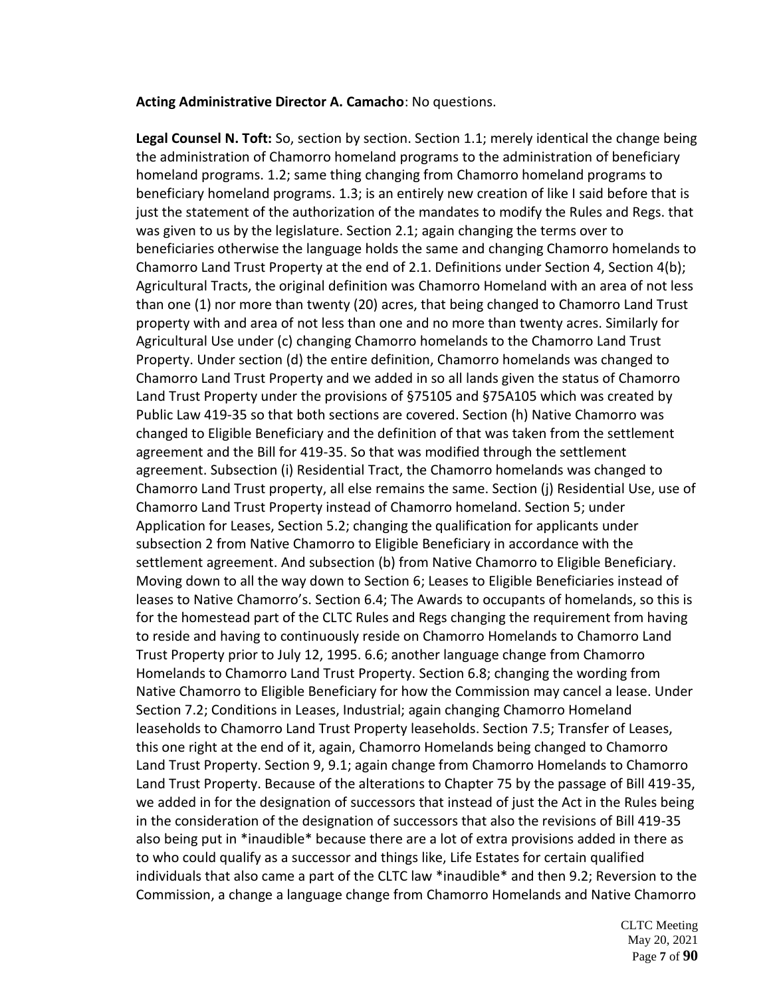#### **Acting Administrative Director A. Camacho**: No questions.

**Legal Counsel N. Toft:** So, section by section. Section 1.1; merely identical the change being the administration of Chamorro homeland programs to the administration of beneficiary homeland programs. 1.2; same thing changing from Chamorro homeland programs to beneficiary homeland programs. 1.3; is an entirely new creation of like I said before that is just the statement of the authorization of the mandates to modify the Rules and Regs. that was given to us by the legislature. Section 2.1; again changing the terms over to beneficiaries otherwise the language holds the same and changing Chamorro homelands to Chamorro Land Trust Property at the end of 2.1. Definitions under Section 4, Section 4(b); Agricultural Tracts, the original definition was Chamorro Homeland with an area of not less than one (1) nor more than twenty (20) acres, that being changed to Chamorro Land Trust property with and area of not less than one and no more than twenty acres. Similarly for Agricultural Use under (c) changing Chamorro homelands to the Chamorro Land Trust Property. Under section (d) the entire definition, Chamorro homelands was changed to Chamorro Land Trust Property and we added in so all lands given the status of Chamorro Land Trust Property under the provisions of §75105 and §75A105 which was created by Public Law 419-35 so that both sections are covered. Section (h) Native Chamorro was changed to Eligible Beneficiary and the definition of that was taken from the settlement agreement and the Bill for 419-35. So that was modified through the settlement agreement. Subsection (i) Residential Tract, the Chamorro homelands was changed to Chamorro Land Trust property, all else remains the same. Section (j) Residential Use, use of Chamorro Land Trust Property instead of Chamorro homeland. Section 5; under Application for Leases, Section 5.2; changing the qualification for applicants under subsection 2 from Native Chamorro to Eligible Beneficiary in accordance with the settlement agreement. And subsection (b) from Native Chamorro to Eligible Beneficiary. Moving down to all the way down to Section 6; Leases to Eligible Beneficiaries instead of leases to Native Chamorro's. Section 6.4; The Awards to occupants of homelands, so this is for the homestead part of the CLTC Rules and Regs changing the requirement from having to reside and having to continuously reside on Chamorro Homelands to Chamorro Land Trust Property prior to July 12, 1995. 6.6; another language change from Chamorro Homelands to Chamorro Land Trust Property. Section 6.8; changing the wording from Native Chamorro to Eligible Beneficiary for how the Commission may cancel a lease. Under Section 7.2; Conditions in Leases, Industrial; again changing Chamorro Homeland leaseholds to Chamorro Land Trust Property leaseholds. Section 7.5; Transfer of Leases, this one right at the end of it, again, Chamorro Homelands being changed to Chamorro Land Trust Property. Section 9, 9.1; again change from Chamorro Homelands to Chamorro Land Trust Property. Because of the alterations to Chapter 75 by the passage of Bill 419-35, we added in for the designation of successors that instead of just the Act in the Rules being in the consideration of the designation of successors that also the revisions of Bill 419-35 also being put in \*inaudible\* because there are a lot of extra provisions added in there as to who could qualify as a successor and things like, Life Estates for certain qualified individuals that also came a part of the CLTC law \*inaudible\* and then 9.2; Reversion to the Commission, a change a language change from Chamorro Homelands and Native Chamorro

> CLTC Meeting May 20, 2021 Page **7** of **90**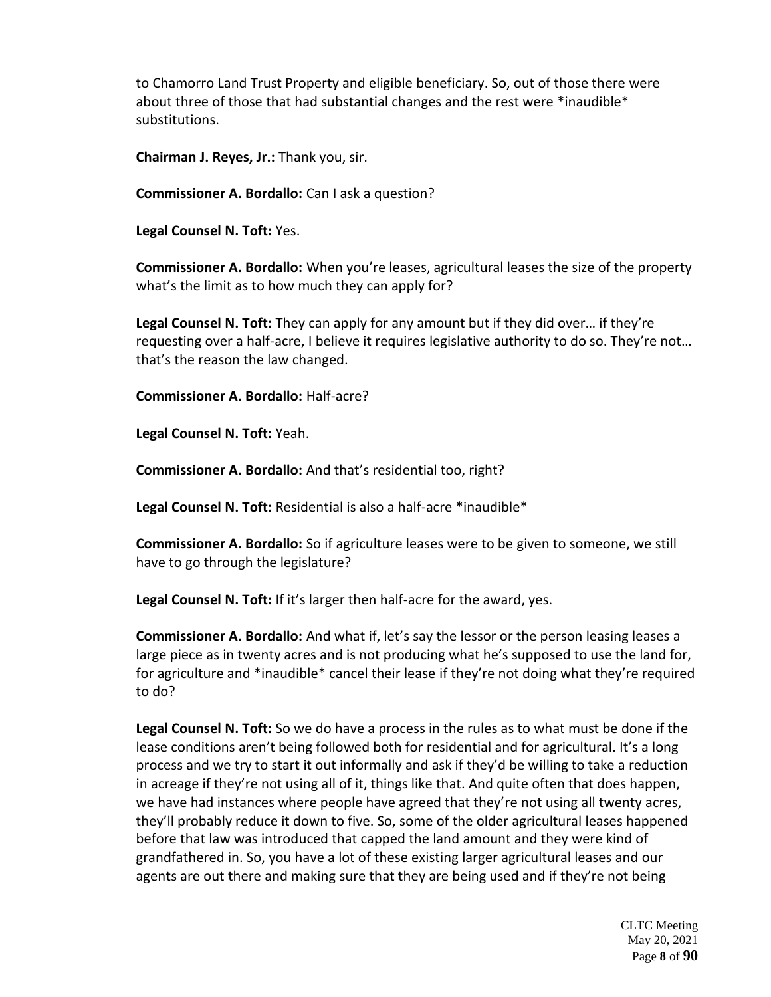to Chamorro Land Trust Property and eligible beneficiary. So, out of those there were about three of those that had substantial changes and the rest were \*inaudible\* substitutions.

**Chairman J. Reyes, Jr.:** Thank you, sir.

**Commissioner A. Bordallo:** Can I ask a question?

**Legal Counsel N. Toft:** Yes.

**Commissioner A. Bordallo:** When you're leases, agricultural leases the size of the property what's the limit as to how much they can apply for?

**Legal Counsel N. Toft:** They can apply for any amount but if they did over… if they're requesting over a half-acre, I believe it requires legislative authority to do so. They're not… that's the reason the law changed.

**Commissioner A. Bordallo:** Half-acre?

**Legal Counsel N. Toft:** Yeah.

**Commissioner A. Bordallo:** And that's residential too, right?

**Legal Counsel N. Toft:** Residential is also a half-acre \*inaudible\*

**Commissioner A. Bordallo:** So if agriculture leases were to be given to someone, we still have to go through the legislature?

**Legal Counsel N. Toft:** If it's larger then half-acre for the award, yes.

**Commissioner A. Bordallo:** And what if, let's say the lessor or the person leasing leases a large piece as in twenty acres and is not producing what he's supposed to use the land for, for agriculture and \*inaudible\* cancel their lease if they're not doing what they're required to do?

**Legal Counsel N. Toft:** So we do have a process in the rules as to what must be done if the lease conditions aren't being followed both for residential and for agricultural. It's a long process and we try to start it out informally and ask if they'd be willing to take a reduction in acreage if they're not using all of it, things like that. And quite often that does happen, we have had instances where people have agreed that they're not using all twenty acres, they'll probably reduce it down to five. So, some of the older agricultural leases happened before that law was introduced that capped the land amount and they were kind of grandfathered in. So, you have a lot of these existing larger agricultural leases and our agents are out there and making sure that they are being used and if they're not being

> CLTC Meeting May 20, 2021 Page **8** of **90**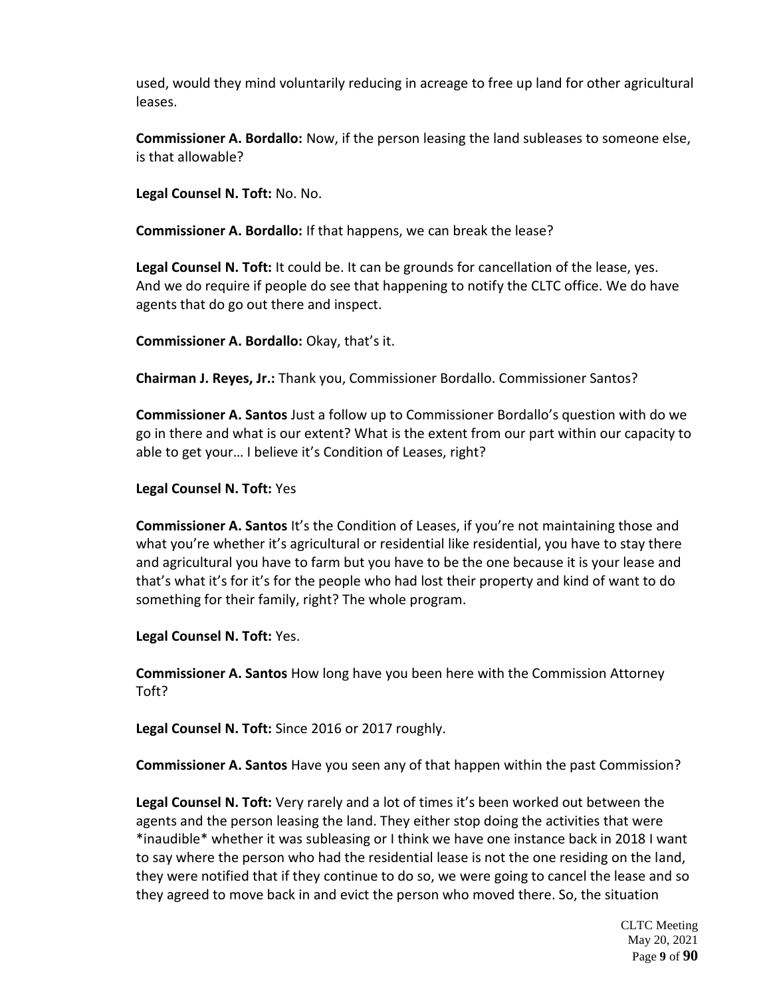used, would they mind voluntarily reducing in acreage to free up land for other agricultural leases.

**Commissioner A. Bordallo:** Now, if the person leasing the land subleases to someone else, is that allowable?

**Legal Counsel N. Toft:** No. No.

**Commissioner A. Bordallo:** If that happens, we can break the lease?

**Legal Counsel N. Toft:** It could be. It can be grounds for cancellation of the lease, yes. And we do require if people do see that happening to notify the CLTC office. We do have agents that do go out there and inspect.

**Commissioner A. Bordallo:** Okay, that's it.

**Chairman J. Reyes, Jr.:** Thank you, Commissioner Bordallo. Commissioner Santos?

**Commissioner A. Santos** Just a follow up to Commissioner Bordallo's question with do we go in there and what is our extent? What is the extent from our part within our capacity to able to get your… I believe it's Condition of Leases, right?

#### **Legal Counsel N. Toft:** Yes

**Commissioner A. Santos** It's the Condition of Leases, if you're not maintaining those and what you're whether it's agricultural or residential like residential, you have to stay there and agricultural you have to farm but you have to be the one because it is your lease and that's what it's for it's for the people who had lost their property and kind of want to do something for their family, right? The whole program.

**Legal Counsel N. Toft:** Yes.

**Commissioner A. Santos** How long have you been here with the Commission Attorney Toft?

**Legal Counsel N. Toft:** Since 2016 or 2017 roughly.

**Commissioner A. Santos** Have you seen any of that happen within the past Commission?

**Legal Counsel N. Toft:** Very rarely and a lot of times it's been worked out between the agents and the person leasing the land. They either stop doing the activities that were \*inaudible\* whether it was subleasing or I think we have one instance back in 2018 I want to say where the person who had the residential lease is not the one residing on the land, they were notified that if they continue to do so, we were going to cancel the lease and so they agreed to move back in and evict the person who moved there. So, the situation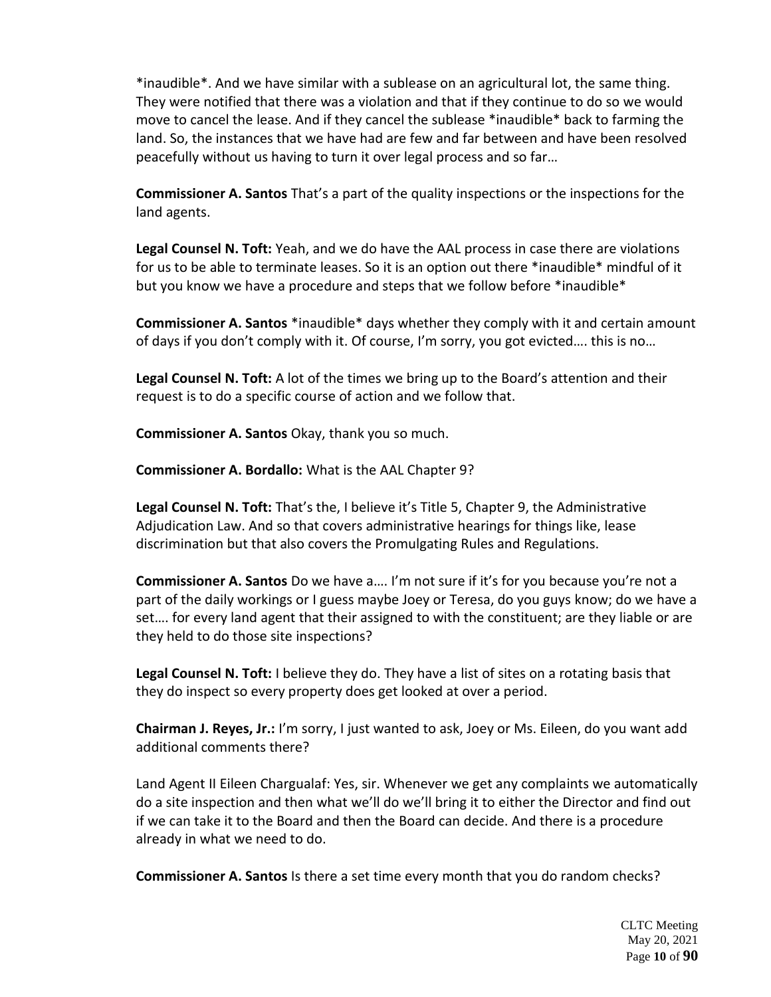\*inaudible\*. And we have similar with a sublease on an agricultural lot, the same thing. They were notified that there was a violation and that if they continue to do so we would move to cancel the lease. And if they cancel the sublease \*inaudible\* back to farming the land. So, the instances that we have had are few and far between and have been resolved peacefully without us having to turn it over legal process and so far…

**Commissioner A. Santos** That's a part of the quality inspections or the inspections for the land agents.

**Legal Counsel N. Toft:** Yeah, and we do have the AAL process in case there are violations for us to be able to terminate leases. So it is an option out there \*inaudible\* mindful of it but you know we have a procedure and steps that we follow before \*inaudible\*

**Commissioner A. Santos** \*inaudible\* days whether they comply with it and certain amount of days if you don't comply with it. Of course, I'm sorry, you got evicted…. this is no…

**Legal Counsel N. Toft:** A lot of the times we bring up to the Board's attention and their request is to do a specific course of action and we follow that.

**Commissioner A. Santos** Okay, thank you so much.

**Commissioner A. Bordallo:** What is the AAL Chapter 9?

**Legal Counsel N. Toft:** That's the, I believe it's Title 5, Chapter 9, the Administrative Adjudication Law. And so that covers administrative hearings for things like, lease discrimination but that also covers the Promulgating Rules and Regulations.

**Commissioner A. Santos** Do we have a…. I'm not sure if it's for you because you're not a part of the daily workings or I guess maybe Joey or Teresa, do you guys know; do we have a set…. for every land agent that their assigned to with the constituent; are they liable or are they held to do those site inspections?

**Legal Counsel N. Toft:** I believe they do. They have a list of sites on a rotating basis that they do inspect so every property does get looked at over a period.

**Chairman J. Reyes, Jr.:** I'm sorry, I just wanted to ask, Joey or Ms. Eileen, do you want add additional comments there?

Land Agent II Eileen Chargualaf: Yes, sir. Whenever we get any complaints we automatically do a site inspection and then what we'll do we'll bring it to either the Director and find out if we can take it to the Board and then the Board can decide. And there is a procedure already in what we need to do.

**Commissioner A. Santos** Is there a set time every month that you do random checks?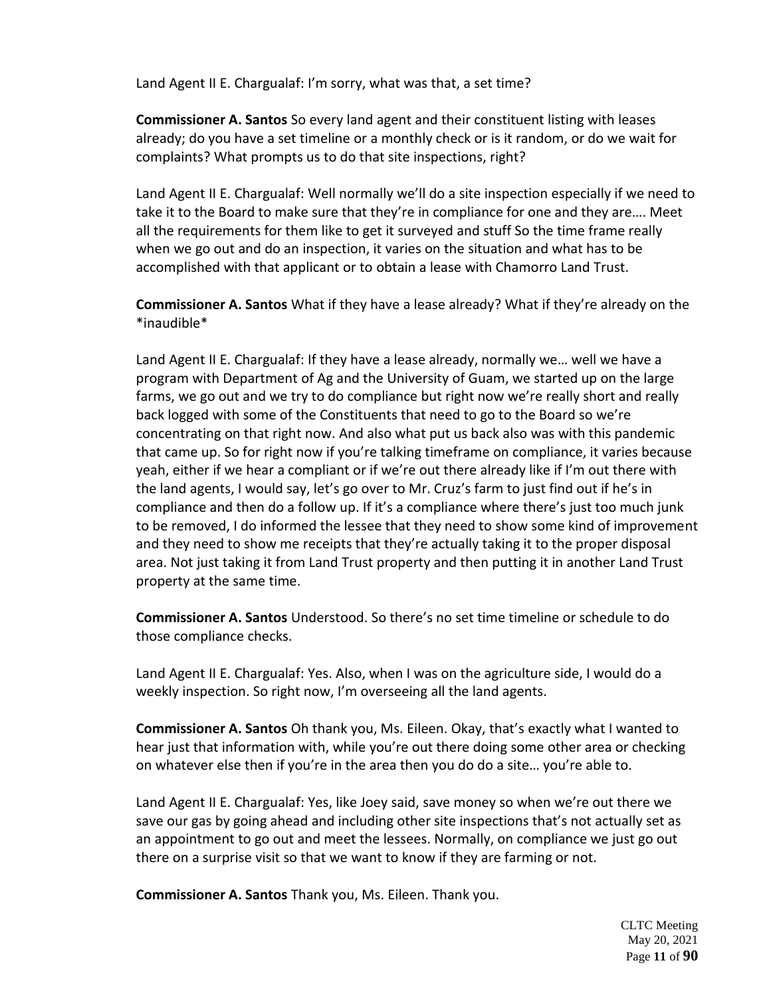Land Agent II E. Chargualaf: I'm sorry, what was that, a set time?

**Commissioner A. Santos** So every land agent and their constituent listing with leases already; do you have a set timeline or a monthly check or is it random, or do we wait for complaints? What prompts us to do that site inspections, right?

Land Agent II E. Chargualaf: Well normally we'll do a site inspection especially if we need to take it to the Board to make sure that they're in compliance for one and they are…. Meet all the requirements for them like to get it surveyed and stuff So the time frame really when we go out and do an inspection, it varies on the situation and what has to be accomplished with that applicant or to obtain a lease with Chamorro Land Trust.

**Commissioner A. Santos** What if they have a lease already? What if they're already on the \*inaudible\*

Land Agent II E. Chargualaf: If they have a lease already, normally we… well we have a program with Department of Ag and the University of Guam, we started up on the large farms, we go out and we try to do compliance but right now we're really short and really back logged with some of the Constituents that need to go to the Board so we're concentrating on that right now. And also what put us back also was with this pandemic that came up. So for right now if you're talking timeframe on compliance, it varies because yeah, either if we hear a compliant or if we're out there already like if I'm out there with the land agents, I would say, let's go over to Mr. Cruz's farm to just find out if he's in compliance and then do a follow up. If it's a compliance where there's just too much junk to be removed, I do informed the lessee that they need to show some kind of improvement and they need to show me receipts that they're actually taking it to the proper disposal area. Not just taking it from Land Trust property and then putting it in another Land Trust property at the same time.

**Commissioner A. Santos** Understood. So there's no set time timeline or schedule to do those compliance checks.

Land Agent II E. Chargualaf: Yes. Also, when I was on the agriculture side, I would do a weekly inspection. So right now, I'm overseeing all the land agents.

**Commissioner A. Santos** Oh thank you, Ms. Eileen. Okay, that's exactly what I wanted to hear just that information with, while you're out there doing some other area or checking on whatever else then if you're in the area then you do do a site… you're able to.

Land Agent II E. Chargualaf: Yes, like Joey said, save money so when we're out there we save our gas by going ahead and including other site inspections that's not actually set as an appointment to go out and meet the lessees. Normally, on compliance we just go out there on a surprise visit so that we want to know if they are farming or not.

**Commissioner A. Santos** Thank you, Ms. Eileen. Thank you.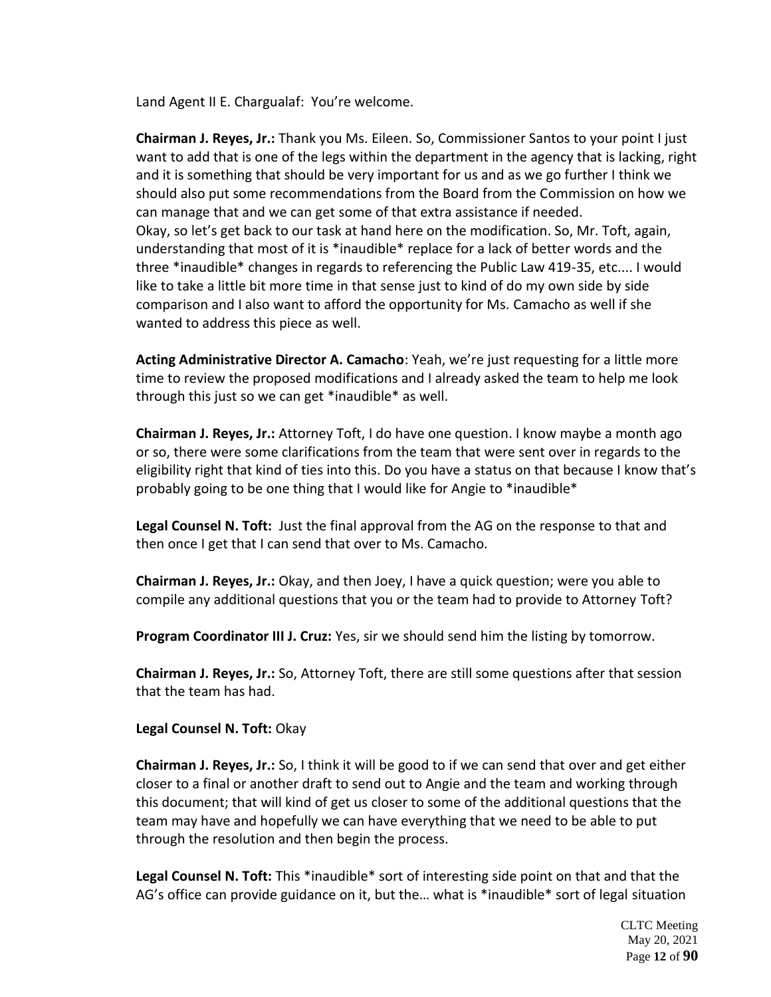Land Agent II E. Chargualaf: You're welcome.

**Chairman J. Reyes, Jr.:** Thank you Ms. Eileen. So, Commissioner Santos to your point I just want to add that is one of the legs within the department in the agency that is lacking, right and it is something that should be very important for us and as we go further I think we should also put some recommendations from the Board from the Commission on how we can manage that and we can get some of that extra assistance if needed. Okay, so let's get back to our task at hand here on the modification. So, Mr. Toft, again, understanding that most of it is \*inaudible\* replace for a lack of better words and the three \*inaudible\* changes in regards to referencing the Public Law 419-35, etc.... I would like to take a little bit more time in that sense just to kind of do my own side by side comparison and I also want to afford the opportunity for Ms. Camacho as well if she wanted to address this piece as well.

**Acting Administrative Director A. Camacho**: Yeah, we're just requesting for a little more time to review the proposed modifications and I already asked the team to help me look through this just so we can get \*inaudible\* as well.

**Chairman J. Reyes, Jr.:** Attorney Toft, I do have one question. I know maybe a month ago or so, there were some clarifications from the team that were sent over in regards to the eligibility right that kind of ties into this. Do you have a status on that because I know that's probably going to be one thing that I would like for Angie to \*inaudible\*

**Legal Counsel N. Toft:** Just the final approval from the AG on the response to that and then once I get that I can send that over to Ms. Camacho.

**Chairman J. Reyes, Jr.:** Okay, and then Joey, I have a quick question; were you able to compile any additional questions that you or the team had to provide to Attorney Toft?

**Program Coordinator III J. Cruz:** Yes, sir we should send him the listing by tomorrow.

**Chairman J. Reyes, Jr.:** So, Attorney Toft, there are still some questions after that session that the team has had.

**Legal Counsel N. Toft:** Okay

**Chairman J. Reyes, Jr.:** So, I think it will be good to if we can send that over and get either closer to a final or another draft to send out to Angie and the team and working through this document; that will kind of get us closer to some of the additional questions that the team may have and hopefully we can have everything that we need to be able to put through the resolution and then begin the process.

**Legal Counsel N. Toft:** This \*inaudible\* sort of interesting side point on that and that the AG's office can provide guidance on it, but the… what is \*inaudible\* sort of legal situation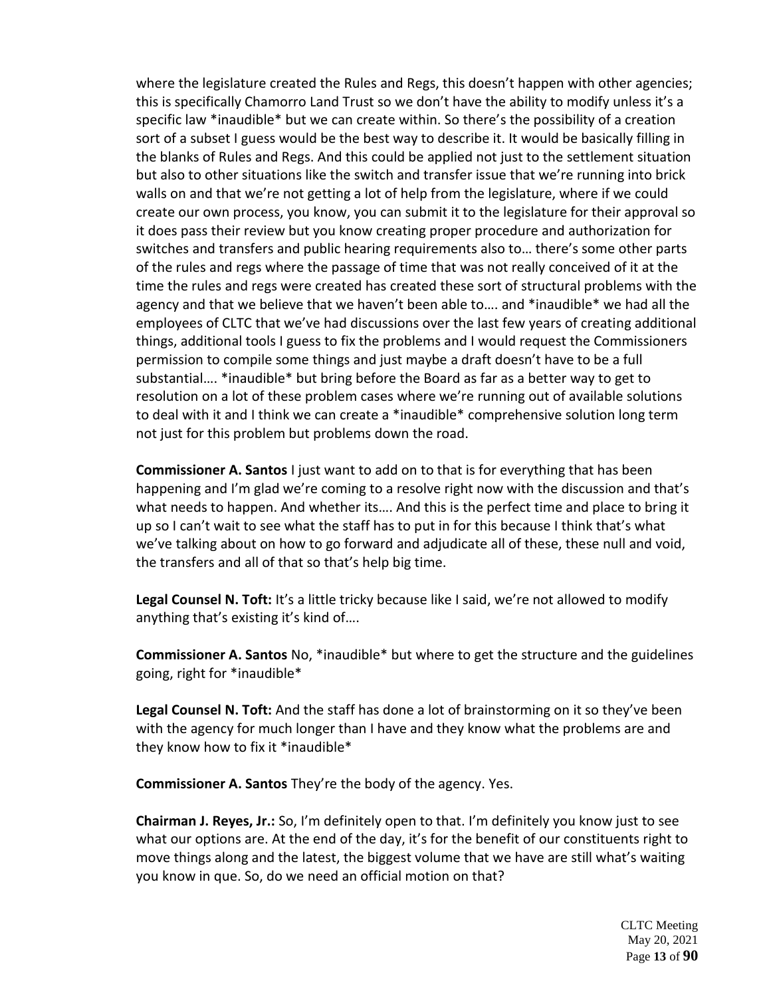where the legislature created the Rules and Regs, this doesn't happen with other agencies; this is specifically Chamorro Land Trust so we don't have the ability to modify unless it's a specific law \*inaudible\* but we can create within. So there's the possibility of a creation sort of a subset I guess would be the best way to describe it. It would be basically filling in the blanks of Rules and Regs. And this could be applied not just to the settlement situation but also to other situations like the switch and transfer issue that we're running into brick walls on and that we're not getting a lot of help from the legislature, where if we could create our own process, you know, you can submit it to the legislature for their approval so it does pass their review but you know creating proper procedure and authorization for switches and transfers and public hearing requirements also to… there's some other parts of the rules and regs where the passage of time that was not really conceived of it at the time the rules and regs were created has created these sort of structural problems with the agency and that we believe that we haven't been able to…. and \*inaudible\* we had all the employees of CLTC that we've had discussions over the last few years of creating additional things, additional tools I guess to fix the problems and I would request the Commissioners permission to compile some things and just maybe a draft doesn't have to be a full substantial…. \*inaudible\* but bring before the Board as far as a better way to get to resolution on a lot of these problem cases where we're running out of available solutions to deal with it and I think we can create a \*inaudible\* comprehensive solution long term not just for this problem but problems down the road.

**Commissioner A. Santos** I just want to add on to that is for everything that has been happening and I'm glad we're coming to a resolve right now with the discussion and that's what needs to happen. And whether its…. And this is the perfect time and place to bring it up so I can't wait to see what the staff has to put in for this because I think that's what we've talking about on how to go forward and adjudicate all of these, these null and void, the transfers and all of that so that's help big time.

**Legal Counsel N. Toft:** It's a little tricky because like I said, we're not allowed to modify anything that's existing it's kind of….

**Commissioner A. Santos** No, \*inaudible\* but where to get the structure and the guidelines going, right for \*inaudible\*

**Legal Counsel N. Toft:** And the staff has done a lot of brainstorming on it so they've been with the agency for much longer than I have and they know what the problems are and they know how to fix it \*inaudible\*

**Commissioner A. Santos** They're the body of the agency. Yes.

**Chairman J. Reyes, Jr.:** So, I'm definitely open to that. I'm definitely you know just to see what our options are. At the end of the day, it's for the benefit of our constituents right to move things along and the latest, the biggest volume that we have are still what's waiting you know in que. So, do we need an official motion on that?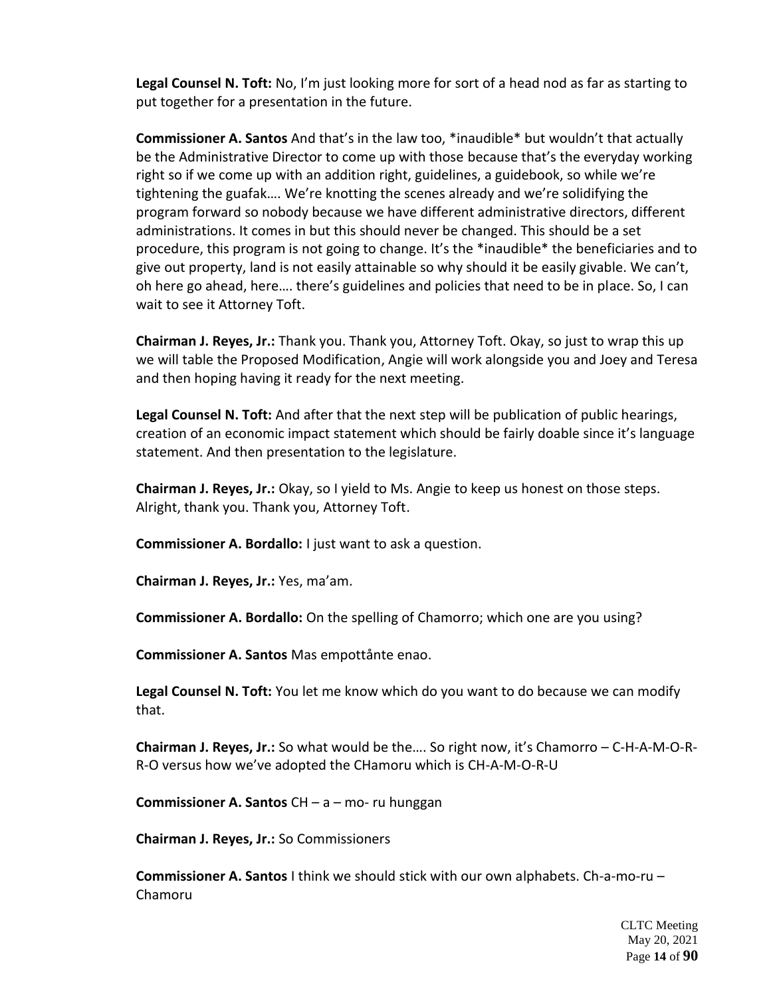**Legal Counsel N. Toft:** No, I'm just looking more for sort of a head nod as far as starting to put together for a presentation in the future.

**Commissioner A. Santos** And that's in the law too, \*inaudible\* but wouldn't that actually be the Administrative Director to come up with those because that's the everyday working right so if we come up with an addition right, guidelines, a guidebook, so while we're tightening the guafak…. We're knotting the scenes already and we're solidifying the program forward so nobody because we have different administrative directors, different administrations. It comes in but this should never be changed. This should be a set procedure, this program is not going to change. It's the \*inaudible\* the beneficiaries and to give out property, land is not easily attainable so why should it be easily givable. We can't, oh here go ahead, here…. there's guidelines and policies that need to be in place. So, I can wait to see it Attorney Toft.

**Chairman J. Reyes, Jr.:** Thank you. Thank you, Attorney Toft. Okay, so just to wrap this up we will table the Proposed Modification, Angie will work alongside you and Joey and Teresa and then hoping having it ready for the next meeting.

**Legal Counsel N. Toft:** And after that the next step will be publication of public hearings, creation of an economic impact statement which should be fairly doable since it's language statement. And then presentation to the legislature.

**Chairman J. Reyes, Jr.:** Okay, so I yield to Ms. Angie to keep us honest on those steps. Alright, thank you. Thank you, Attorney Toft.

**Commissioner A. Bordallo:** I just want to ask a question.

**Chairman J. Reyes, Jr.:** Yes, ma'am.

**Commissioner A. Bordallo:** On the spelling of Chamorro; which one are you using?

**Commissioner A. Santos** Mas empottånte enao.

**Legal Counsel N. Toft:** You let me know which do you want to do because we can modify that.

**Chairman J. Reyes, Jr.:** So what would be the…. So right now, it's Chamorro – C-H-A-M-O-R-R-O versus how we've adopted the CHamoru which is CH-A-M-O-R-U

**Commissioner A. Santos** CH – a – mo- ru hunggan

**Chairman J. Reyes, Jr.:** So Commissioners

**Commissioner A. Santos** I think we should stick with our own alphabets. Ch-a-mo-ru – Chamoru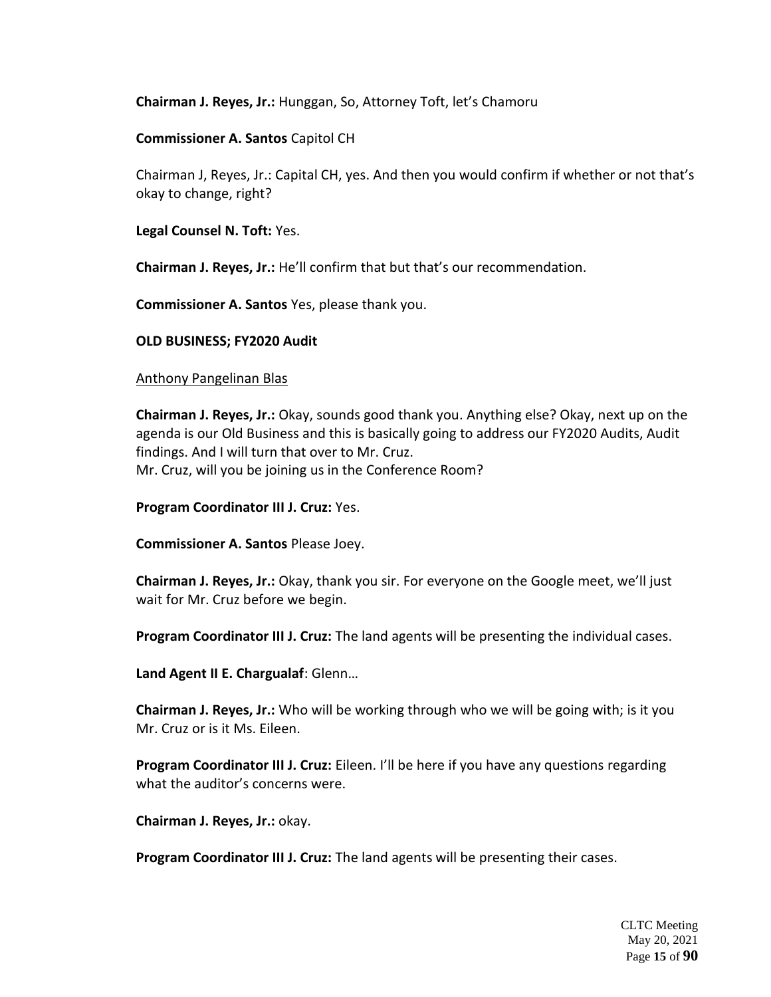**Chairman J. Reyes, Jr.:** Hunggan, So, Attorney Toft, let's Chamoru

**Commissioner A. Santos** Capitol CH

Chairman J, Reyes, Jr.: Capital CH, yes. And then you would confirm if whether or not that's okay to change, right?

**Legal Counsel N. Toft:** Yes.

**Chairman J. Reyes, Jr.:** He'll confirm that but that's our recommendation.

**Commissioner A. Santos** Yes, please thank you.

### **OLD BUSINESS; FY2020 Audit**

### Anthony Pangelinan Blas

**Chairman J. Reyes, Jr.:** Okay, sounds good thank you. Anything else? Okay, next up on the agenda is our Old Business and this is basically going to address our FY2020 Audits, Audit findings. And I will turn that over to Mr. Cruz. Mr. Cruz, will you be joining us in the Conference Room?

**Program Coordinator III J. Cruz:** Yes.

**Commissioner A. Santos** Please Joey.

**Chairman J. Reyes, Jr.:** Okay, thank you sir. For everyone on the Google meet, we'll just wait for Mr. Cruz before we begin.

**Program Coordinator III J. Cruz:** The land agents will be presenting the individual cases.

**Land Agent II E. Chargualaf**: Glenn…

**Chairman J. Reyes, Jr.:** Who will be working through who we will be going with; is it you Mr. Cruz or is it Ms. Eileen.

**Program Coordinator III J. Cruz:** Eileen. I'll be here if you have any questions regarding what the auditor's concerns were.

**Chairman J. Reyes, Jr.:** okay.

**Program Coordinator III J. Cruz:** The land agents will be presenting their cases.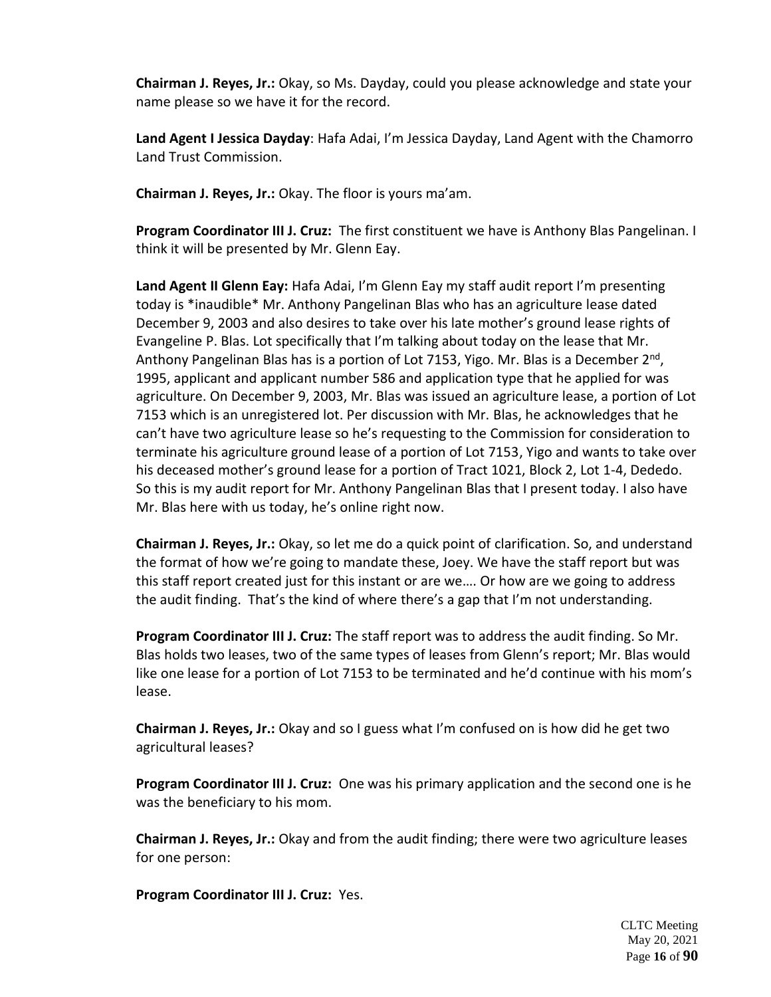**Chairman J. Reyes, Jr.:** Okay, so Ms. Dayday, could you please acknowledge and state your name please so we have it for the record.

**Land Agent I Jessica Dayday**: Hafa Adai, I'm Jessica Dayday, Land Agent with the Chamorro Land Trust Commission.

**Chairman J. Reyes, Jr.:** Okay. The floor is yours ma'am.

**Program Coordinator III J. Cruz:** The first constituent we have is Anthony Blas Pangelinan. I think it will be presented by Mr. Glenn Eay.

**Land Agent II Glenn Eay:** Hafa Adai, I'm Glenn Eay my staff audit report I'm presenting today is \*inaudible\* Mr. Anthony Pangelinan Blas who has an agriculture lease dated December 9, 2003 and also desires to take over his late mother's ground lease rights of Evangeline P. Blas. Lot specifically that I'm talking about today on the lease that Mr. Anthony Pangelinan Blas has is a portion of Lot 7153, Yigo. Mr. Blas is a December 2<sup>nd</sup>, 1995, applicant and applicant number 586 and application type that he applied for was agriculture. On December 9, 2003, Mr. Blas was issued an agriculture lease, a portion of Lot 7153 which is an unregistered lot. Per discussion with Mr. Blas, he acknowledges that he can't have two agriculture lease so he's requesting to the Commission for consideration to terminate his agriculture ground lease of a portion of Lot 7153, Yigo and wants to take over his deceased mother's ground lease for a portion of Tract 1021, Block 2, Lot 1-4, Dededo. So this is my audit report for Mr. Anthony Pangelinan Blas that I present today. I also have Mr. Blas here with us today, he's online right now.

**Chairman J. Reyes, Jr.:** Okay, so let me do a quick point of clarification. So, and understand the format of how we're going to mandate these, Joey. We have the staff report but was this staff report created just for this instant or are we…. Or how are we going to address the audit finding. That's the kind of where there's a gap that I'm not understanding.

**Program Coordinator III J. Cruz:** The staff report was to address the audit finding. So Mr. Blas holds two leases, two of the same types of leases from Glenn's report; Mr. Blas would like one lease for a portion of Lot 7153 to be terminated and he'd continue with his mom's lease.

**Chairman J. Reyes, Jr.:** Okay and so I guess what I'm confused on is how did he get two agricultural leases?

**Program Coordinator III J. Cruz:** One was his primary application and the second one is he was the beneficiary to his mom.

**Chairman J. Reyes, Jr.:** Okay and from the audit finding; there were two agriculture leases for one person:

**Program Coordinator III J. Cruz:** Yes.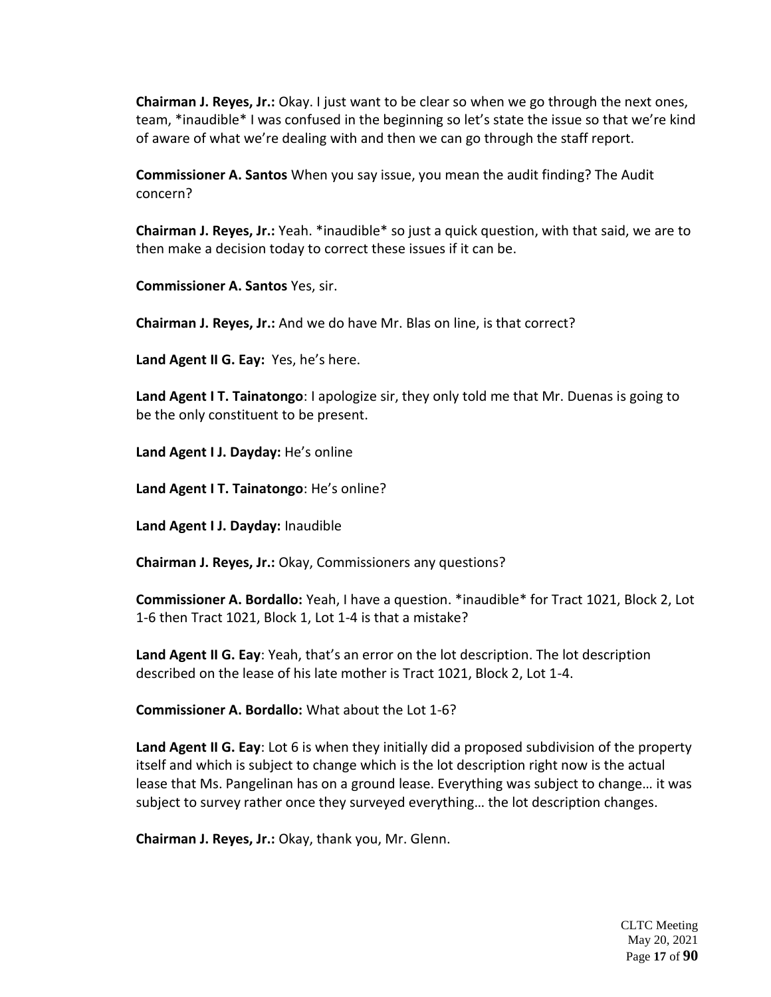**Chairman J. Reyes, Jr.:** Okay. I just want to be clear so when we go through the next ones, team, \*inaudible\* I was confused in the beginning so let's state the issue so that we're kind of aware of what we're dealing with and then we can go through the staff report.

**Commissioner A. Santos** When you say issue, you mean the audit finding? The Audit concern?

**Chairman J. Reyes, Jr.:** Yeah. \*inaudible\* so just a quick question, with that said, we are to then make a decision today to correct these issues if it can be.

**Commissioner A. Santos** Yes, sir.

**Chairman J. Reyes, Jr.:** And we do have Mr. Blas on line, is that correct?

**Land Agent II G. Eay:** Yes, he's here.

**Land Agent I T. Tainatongo**: I apologize sir, they only told me that Mr. Duenas is going to be the only constituent to be present.

**Land Agent I J. Dayday:** He's online

**Land Agent I T. Tainatongo**: He's online?

**Land Agent I J. Dayday:** Inaudible

**Chairman J. Reyes, Jr.:** Okay, Commissioners any questions?

**Commissioner A. Bordallo:** Yeah, I have a question. \*inaudible\* for Tract 1021, Block 2, Lot 1-6 then Tract 1021, Block 1, Lot 1-4 is that a mistake?

**Land Agent II G. Eay**: Yeah, that's an error on the lot description. The lot description described on the lease of his late mother is Tract 1021, Block 2, Lot 1-4.

**Commissioner A. Bordallo:** What about the Lot 1-6?

**Land Agent II G. Eay**: Lot 6 is when they initially did a proposed subdivision of the property itself and which is subject to change which is the lot description right now is the actual lease that Ms. Pangelinan has on a ground lease. Everything was subject to change… it was subject to survey rather once they surveyed everything… the lot description changes.

**Chairman J. Reyes, Jr.:** Okay, thank you, Mr. Glenn.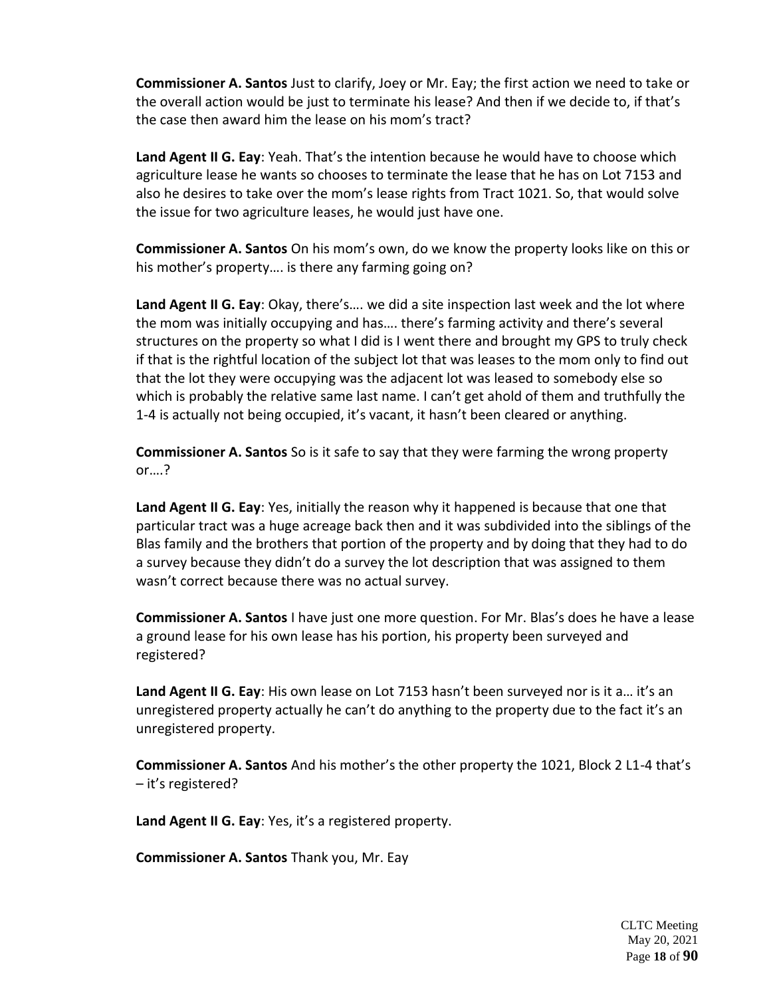**Commissioner A. Santos** Just to clarify, Joey or Mr. Eay; the first action we need to take or the overall action would be just to terminate his lease? And then if we decide to, if that's the case then award him the lease on his mom's tract?

**Land Agent II G. Eay**: Yeah. That's the intention because he would have to choose which agriculture lease he wants so chooses to terminate the lease that he has on Lot 7153 and also he desires to take over the mom's lease rights from Tract 1021. So, that would solve the issue for two agriculture leases, he would just have one.

**Commissioner A. Santos** On his mom's own, do we know the property looks like on this or his mother's property…. is there any farming going on?

**Land Agent II G. Eay**: Okay, there's…. we did a site inspection last week and the lot where the mom was initially occupying and has…. there's farming activity and there's several structures on the property so what I did is I went there and brought my GPS to truly check if that is the rightful location of the subject lot that was leases to the mom only to find out that the lot they were occupying was the adjacent lot was leased to somebody else so which is probably the relative same last name. I can't get ahold of them and truthfully the 1-4 is actually not being occupied, it's vacant, it hasn't been cleared or anything.

**Commissioner A. Santos** So is it safe to say that they were farming the wrong property or….?

**Land Agent II G. Eay**: Yes, initially the reason why it happened is because that one that particular tract was a huge acreage back then and it was subdivided into the siblings of the Blas family and the brothers that portion of the property and by doing that they had to do a survey because they didn't do a survey the lot description that was assigned to them wasn't correct because there was no actual survey.

**Commissioner A. Santos** I have just one more question. For Mr. Blas's does he have a lease a ground lease for his own lease has his portion, his property been surveyed and registered?

Land Agent II G. Eay: His own lease on Lot 7153 hasn't been surveyed nor is it a... it's an unregistered property actually he can't do anything to the property due to the fact it's an unregistered property.

**Commissioner A. Santos** And his mother's the other property the 1021, Block 2 L1-4 that's – it's registered?

**Land Agent II G. Eay**: Yes, it's a registered property.

**Commissioner A. Santos** Thank you, Mr. Eay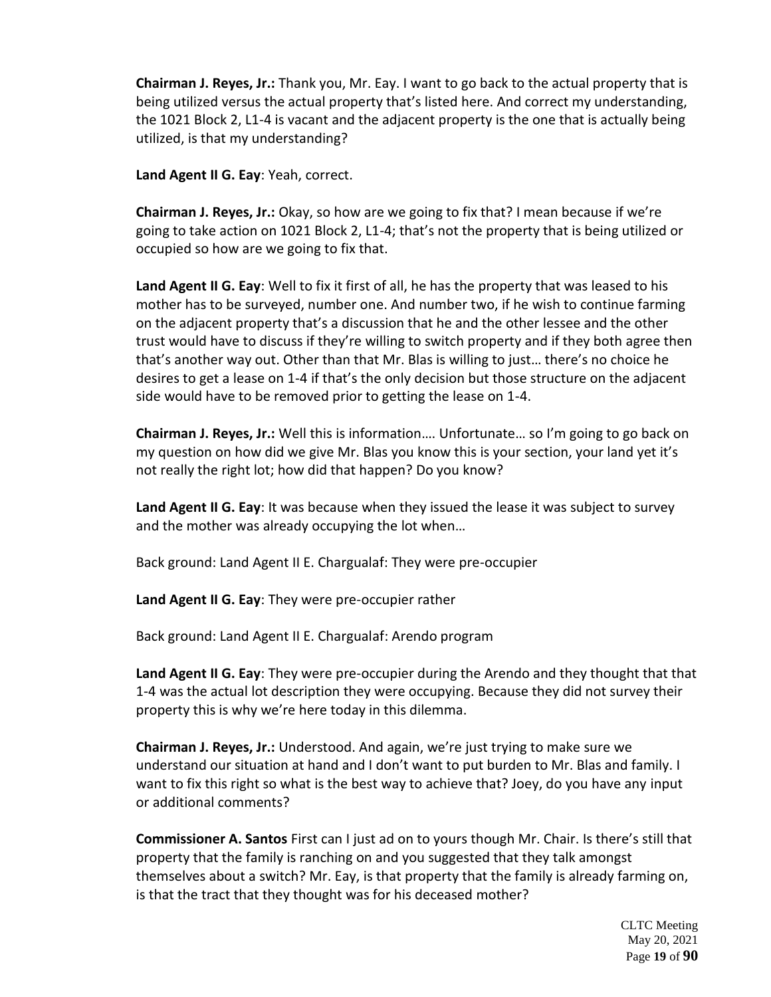**Chairman J. Reyes, Jr.:** Thank you, Mr. Eay. I want to go back to the actual property that is being utilized versus the actual property that's listed here. And correct my understanding, the 1021 Block 2, L1-4 is vacant and the adjacent property is the one that is actually being utilized, is that my understanding?

**Land Agent II G. Eay**: Yeah, correct.

**Chairman J. Reyes, Jr.:** Okay, so how are we going to fix that? I mean because if we're going to take action on 1021 Block 2, L1-4; that's not the property that is being utilized or occupied so how are we going to fix that.

**Land Agent II G. Eay**: Well to fix it first of all, he has the property that was leased to his mother has to be surveyed, number one. And number two, if he wish to continue farming on the adjacent property that's a discussion that he and the other lessee and the other trust would have to discuss if they're willing to switch property and if they both agree then that's another way out. Other than that Mr. Blas is willing to just… there's no choice he desires to get a lease on 1-4 if that's the only decision but those structure on the adjacent side would have to be removed prior to getting the lease on 1-4.

**Chairman J. Reyes, Jr.:** Well this is information…. Unfortunate… so I'm going to go back on my question on how did we give Mr. Blas you know this is your section, your land yet it's not really the right lot; how did that happen? Do you know?

**Land Agent II G. Eay**: It was because when they issued the lease it was subject to survey and the mother was already occupying the lot when…

Back ground: Land Agent II E. Chargualaf: They were pre-occupier

**Land Agent II G. Eay**: They were pre-occupier rather

Back ground: Land Agent II E. Chargualaf: Arendo program

**Land Agent II G. Eay**: They were pre-occupier during the Arendo and they thought that that 1-4 was the actual lot description they were occupying. Because they did not survey their property this is why we're here today in this dilemma.

**Chairman J. Reyes, Jr.:** Understood. And again, we're just trying to make sure we understand our situation at hand and I don't want to put burden to Mr. Blas and family. I want to fix this right so what is the best way to achieve that? Joey, do you have any input or additional comments?

**Commissioner A. Santos** First can I just ad on to yours though Mr. Chair. Is there's still that property that the family is ranching on and you suggested that they talk amongst themselves about a switch? Mr. Eay, is that property that the family is already farming on, is that the tract that they thought was for his deceased mother?

> CLTC Meeting May 20, 2021 Page **19** of **90**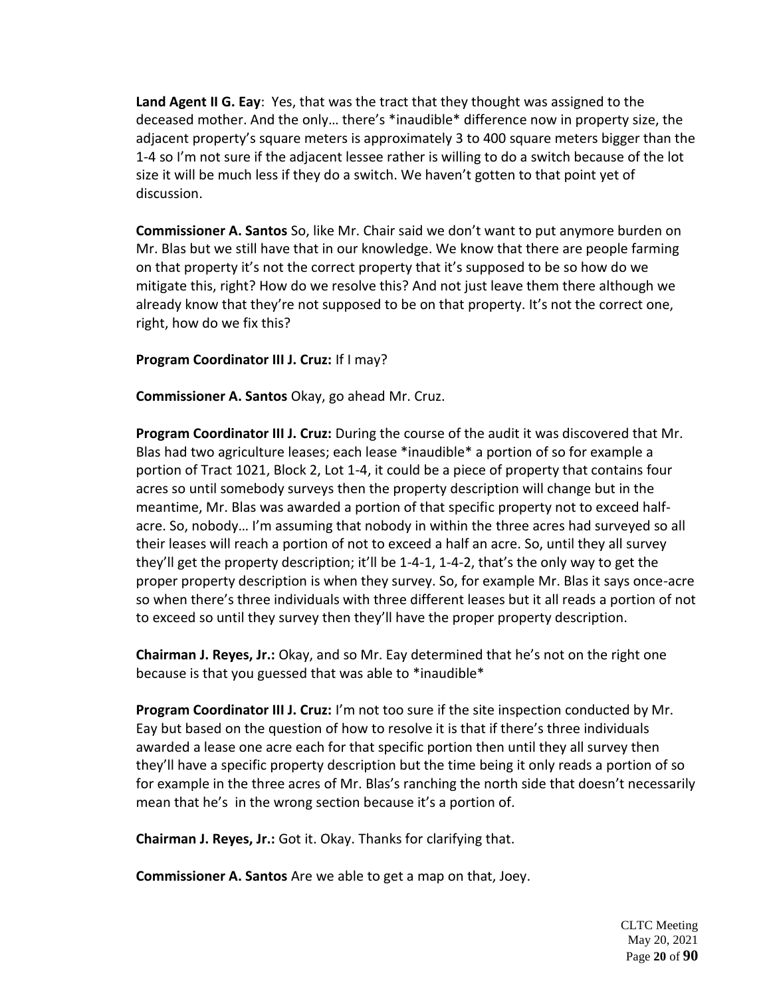**Land Agent II G. Eay**: Yes, that was the tract that they thought was assigned to the deceased mother. And the only… there's \*inaudible\* difference now in property size, the adjacent property's square meters is approximately 3 to 400 square meters bigger than the 1-4 so I'm not sure if the adjacent lessee rather is willing to do a switch because of the lot size it will be much less if they do a switch. We haven't gotten to that point yet of discussion.

**Commissioner A. Santos** So, like Mr. Chair said we don't want to put anymore burden on Mr. Blas but we still have that in our knowledge. We know that there are people farming on that property it's not the correct property that it's supposed to be so how do we mitigate this, right? How do we resolve this? And not just leave them there although we already know that they're not supposed to be on that property. It's not the correct one, right, how do we fix this?

**Program Coordinator III J. Cruz:** If I may?

**Commissioner A. Santos** Okay, go ahead Mr. Cruz.

**Program Coordinator III J. Cruz:** During the course of the audit it was discovered that Mr. Blas had two agriculture leases; each lease \*inaudible\* a portion of so for example a portion of Tract 1021, Block 2, Lot 1-4, it could be a piece of property that contains four acres so until somebody surveys then the property description will change but in the meantime, Mr. Blas was awarded a portion of that specific property not to exceed halfacre. So, nobody… I'm assuming that nobody in within the three acres had surveyed so all their leases will reach a portion of not to exceed a half an acre. So, until they all survey they'll get the property description; it'll be 1-4-1, 1-4-2, that's the only way to get the proper property description is when they survey. So, for example Mr. Blas it says once-acre so when there's three individuals with three different leases but it all reads a portion of not to exceed so until they survey then they'll have the proper property description.

**Chairman J. Reyes, Jr.:** Okay, and so Mr. Eay determined that he's not on the right one because is that you guessed that was able to \*inaudible\*

**Program Coordinator III J. Cruz:** I'm not too sure if the site inspection conducted by Mr. Eay but based on the question of how to resolve it is that if there's three individuals awarded a lease one acre each for that specific portion then until they all survey then they'll have a specific property description but the time being it only reads a portion of so for example in the three acres of Mr. Blas's ranching the north side that doesn't necessarily mean that he's in the wrong section because it's a portion of.

**Chairman J. Reyes, Jr.:** Got it. Okay. Thanks for clarifying that.

**Commissioner A. Santos** Are we able to get a map on that, Joey.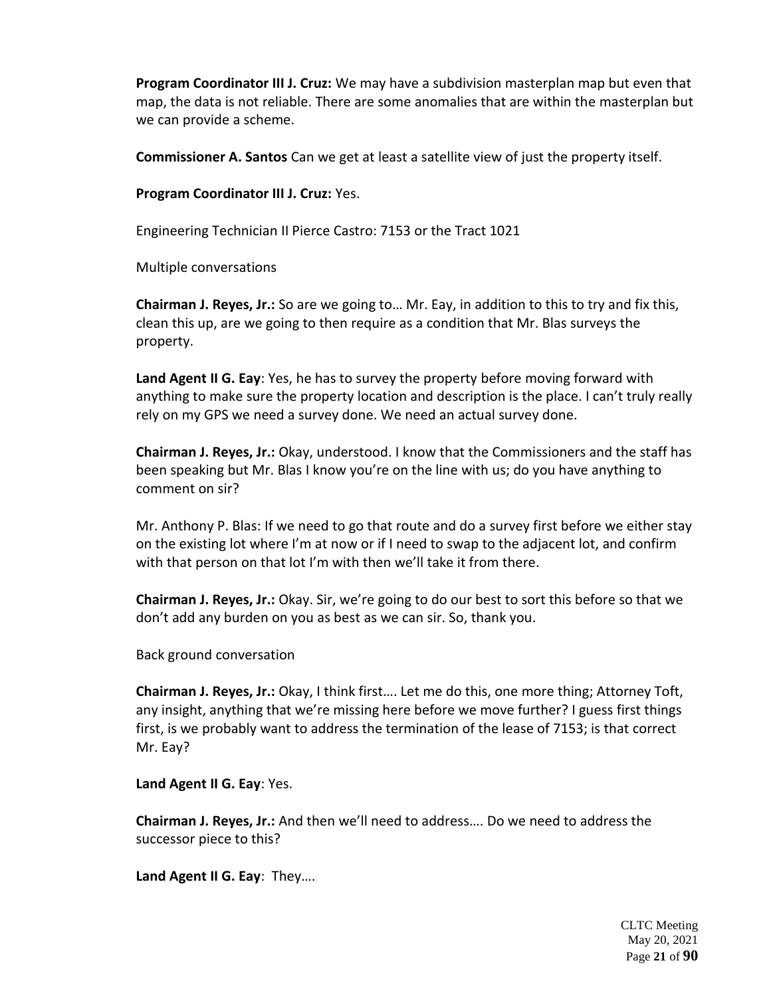**Program Coordinator III J. Cruz:** We may have a subdivision masterplan map but even that map, the data is not reliable. There are some anomalies that are within the masterplan but we can provide a scheme.

**Commissioner A. Santos** Can we get at least a satellite view of just the property itself.

**Program Coordinator III J. Cruz:** Yes.

Engineering Technician II Pierce Castro: 7153 or the Tract 1021

Multiple conversations

**Chairman J. Reyes, Jr.:** So are we going to… Mr. Eay, in addition to this to try and fix this, clean this up, are we going to then require as a condition that Mr. Blas surveys the property.

**Land Agent II G. Eay**: Yes, he has to survey the property before moving forward with anything to make sure the property location and description is the place. I can't truly really rely on my GPS we need a survey done. We need an actual survey done.

**Chairman J. Reyes, Jr.:** Okay, understood. I know that the Commissioners and the staff has been speaking but Mr. Blas I know you're on the line with us; do you have anything to comment on sir?

Mr. Anthony P. Blas: If we need to go that route and do a survey first before we either stay on the existing lot where I'm at now or if I need to swap to the adjacent lot, and confirm with that person on that lot I'm with then we'll take it from there.

**Chairman J. Reyes, Jr.:** Okay. Sir, we're going to do our best to sort this before so that we don't add any burden on you as best as we can sir. So, thank you.

Back ground conversation

**Chairman J. Reyes, Jr.:** Okay, I think first…. Let me do this, one more thing; Attorney Toft, any insight, anything that we're missing here before we move further? I guess first things first, is we probably want to address the termination of the lease of 7153; is that correct Mr. Eay?

**Land Agent II G. Eay**: Yes.

**Chairman J. Reyes, Jr.:** And then we'll need to address…. Do we need to address the successor piece to this?

**Land Agent II G. Eay**: They….

CLTC Meeting May 20, 2021 Page **21** of **90**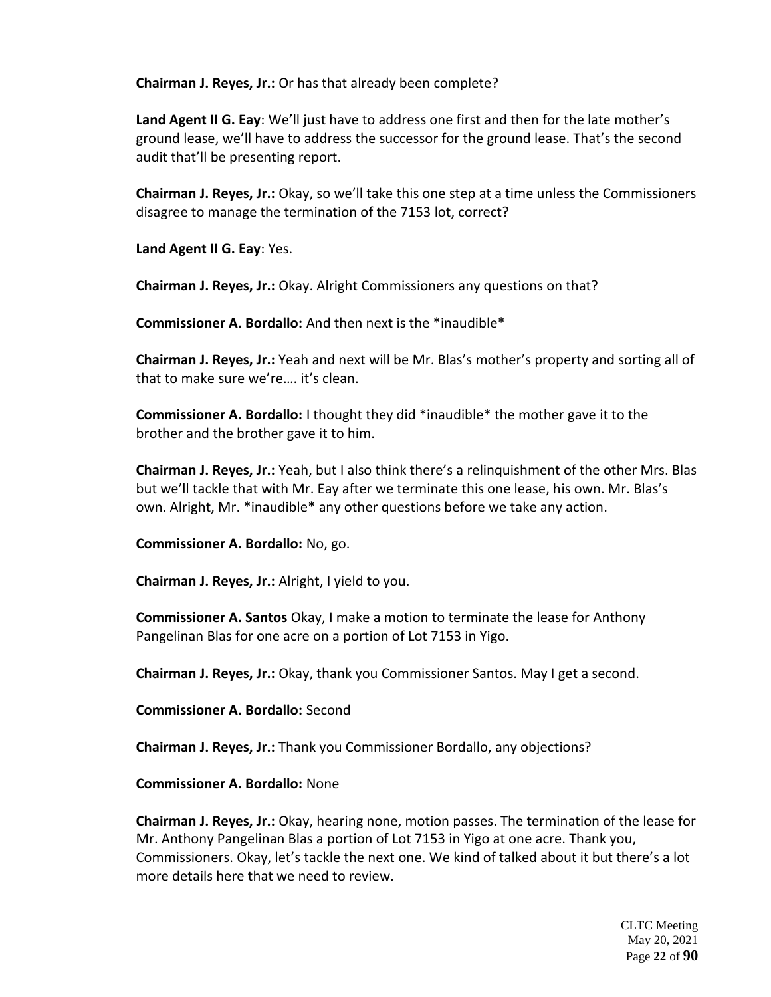**Chairman J. Reyes, Jr.:** Or has that already been complete?

**Land Agent II G. Eay**: We'll just have to address one first and then for the late mother's ground lease, we'll have to address the successor for the ground lease. That's the second audit that'll be presenting report.

**Chairman J. Reyes, Jr.:** Okay, so we'll take this one step at a time unless the Commissioners disagree to manage the termination of the 7153 lot, correct?

**Land Agent II G. Eay**: Yes.

**Chairman J. Reyes, Jr.:** Okay. Alright Commissioners any questions on that?

**Commissioner A. Bordallo:** And then next is the \*inaudible\*

**Chairman J. Reyes, Jr.:** Yeah and next will be Mr. Blas's mother's property and sorting all of that to make sure we're…. it's clean.

**Commissioner A. Bordallo:** I thought they did \*inaudible\* the mother gave it to the brother and the brother gave it to him.

**Chairman J. Reyes, Jr.:** Yeah, but I also think there's a relinquishment of the other Mrs. Blas but we'll tackle that with Mr. Eay after we terminate this one lease, his own. Mr. Blas's own. Alright, Mr. \*inaudible\* any other questions before we take any action.

**Commissioner A. Bordallo:** No, go.

**Chairman J. Reyes, Jr.:** Alright, I yield to you.

**Commissioner A. Santos** Okay, I make a motion to terminate the lease for Anthony Pangelinan Blas for one acre on a portion of Lot 7153 in Yigo.

**Chairman J. Reyes, Jr.:** Okay, thank you Commissioner Santos. May I get a second.

**Commissioner A. Bordallo:** Second

**Chairman J. Reyes, Jr.:** Thank you Commissioner Bordallo, any objections?

**Commissioner A. Bordallo:** None

**Chairman J. Reyes, Jr.:** Okay, hearing none, motion passes. The termination of the lease for Mr. Anthony Pangelinan Blas a portion of Lot 7153 in Yigo at one acre. Thank you, Commissioners. Okay, let's tackle the next one. We kind of talked about it but there's a lot more details here that we need to review.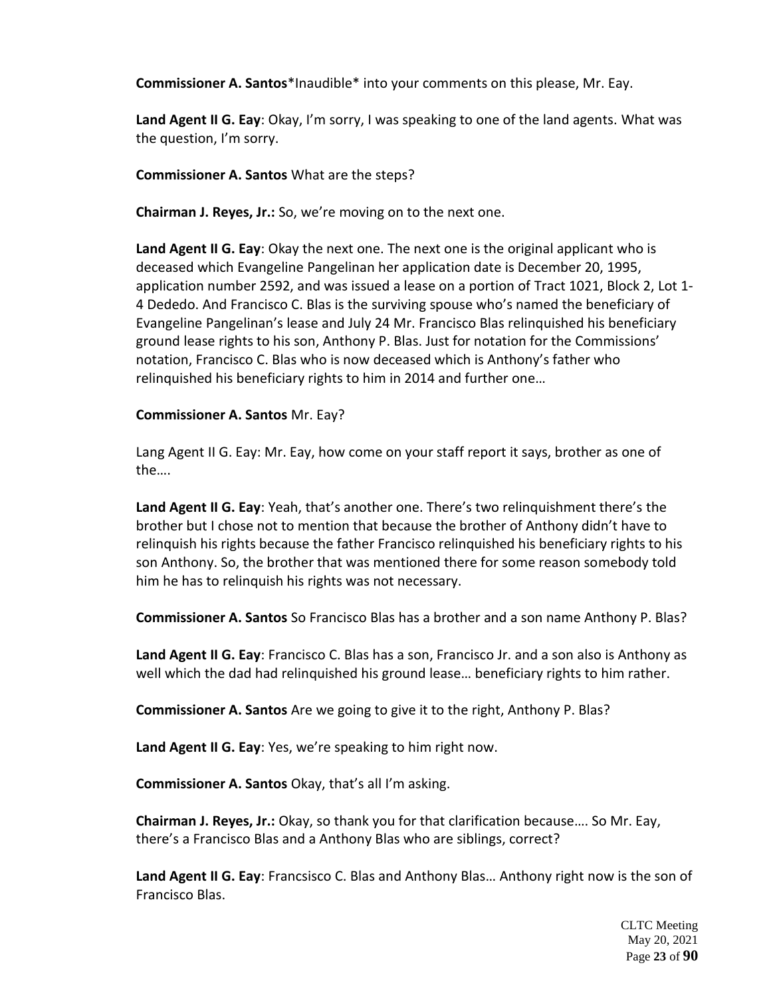**Commissioner A. Santos**\*Inaudible\* into your comments on this please, Mr. Eay.

**Land Agent II G. Eay**: Okay, I'm sorry, I was speaking to one of the land agents. What was the question, I'm sorry.

# **Commissioner A. Santos** What are the steps?

**Chairman J. Reyes, Jr.:** So, we're moving on to the next one.

**Land Agent II G. Eay**: Okay the next one. The next one is the original applicant who is deceased which Evangeline Pangelinan her application date is December 20, 1995, application number 2592, and was issued a lease on a portion of Tract 1021, Block 2, Lot 1- 4 Dededo. And Francisco C. Blas is the surviving spouse who's named the beneficiary of Evangeline Pangelinan's lease and July 24 Mr. Francisco Blas relinquished his beneficiary ground lease rights to his son, Anthony P. Blas. Just for notation for the Commissions' notation, Francisco C. Blas who is now deceased which is Anthony's father who relinquished his beneficiary rights to him in 2014 and further one…

# **Commissioner A. Santos** Mr. Eay?

Lang Agent II G. Eay: Mr. Eay, how come on your staff report it says, brother as one of the….

**Land Agent II G. Eay**: Yeah, that's another one. There's two relinquishment there's the brother but I chose not to mention that because the brother of Anthony didn't have to relinquish his rights because the father Francisco relinquished his beneficiary rights to his son Anthony. So, the brother that was mentioned there for some reason somebody told him he has to relinquish his rights was not necessary.

**Commissioner A. Santos** So Francisco Blas has a brother and a son name Anthony P. Blas?

**Land Agent II G. Eay**: Francisco C. Blas has a son, Francisco Jr. and a son also is Anthony as well which the dad had relinquished his ground lease… beneficiary rights to him rather.

**Commissioner A. Santos** Are we going to give it to the right, Anthony P. Blas?

**Land Agent II G. Eay**: Yes, we're speaking to him right now.

**Commissioner A. Santos** Okay, that's all I'm asking.

**Chairman J. Reyes, Jr.:** Okay, so thank you for that clarification because…. So Mr. Eay, there's a Francisco Blas and a Anthony Blas who are siblings, correct?

**Land Agent II G. Eay**: Francsisco C. Blas and Anthony Blas… Anthony right now is the son of Francisco Blas.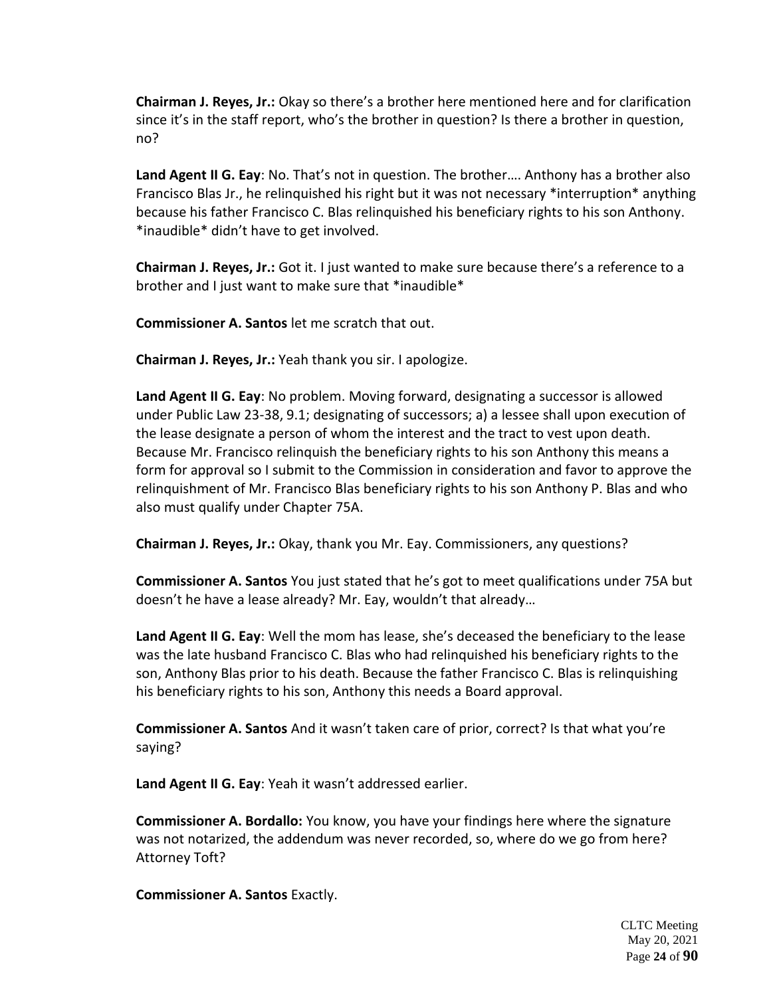**Chairman J. Reyes, Jr.:** Okay so there's a brother here mentioned here and for clarification since it's in the staff report, who's the brother in question? Is there a brother in question, no?

**Land Agent II G. Eay**: No. That's not in question. The brother…. Anthony has a brother also Francisco Blas Jr., he relinquished his right but it was not necessary \*interruption\* anything because his father Francisco C. Blas relinquished his beneficiary rights to his son Anthony. \*inaudible\* didn't have to get involved.

**Chairman J. Reyes, Jr.:** Got it. I just wanted to make sure because there's a reference to a brother and I just want to make sure that \*inaudible\*

**Commissioner A. Santos** let me scratch that out.

**Chairman J. Reyes, Jr.:** Yeah thank you sir. I apologize.

**Land Agent II G. Eay**: No problem. Moving forward, designating a successor is allowed under Public Law 23-38, 9.1; designating of successors; a) a lessee shall upon execution of the lease designate a person of whom the interest and the tract to vest upon death. Because Mr. Francisco relinquish the beneficiary rights to his son Anthony this means a form for approval so I submit to the Commission in consideration and favor to approve the relinquishment of Mr. Francisco Blas beneficiary rights to his son Anthony P. Blas and who also must qualify under Chapter 75A.

**Chairman J. Reyes, Jr.:** Okay, thank you Mr. Eay. Commissioners, any questions?

**Commissioner A. Santos** You just stated that he's got to meet qualifications under 75A but doesn't he have a lease already? Mr. Eay, wouldn't that already…

**Land Agent II G. Eay**: Well the mom has lease, she's deceased the beneficiary to the lease was the late husband Francisco C. Blas who had relinquished his beneficiary rights to the son, Anthony Blas prior to his death. Because the father Francisco C. Blas is relinquishing his beneficiary rights to his son, Anthony this needs a Board approval.

**Commissioner A. Santos** And it wasn't taken care of prior, correct? Is that what you're saying?

**Land Agent II G. Eay**: Yeah it wasn't addressed earlier.

**Commissioner A. Bordallo:** You know, you have your findings here where the signature was not notarized, the addendum was never recorded, so, where do we go from here? Attorney Toft?

**Commissioner A. Santos** Exactly.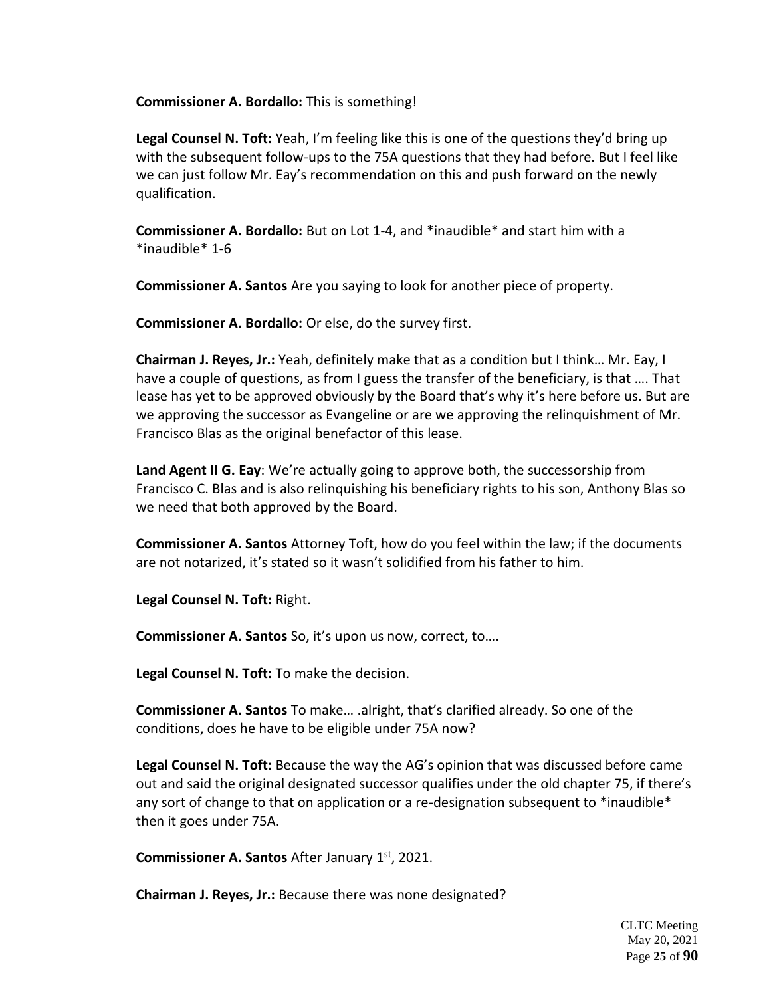**Commissioner A. Bordallo:** This is something!

**Legal Counsel N. Toft:** Yeah, I'm feeling like this is one of the questions they'd bring up with the subsequent follow-ups to the 75A questions that they had before. But I feel like we can just follow Mr. Eay's recommendation on this and push forward on the newly qualification.

**Commissioner A. Bordallo:** But on Lot 1-4, and \*inaudible\* and start him with a \*inaudible\* 1-6

**Commissioner A. Santos** Are you saying to look for another piece of property.

**Commissioner A. Bordallo:** Or else, do the survey first.

**Chairman J. Reyes, Jr.:** Yeah, definitely make that as a condition but I think… Mr. Eay, I have a couple of questions, as from I guess the transfer of the beneficiary, is that …. That lease has yet to be approved obviously by the Board that's why it's here before us. But are we approving the successor as Evangeline or are we approving the relinquishment of Mr. Francisco Blas as the original benefactor of this lease.

**Land Agent II G. Eay**: We're actually going to approve both, the successorship from Francisco C. Blas and is also relinquishing his beneficiary rights to his son, Anthony Blas so we need that both approved by the Board.

**Commissioner A. Santos** Attorney Toft, how do you feel within the law; if the documents are not notarized, it's stated so it wasn't solidified from his father to him.

**Legal Counsel N. Toft:** Right.

**Commissioner A. Santos** So, it's upon us now, correct, to….

**Legal Counsel N. Toft:** To make the decision.

**Commissioner A. Santos** To make… .alright, that's clarified already. So one of the conditions, does he have to be eligible under 75A now?

**Legal Counsel N. Toft:** Because the way the AG's opinion that was discussed before came out and said the original designated successor qualifies under the old chapter 75, if there's any sort of change to that on application or a re-designation subsequent to \*inaudible\* then it goes under 75A.

**Commissioner A. Santos** After January 1st, 2021.

**Chairman J. Reyes, Jr.:** Because there was none designated?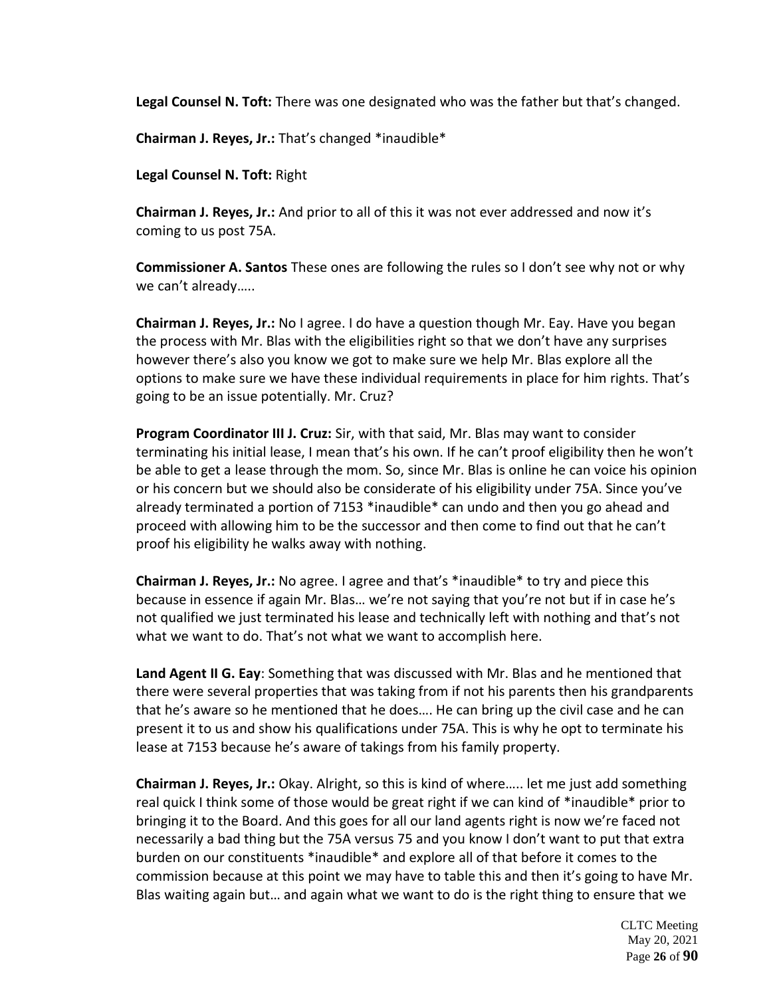**Legal Counsel N. Toft:** There was one designated who was the father but that's changed.

**Chairman J. Reyes, Jr.:** That's changed \*inaudible\*

**Legal Counsel N. Toft:** Right

**Chairman J. Reyes, Jr.:** And prior to all of this it was not ever addressed and now it's coming to us post 75A.

**Commissioner A. Santos** These ones are following the rules so I don't see why not or why we can't already…..

**Chairman J. Reyes, Jr.:** No I agree. I do have a question though Mr. Eay. Have you began the process with Mr. Blas with the eligibilities right so that we don't have any surprises however there's also you know we got to make sure we help Mr. Blas explore all the options to make sure we have these individual requirements in place for him rights. That's going to be an issue potentially. Mr. Cruz?

**Program Coordinator III J. Cruz:** Sir, with that said, Mr. Blas may want to consider terminating his initial lease, I mean that's his own. If he can't proof eligibility then he won't be able to get a lease through the mom. So, since Mr. Blas is online he can voice his opinion or his concern but we should also be considerate of his eligibility under 75A. Since you've already terminated a portion of 7153 \*inaudible\* can undo and then you go ahead and proceed with allowing him to be the successor and then come to find out that he can't proof his eligibility he walks away with nothing.

**Chairman J. Reyes, Jr.:** No agree. I agree and that's \*inaudible\* to try and piece this because in essence if again Mr. Blas… we're not saying that you're not but if in case he's not qualified we just terminated his lease and technically left with nothing and that's not what we want to do. That's not what we want to accomplish here.

**Land Agent II G. Eay**: Something that was discussed with Mr. Blas and he mentioned that there were several properties that was taking from if not his parents then his grandparents that he's aware so he mentioned that he does…. He can bring up the civil case and he can present it to us and show his qualifications under 75A. This is why he opt to terminate his lease at 7153 because he's aware of takings from his family property.

**Chairman J. Reyes, Jr.:** Okay. Alright, so this is kind of where….. let me just add something real quick I think some of those would be great right if we can kind of \*inaudible\* prior to bringing it to the Board. And this goes for all our land agents right is now we're faced not necessarily a bad thing but the 75A versus 75 and you know I don't want to put that extra burden on our constituents \*inaudible\* and explore all of that before it comes to the commission because at this point we may have to table this and then it's going to have Mr. Blas waiting again but… and again what we want to do is the right thing to ensure that we

> CLTC Meeting May 20, 2021 Page **26** of **90**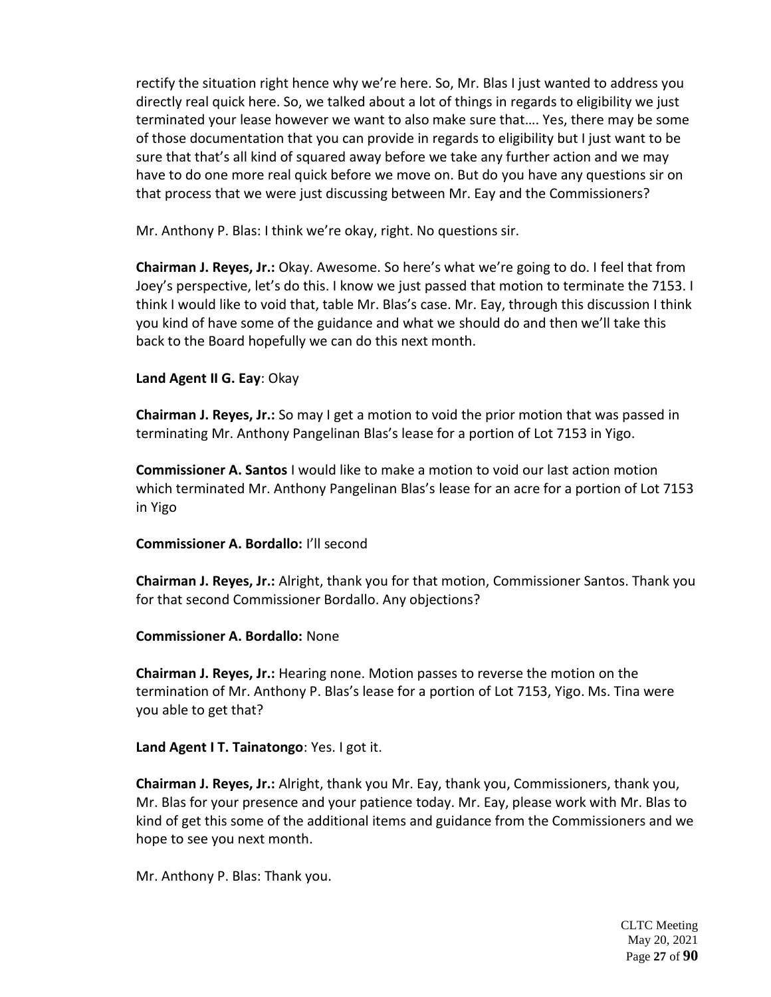rectify the situation right hence why we're here. So, Mr. Blas I just wanted to address you directly real quick here. So, we talked about a lot of things in regards to eligibility we just terminated your lease however we want to also make sure that…. Yes, there may be some of those documentation that you can provide in regards to eligibility but I just want to be sure that that's all kind of squared away before we take any further action and we may have to do one more real quick before we move on. But do you have any questions sir on that process that we were just discussing between Mr. Eay and the Commissioners?

Mr. Anthony P. Blas: I think we're okay, right. No questions sir.

**Chairman J. Reyes, Jr.:** Okay. Awesome. So here's what we're going to do. I feel that from Joey's perspective, let's do this. I know we just passed that motion to terminate the 7153. I think I would like to void that, table Mr. Blas's case. Mr. Eay, through this discussion I think you kind of have some of the guidance and what we should do and then we'll take this back to the Board hopefully we can do this next month.

### **Land Agent II G. Eay**: Okay

**Chairman J. Reyes, Jr.:** So may I get a motion to void the prior motion that was passed in terminating Mr. Anthony Pangelinan Blas's lease for a portion of Lot 7153 in Yigo.

**Commissioner A. Santos** I would like to make a motion to void our last action motion which terminated Mr. Anthony Pangelinan Blas's lease for an acre for a portion of Lot 7153 in Yigo

#### **Commissioner A. Bordallo:** I'll second

**Chairman J. Reyes, Jr.:** Alright, thank you for that motion, Commissioner Santos. Thank you for that second Commissioner Bordallo. Any objections?

#### **Commissioner A. Bordallo:** None

**Chairman J. Reyes, Jr.:** Hearing none. Motion passes to reverse the motion on the termination of Mr. Anthony P. Blas's lease for a portion of Lot 7153, Yigo. Ms. Tina were you able to get that?

**Land Agent I T. Tainatongo**: Yes. I got it.

**Chairman J. Reyes, Jr.:** Alright, thank you Mr. Eay, thank you, Commissioners, thank you, Mr. Blas for your presence and your patience today. Mr. Eay, please work with Mr. Blas to kind of get this some of the additional items and guidance from the Commissioners and we hope to see you next month.

Mr. Anthony P. Blas: Thank you.

CLTC Meeting May 20, 2021 Page **27** of **90**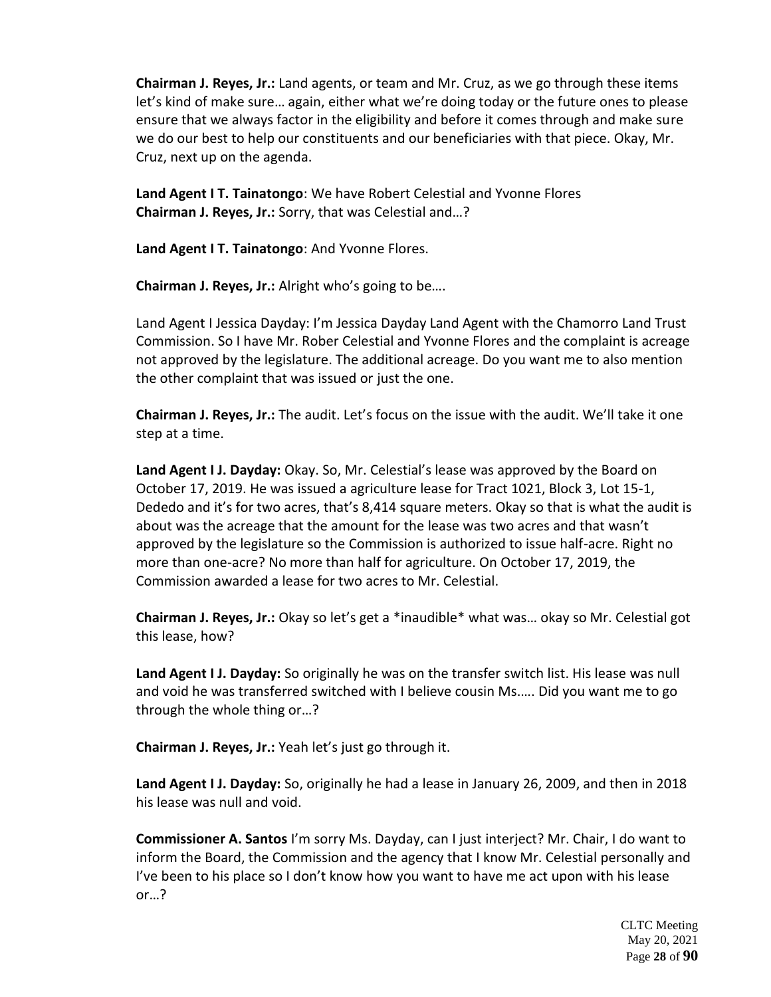**Chairman J. Reyes, Jr.:** Land agents, or team and Mr. Cruz, as we go through these items let's kind of make sure… again, either what we're doing today or the future ones to please ensure that we always factor in the eligibility and before it comes through and make sure we do our best to help our constituents and our beneficiaries with that piece. Okay, Mr. Cruz, next up on the agenda.

**Land Agent I T. Tainatongo**: We have Robert Celestial and Yvonne Flores **Chairman J. Reyes, Jr.:** Sorry, that was Celestial and…?

**Land Agent I T. Tainatongo**: And Yvonne Flores.

**Chairman J. Reyes, Jr.:** Alright who's going to be….

Land Agent I Jessica Dayday: I'm Jessica Dayday Land Agent with the Chamorro Land Trust Commission. So I have Mr. Rober Celestial and Yvonne Flores and the complaint is acreage not approved by the legislature. The additional acreage. Do you want me to also mention the other complaint that was issued or just the one.

**Chairman J. Reyes, Jr.:** The audit. Let's focus on the issue with the audit. We'll take it one step at a time.

**Land Agent I J. Dayday:** Okay. So, Mr. Celestial's lease was approved by the Board on October 17, 2019. He was issued a agriculture lease for Tract 1021, Block 3, Lot 15-1, Dededo and it's for two acres, that's 8,414 square meters. Okay so that is what the audit is about was the acreage that the amount for the lease was two acres and that wasn't approved by the legislature so the Commission is authorized to issue half-acre. Right no more than one-acre? No more than half for agriculture. On October 17, 2019, the Commission awarded a lease for two acres to Mr. Celestial.

**Chairman J. Reyes, Jr.:** Okay so let's get a \*inaudible\* what was… okay so Mr. Celestial got this lease, how?

**Land Agent I J. Dayday:** So originally he was on the transfer switch list. His lease was null and void he was transferred switched with I believe cousin Ms.…. Did you want me to go through the whole thing or…?

**Chairman J. Reyes, Jr.:** Yeah let's just go through it.

**Land Agent I J. Dayday:** So, originally he had a lease in January 26, 2009, and then in 2018 his lease was null and void.

**Commissioner A. Santos** I'm sorry Ms. Dayday, can I just interject? Mr. Chair, I do want to inform the Board, the Commission and the agency that I know Mr. Celestial personally and I've been to his place so I don't know how you want to have me act upon with his lease or…?

> CLTC Meeting May 20, 2021 Page **28** of **90**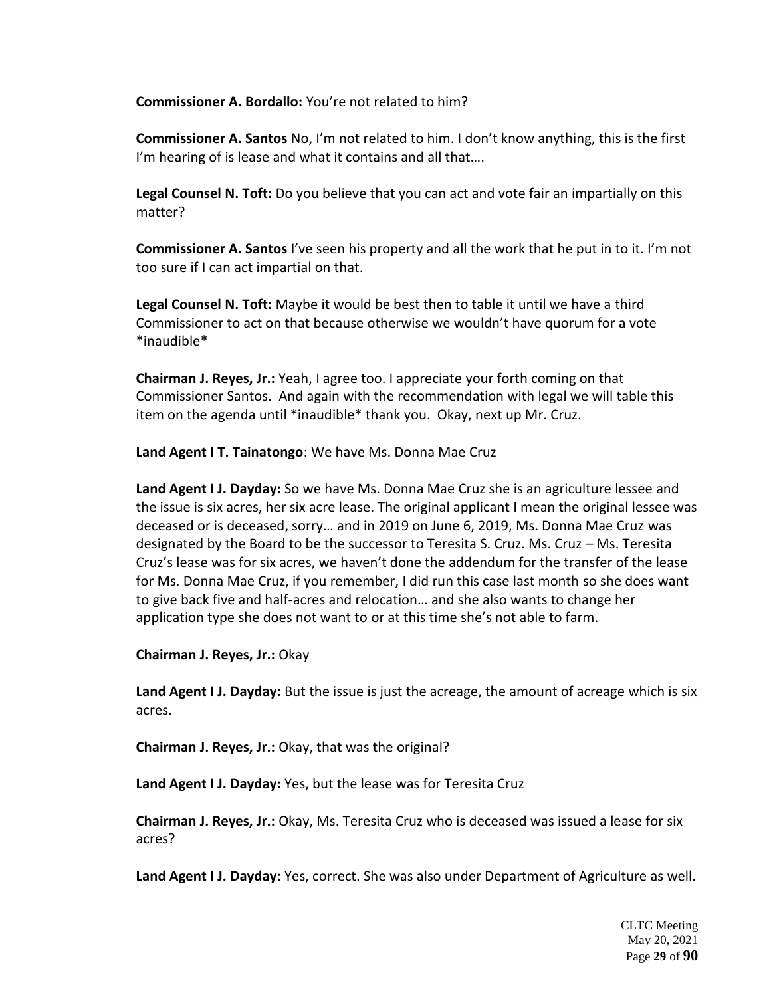**Commissioner A. Bordallo:** You're not related to him?

**Commissioner A. Santos** No, I'm not related to him. I don't know anything, this is the first I'm hearing of is lease and what it contains and all that....

**Legal Counsel N. Toft:** Do you believe that you can act and vote fair an impartially on this matter?

**Commissioner A. Santos** I've seen his property and all the work that he put in to it. I'm not too sure if I can act impartial on that.

**Legal Counsel N. Toft:** Maybe it would be best then to table it until we have a third Commissioner to act on that because otherwise we wouldn't have quorum for a vote \*inaudible\*

**Chairman J. Reyes, Jr.:** Yeah, I agree too. I appreciate your forth coming on that Commissioner Santos. And again with the recommendation with legal we will table this item on the agenda until \*inaudible\* thank you. Okay, next up Mr. Cruz.

**Land Agent I T. Tainatongo**: We have Ms. Donna Mae Cruz

**Land Agent I J. Dayday:** So we have Ms. Donna Mae Cruz she is an agriculture lessee and the issue is six acres, her six acre lease. The original applicant I mean the original lessee was deceased or is deceased, sorry… and in 2019 on June 6, 2019, Ms. Donna Mae Cruz was designated by the Board to be the successor to Teresita S. Cruz. Ms. Cruz – Ms. Teresita Cruz's lease was for six acres, we haven't done the addendum for the transfer of the lease for Ms. Donna Mae Cruz, if you remember, I did run this case last month so she does want to give back five and half-acres and relocation… and she also wants to change her application type she does not want to or at this time she's not able to farm.

**Chairman J. Reyes, Jr.:** Okay

**Land Agent I J. Dayday:** But the issue is just the acreage, the amount of acreage which is six acres.

**Chairman J. Reyes, Jr.:** Okay, that was the original?

**Land Agent I J. Dayday:** Yes, but the lease was for Teresita Cruz

**Chairman J. Reyes, Jr.:** Okay, Ms. Teresita Cruz who is deceased was issued a lease for six acres?

**Land Agent I J. Dayday:** Yes, correct. She was also under Department of Agriculture as well.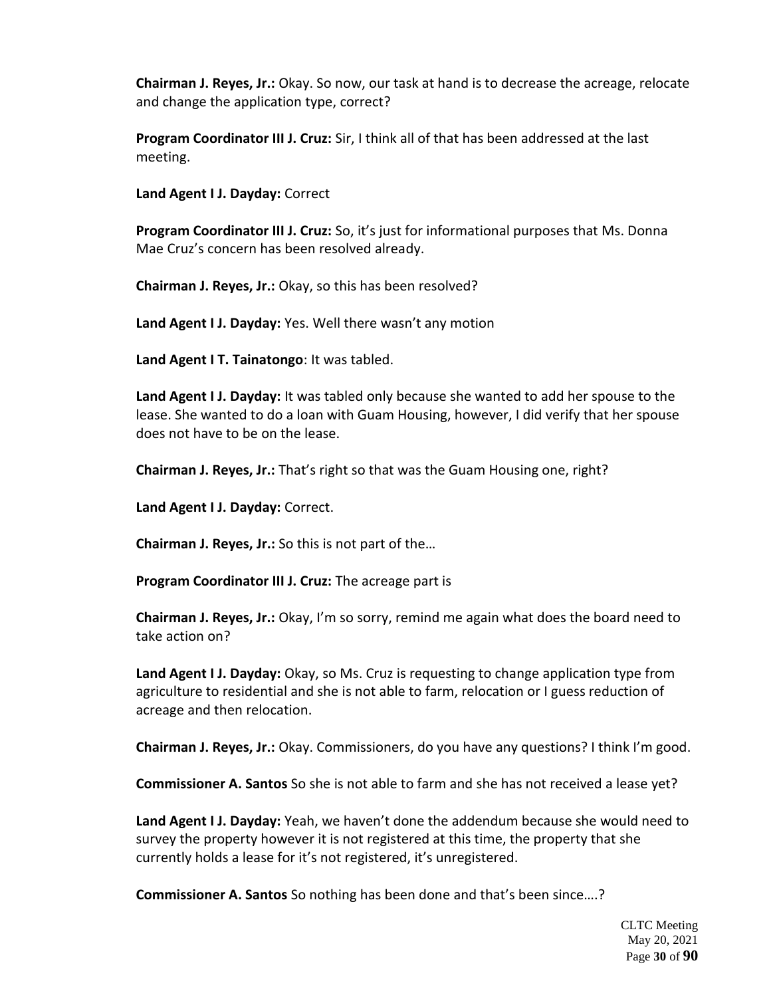**Chairman J. Reyes, Jr.:** Okay. So now, our task at hand is to decrease the acreage, relocate and change the application type, correct?

**Program Coordinator III J. Cruz:** Sir, I think all of that has been addressed at the last meeting.

**Land Agent I J. Dayday:** Correct

**Program Coordinator III J. Cruz:** So, it's just for informational purposes that Ms. Donna Mae Cruz's concern has been resolved already.

**Chairman J. Reyes, Jr.:** Okay, so this has been resolved?

**Land Agent I J. Dayday:** Yes. Well there wasn't any motion

**Land Agent I T. Tainatongo**: It was tabled.

**Land Agent I J. Dayday:** It was tabled only because she wanted to add her spouse to the lease. She wanted to do a loan with Guam Housing, however, I did verify that her spouse does not have to be on the lease.

**Chairman J. Reyes, Jr.:** That's right so that was the Guam Housing one, right?

**Land Agent I J. Dayday:** Correct.

**Chairman J. Reyes, Jr.:** So this is not part of the…

**Program Coordinator III J. Cruz:** The acreage part is

**Chairman J. Reyes, Jr.:** Okay, I'm so sorry, remind me again what does the board need to take action on?

**Land Agent I J. Dayday:** Okay, so Ms. Cruz is requesting to change application type from agriculture to residential and she is not able to farm, relocation or I guess reduction of acreage and then relocation.

**Chairman J. Reyes, Jr.:** Okay. Commissioners, do you have any questions? I think I'm good.

**Commissioner A. Santos** So she is not able to farm and she has not received a lease yet?

**Land Agent I J. Dayday:** Yeah, we haven't done the addendum because she would need to survey the property however it is not registered at this time, the property that she currently holds a lease for it's not registered, it's unregistered.

**Commissioner A. Santos** So nothing has been done and that's been since….?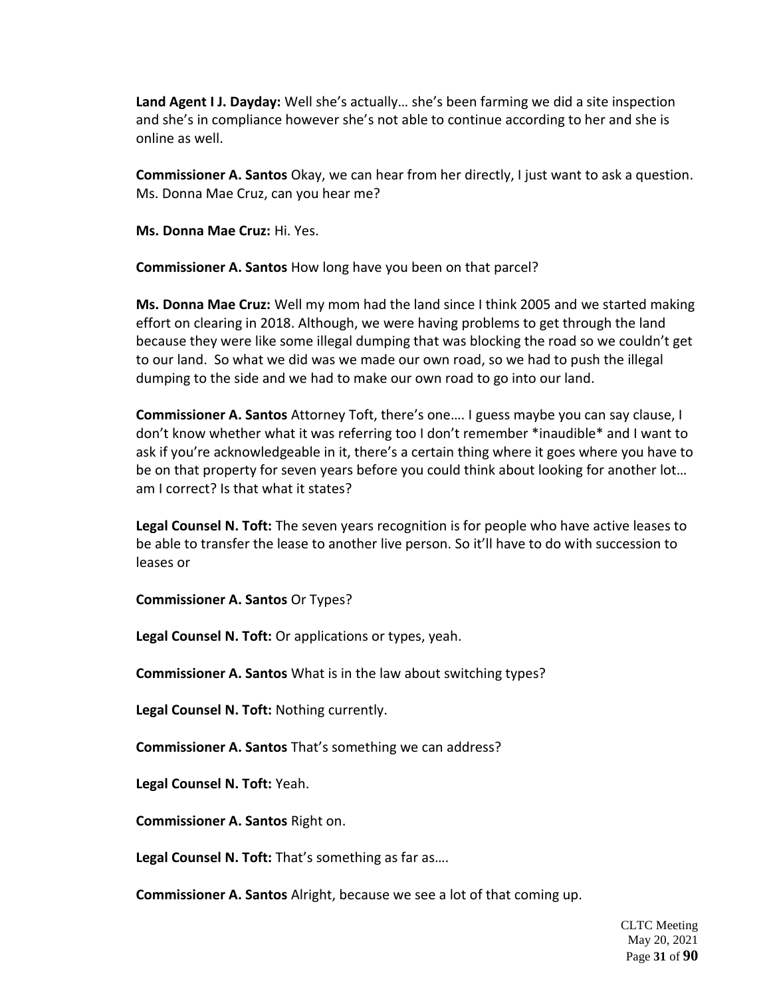**Land Agent I J. Dayday:** Well she's actually… she's been farming we did a site inspection and she's in compliance however she's not able to continue according to her and she is online as well.

**Commissioner A. Santos** Okay, we can hear from her directly, I just want to ask a question. Ms. Donna Mae Cruz, can you hear me?

**Ms. Donna Mae Cruz:** Hi. Yes.

**Commissioner A. Santos** How long have you been on that parcel?

**Ms. Donna Mae Cruz:** Well my mom had the land since I think 2005 and we started making effort on clearing in 2018. Although, we were having problems to get through the land because they were like some illegal dumping that was blocking the road so we couldn't get to our land. So what we did was we made our own road, so we had to push the illegal dumping to the side and we had to make our own road to go into our land.

**Commissioner A. Santos** Attorney Toft, there's one…. I guess maybe you can say clause, I don't know whether what it was referring too I don't remember \*inaudible\* and I want to ask if you're acknowledgeable in it, there's a certain thing where it goes where you have to be on that property for seven years before you could think about looking for another lot... am I correct? Is that what it states?

**Legal Counsel N. Toft:** The seven years recognition is for people who have active leases to be able to transfer the lease to another live person. So it'll have to do with succession to leases or

**Commissioner A. Santos** Or Types?

**Legal Counsel N. Toft:** Or applications or types, yeah.

**Commissioner A. Santos** What is in the law about switching types?

**Legal Counsel N. Toft:** Nothing currently.

**Commissioner A. Santos** That's something we can address?

**Legal Counsel N. Toft:** Yeah.

**Commissioner A. Santos** Right on.

**Legal Counsel N. Toft:** That's something as far as….

**Commissioner A. Santos** Alright, because we see a lot of that coming up.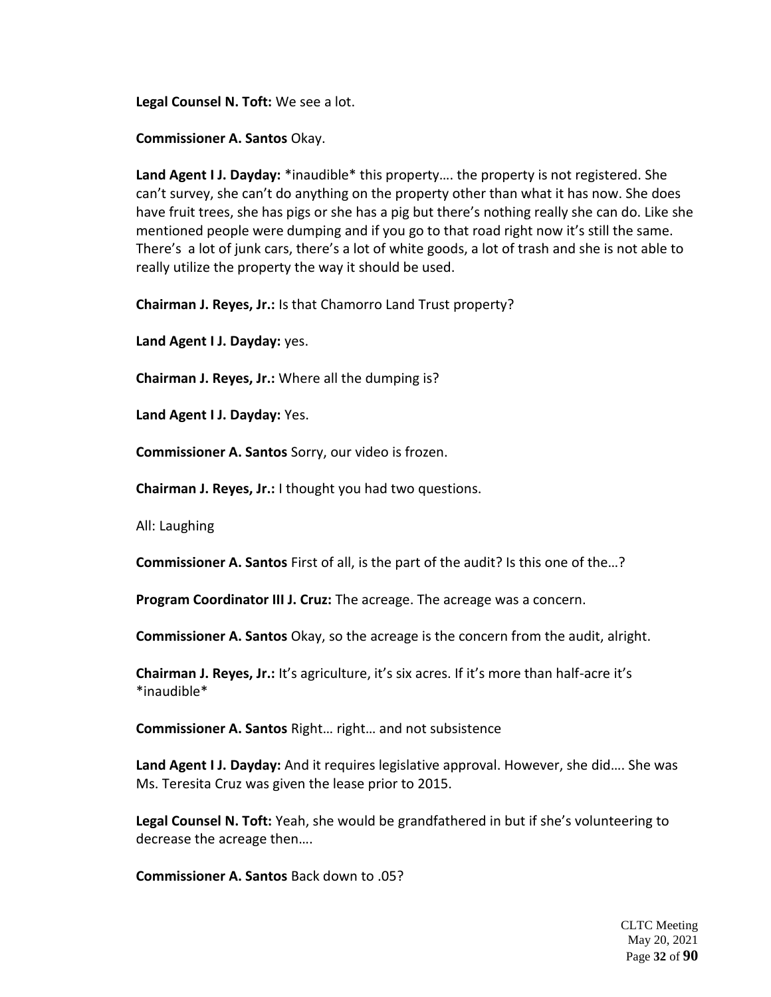**Legal Counsel N. Toft:** We see a lot.

**Commissioner A. Santos** Okay.

**Land Agent I J. Dayday:** \*inaudible\* this property…. the property is not registered. She can't survey, she can't do anything on the property other than what it has now. She does have fruit trees, she has pigs or she has a pig but there's nothing really she can do. Like she mentioned people were dumping and if you go to that road right now it's still the same. There's a lot of junk cars, there's a lot of white goods, a lot of trash and she is not able to really utilize the property the way it should be used.

**Chairman J. Reyes, Jr.:** Is that Chamorro Land Trust property?

**Land Agent I J. Dayday:** yes.

**Chairman J. Reyes, Jr.:** Where all the dumping is?

**Land Agent I J. Dayday:** Yes.

**Commissioner A. Santos** Sorry, our video is frozen.

**Chairman J. Reyes, Jr.:** I thought you had two questions.

All: Laughing

**Commissioner A. Santos** First of all, is the part of the audit? Is this one of the…?

**Program Coordinator III J. Cruz:** The acreage. The acreage was a concern.

**Commissioner A. Santos** Okay, so the acreage is the concern from the audit, alright.

**Chairman J. Reyes, Jr.:** It's agriculture, it's six acres. If it's more than half-acre it's \*inaudible\*

**Commissioner A. Santos** Right… right… and not subsistence

**Land Agent I J. Dayday:** And it requires legislative approval. However, she did…. She was Ms. Teresita Cruz was given the lease prior to 2015.

**Legal Counsel N. Toft:** Yeah, she would be grandfathered in but if she's volunteering to decrease the acreage then….

**Commissioner A. Santos** Back down to .05?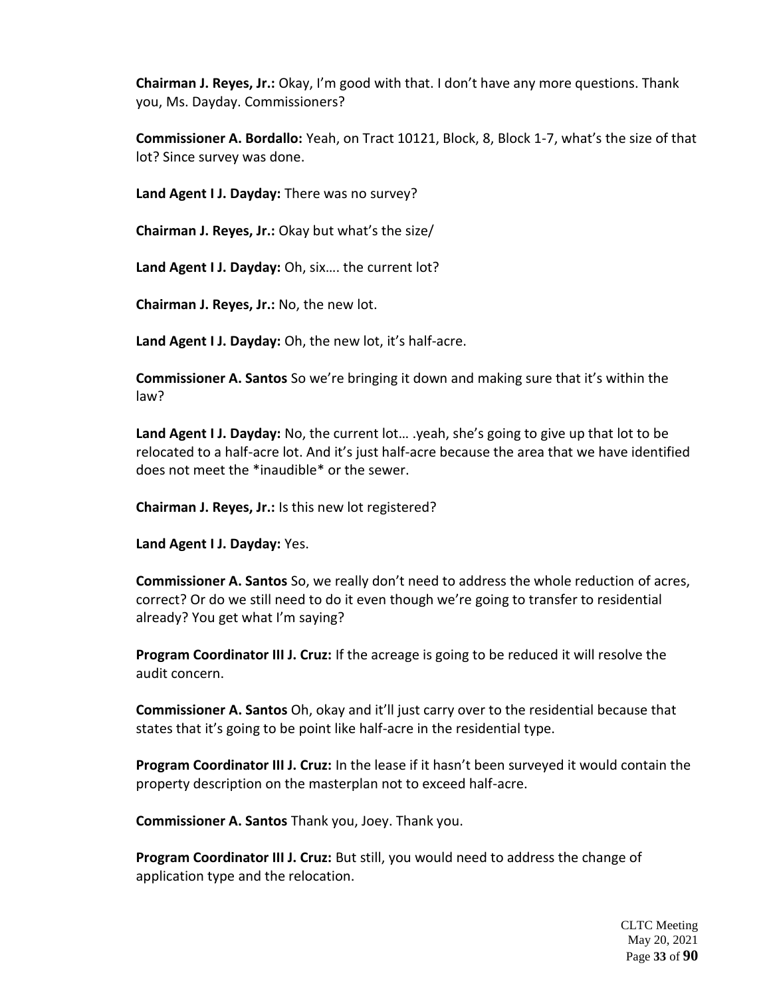**Chairman J. Reyes, Jr.:** Okay, I'm good with that. I don't have any more questions. Thank you, Ms. Dayday. Commissioners?

**Commissioner A. Bordallo:** Yeah, on Tract 10121, Block, 8, Block 1-7, what's the size of that lot? Since survey was done.

**Land Agent I J. Dayday:** There was no survey?

**Chairman J. Reyes, Jr.:** Okay but what's the size/

**Land Agent I J. Dayday:** Oh, six…. the current lot?

**Chairman J. Reyes, Jr.:** No, the new lot.

**Land Agent I J. Dayday:** Oh, the new lot, it's half-acre.

**Commissioner A. Santos** So we're bringing it down and making sure that it's within the law?

**Land Agent I J. Dayday:** No, the current lot… .yeah, she's going to give up that lot to be relocated to a half-acre lot. And it's just half-acre because the area that we have identified does not meet the \*inaudible\* or the sewer.

**Chairman J. Reyes, Jr.:** Is this new lot registered?

**Land Agent I J. Dayday:** Yes.

**Commissioner A. Santos** So, we really don't need to address the whole reduction of acres, correct? Or do we still need to do it even though we're going to transfer to residential already? You get what I'm saying?

**Program Coordinator III J. Cruz:** If the acreage is going to be reduced it will resolve the audit concern.

**Commissioner A. Santos** Oh, okay and it'll just carry over to the residential because that states that it's going to be point like half-acre in the residential type.

**Program Coordinator III J. Cruz:** In the lease if it hasn't been surveyed it would contain the property description on the masterplan not to exceed half-acre.

**Commissioner A. Santos** Thank you, Joey. Thank you.

**Program Coordinator III J. Cruz:** But still, you would need to address the change of application type and the relocation.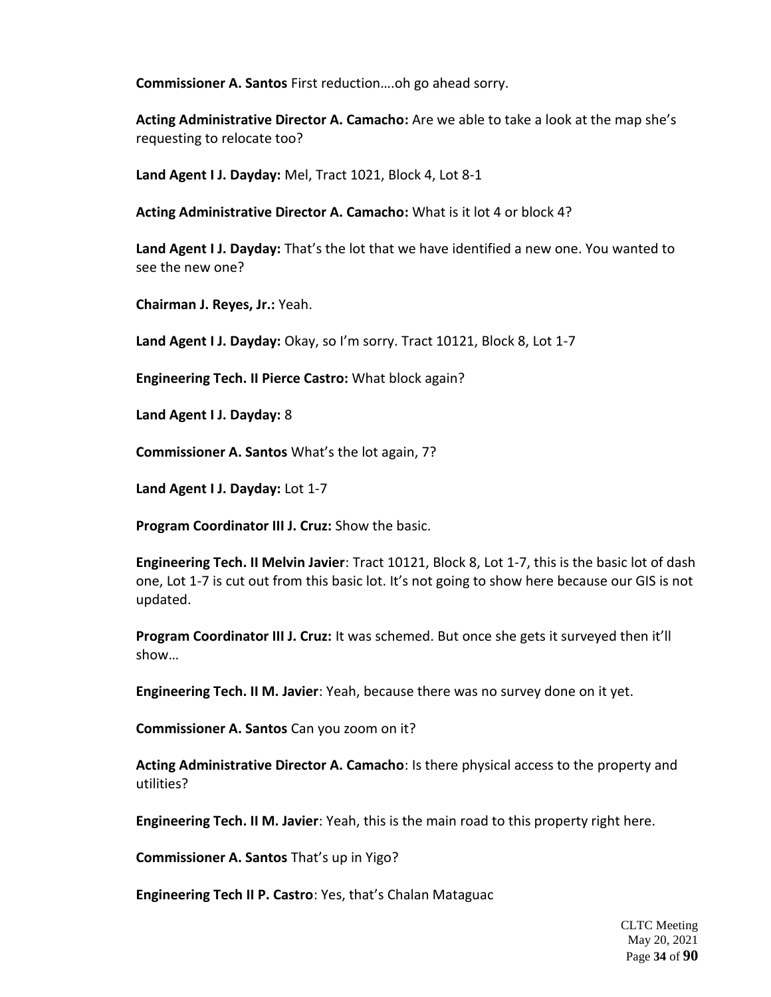**Commissioner A. Santos** First reduction….oh go ahead sorry.

**Acting Administrative Director A. Camacho:** Are we able to take a look at the map she's requesting to relocate too?

**Land Agent I J. Dayday:** Mel, Tract 1021, Block 4, Lot 8-1

**Acting Administrative Director A. Camacho:** What is it lot 4 or block 4?

**Land Agent I J. Dayday:** That's the lot that we have identified a new one. You wanted to see the new one?

**Chairman J. Reyes, Jr.:** Yeah.

**Land Agent I J. Dayday:** Okay, so I'm sorry. Tract 10121, Block 8, Lot 1-7

**Engineering Tech. II Pierce Castro:** What block again?

**Land Agent I J. Dayday:** 8

**Commissioner A. Santos** What's the lot again, 7?

**Land Agent I J. Dayday:** Lot 1-7

**Program Coordinator III J. Cruz:** Show the basic.

**Engineering Tech. II Melvin Javier**: Tract 10121, Block 8, Lot 1-7, this is the basic lot of dash one, Lot 1-7 is cut out from this basic lot. It's not going to show here because our GIS is not updated.

**Program Coordinator III J. Cruz:** It was schemed. But once she gets it surveyed then it'll show…

**Engineering Tech. II M. Javier**: Yeah, because there was no survey done on it yet.

**Commissioner A. Santos** Can you zoom on it?

**Acting Administrative Director A. Camacho**: Is there physical access to the property and utilities?

**Engineering Tech. II M. Javier**: Yeah, this is the main road to this property right here.

**Commissioner A. Santos** That's up in Yigo?

**Engineering Tech II P. Castro**: Yes, that's Chalan Mataguac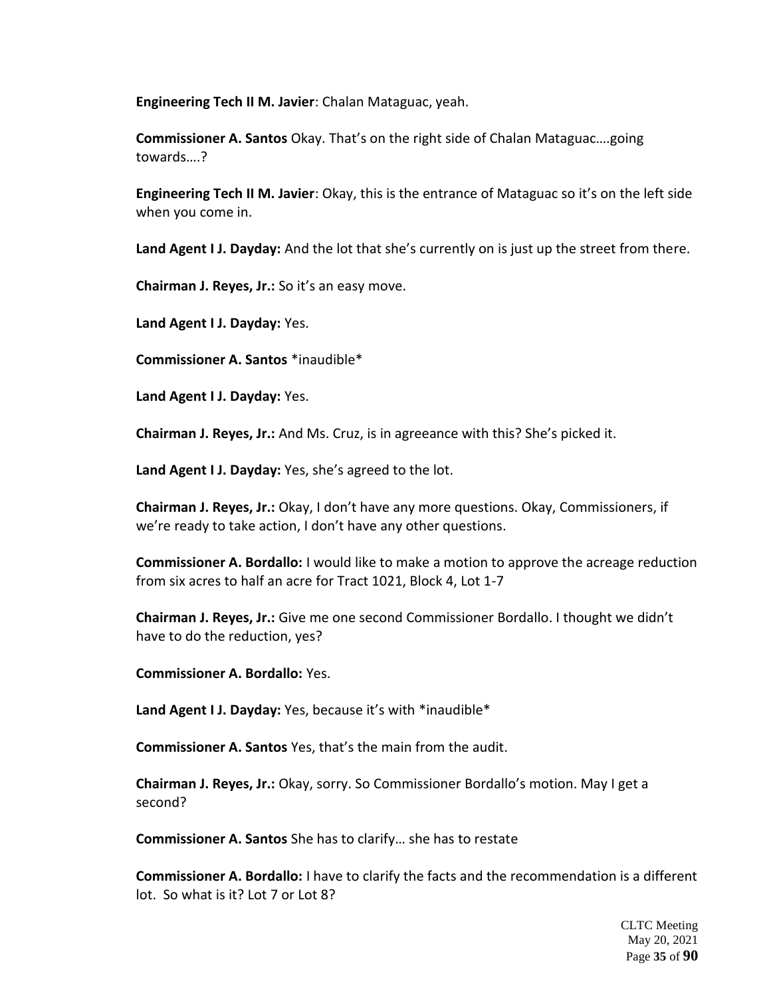**Engineering Tech II M. Javier**: Chalan Mataguac, yeah.

**Commissioner A. Santos** Okay. That's on the right side of Chalan Mataguac….going towards….?

**Engineering Tech II M. Javier**: Okay, this is the entrance of Mataguac so it's on the left side when you come in.

**Land Agent I J. Dayday:** And the lot that she's currently on is just up the street from there.

**Chairman J. Reyes, Jr.:** So it's an easy move.

**Land Agent I J. Dayday:** Yes.

**Commissioner A. Santos** \*inaudible\*

**Land Agent I J. Dayday:** Yes.

**Chairman J. Reyes, Jr.:** And Ms. Cruz, is in agreeance with this? She's picked it.

**Land Agent I J. Dayday:** Yes, she's agreed to the lot.

**Chairman J. Reyes, Jr.:** Okay, I don't have any more questions. Okay, Commissioners, if we're ready to take action, I don't have any other questions.

**Commissioner A. Bordallo:** I would like to make a motion to approve the acreage reduction from six acres to half an acre for Tract 1021, Block 4, Lot 1-7

**Chairman J. Reyes, Jr.:** Give me one second Commissioner Bordallo. I thought we didn't have to do the reduction, yes?

**Commissioner A. Bordallo:** Yes.

**Land Agent I J. Dayday:** Yes, because it's with \*inaudible\*

**Commissioner A. Santos** Yes, that's the main from the audit.

**Chairman J. Reyes, Jr.:** Okay, sorry. So Commissioner Bordallo's motion. May I get a second?

**Commissioner A. Santos** She has to clarify… she has to restate

**Commissioner A. Bordallo:** I have to clarify the facts and the recommendation is a different lot. So what is it? Lot 7 or Lot 8?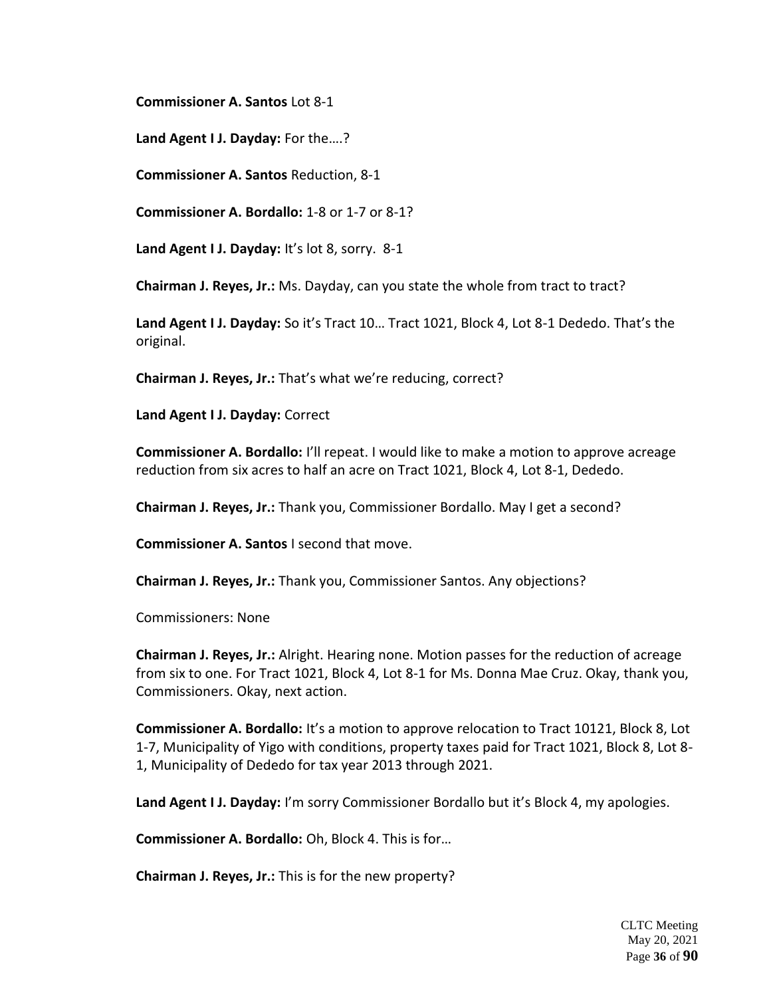**Commissioner A. Santos** Lot 8-1

**Land Agent I J. Dayday:** For the….?

**Commissioner A. Santos** Reduction, 8-1

**Commissioner A. Bordallo:** 1-8 or 1-7 or 8-1?

**Land Agent I J. Dayday:** It's lot 8, sorry. 8-1

**Chairman J. Reyes, Jr.:** Ms. Dayday, can you state the whole from tract to tract?

**Land Agent I J. Dayday:** So it's Tract 10… Tract 1021, Block 4, Lot 8-1 Dededo. That's the original.

**Chairman J. Reyes, Jr.:** That's what we're reducing, correct?

**Land Agent I J. Dayday:** Correct

**Commissioner A. Bordallo:** I'll repeat. I would like to make a motion to approve acreage reduction from six acres to half an acre on Tract 1021, Block 4, Lot 8-1, Dededo.

**Chairman J. Reyes, Jr.:** Thank you, Commissioner Bordallo. May I get a second?

**Commissioner A. Santos** I second that move.

**Chairman J. Reyes, Jr.:** Thank you, Commissioner Santos. Any objections?

Commissioners: None

**Chairman J. Reyes, Jr.:** Alright. Hearing none. Motion passes for the reduction of acreage from six to one. For Tract 1021, Block 4, Lot 8-1 for Ms. Donna Mae Cruz. Okay, thank you, Commissioners. Okay, next action.

**Commissioner A. Bordallo:** It's a motion to approve relocation to Tract 10121, Block 8, Lot 1-7, Municipality of Yigo with conditions, property taxes paid for Tract 1021, Block 8, Lot 8- 1, Municipality of Dededo for tax year 2013 through 2021.

**Land Agent I J. Dayday:** I'm sorry Commissioner Bordallo but it's Block 4, my apologies.

**Commissioner A. Bordallo:** Oh, Block 4. This is for…

**Chairman J. Reyes, Jr.:** This is for the new property?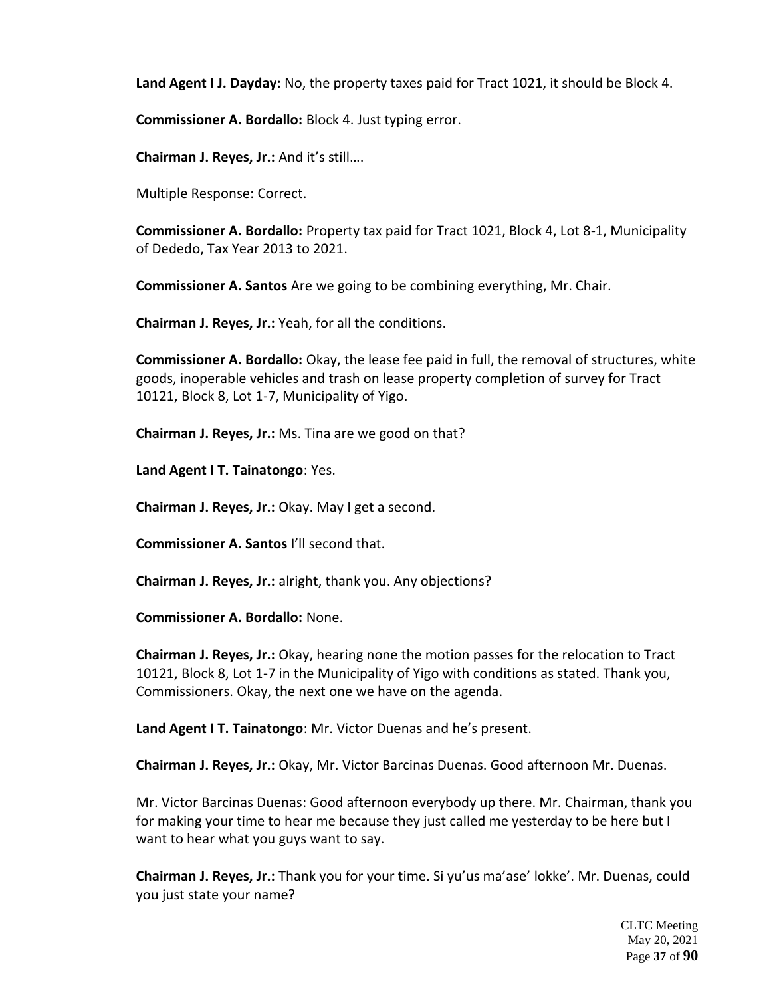**Land Agent I J. Dayday:** No, the property taxes paid for Tract 1021, it should be Block 4.

**Commissioner A. Bordallo:** Block 4. Just typing error.

**Chairman J. Reyes, Jr.:** And it's still….

Multiple Response: Correct.

**Commissioner A. Bordallo:** Property tax paid for Tract 1021, Block 4, Lot 8-1, Municipality of Dededo, Tax Year 2013 to 2021.

**Commissioner A. Santos** Are we going to be combining everything, Mr. Chair.

**Chairman J. Reyes, Jr.:** Yeah, for all the conditions.

**Commissioner A. Bordallo:** Okay, the lease fee paid in full, the removal of structures, white goods, inoperable vehicles and trash on lease property completion of survey for Tract 10121, Block 8, Lot 1-7, Municipality of Yigo.

**Chairman J. Reyes, Jr.:** Ms. Tina are we good on that?

**Land Agent I T. Tainatongo**: Yes.

**Chairman J. Reyes, Jr.:** Okay. May I get a second.

**Commissioner A. Santos** I'll second that.

**Chairman J. Reyes, Jr.:** alright, thank you. Any objections?

**Commissioner A. Bordallo:** None.

**Chairman J. Reyes, Jr.:** Okay, hearing none the motion passes for the relocation to Tract 10121, Block 8, Lot 1-7 in the Municipality of Yigo with conditions as stated. Thank you, Commissioners. Okay, the next one we have on the agenda.

**Land Agent I T. Tainatongo**: Mr. Victor Duenas and he's present.

**Chairman J. Reyes, Jr.:** Okay, Mr. Victor Barcinas Duenas. Good afternoon Mr. Duenas.

Mr. Victor Barcinas Duenas: Good afternoon everybody up there. Mr. Chairman, thank you for making your time to hear me because they just called me yesterday to be here but I want to hear what you guys want to say.

**Chairman J. Reyes, Jr.:** Thank you for your time. Si yu'us ma'ase' lokke'. Mr. Duenas, could you just state your name?

> CLTC Meeting May 20, 2021 Page **37** of **90**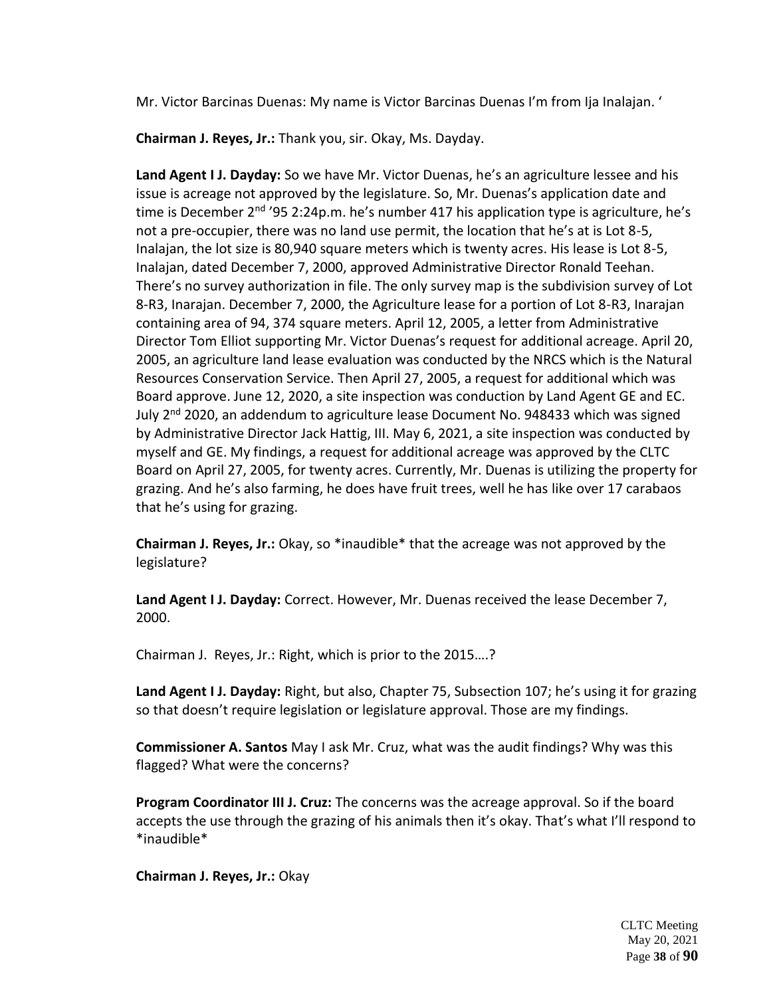Mr. Victor Barcinas Duenas: My name is Victor Barcinas Duenas I'm from Ija Inalajan. '

**Chairman J. Reyes, Jr.:** Thank you, sir. Okay, Ms. Dayday.

**Land Agent I J. Dayday:** So we have Mr. Victor Duenas, he's an agriculture lessee and his issue is acreage not approved by the legislature. So, Mr. Duenas's application date and time is December  $2<sup>nd</sup>$  '95 2:24p.m. he's number 417 his application type is agriculture, he's not a pre-occupier, there was no land use permit, the location that he's at is Lot 8-5, Inalajan, the lot size is 80,940 square meters which is twenty acres. His lease is Lot 8-5, Inalajan, dated December 7, 2000, approved Administrative Director Ronald Teehan. There's no survey authorization in file. The only survey map is the subdivision survey of Lot 8-R3, Inarajan. December 7, 2000, the Agriculture lease for a portion of Lot 8-R3, Inarajan containing area of 94, 374 square meters. April 12, 2005, a letter from Administrative Director Tom Elliot supporting Mr. Victor Duenas's request for additional acreage. April 20, 2005, an agriculture land lease evaluation was conducted by the NRCS which is the Natural Resources Conservation Service. Then April 27, 2005, a request for additional which was Board approve. June 12, 2020, a site inspection was conduction by Land Agent GE and EC. July 2<sup>nd</sup> 2020, an addendum to agriculture lease Document No. 948433 which was signed by Administrative Director Jack Hattig, III. May 6, 2021, a site inspection was conducted by myself and GE. My findings, a request for additional acreage was approved by the CLTC Board on April 27, 2005, for twenty acres. Currently, Mr. Duenas is utilizing the property for grazing. And he's also farming, he does have fruit trees, well he has like over 17 carabaos that he's using for grazing.

**Chairman J. Reyes, Jr.:** Okay, so \*inaudible\* that the acreage was not approved by the legislature?

**Land Agent I J. Dayday:** Correct. However, Mr. Duenas received the lease December 7, 2000.

Chairman J. Reyes, Jr.: Right, which is prior to the 2015….?

**Land Agent I J. Dayday:** Right, but also, Chapter 75, Subsection 107; he's using it for grazing so that doesn't require legislation or legislature approval. Those are my findings.

**Commissioner A. Santos** May I ask Mr. Cruz, what was the audit findings? Why was this flagged? What were the concerns?

**Program Coordinator III J. Cruz:** The concerns was the acreage approval. So if the board accepts the use through the grazing of his animals then it's okay. That's what I'll respond to \*inaudible\*

**Chairman J. Reyes, Jr.:** Okay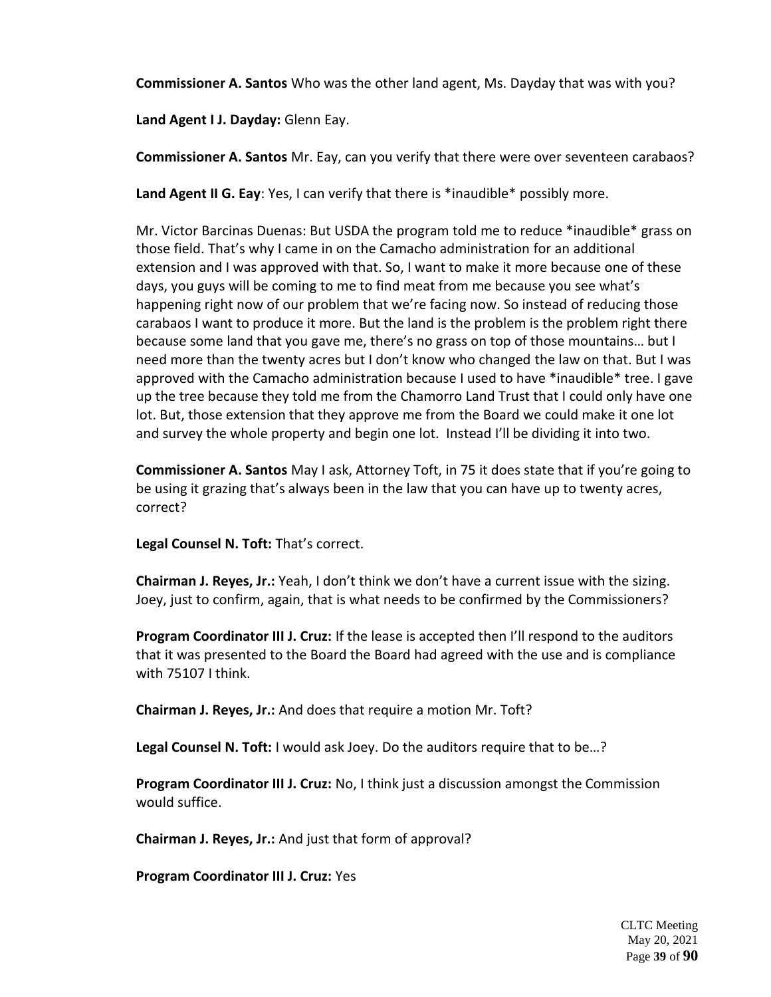**Commissioner A. Santos** Who was the other land agent, Ms. Dayday that was with you?

**Land Agent I J. Dayday:** Glenn Eay.

**Commissioner A. Santos** Mr. Eay, can you verify that there were over seventeen carabaos?

Land Agent II G. Eay: Yes, I can verify that there is \*inaudible\* possibly more.

Mr. Victor Barcinas Duenas: But USDA the program told me to reduce \*inaudible\* grass on those field. That's why I came in on the Camacho administration for an additional extension and I was approved with that. So, I want to make it more because one of these days, you guys will be coming to me to find meat from me because you see what's happening right now of our problem that we're facing now. So instead of reducing those carabaos I want to produce it more. But the land is the problem is the problem right there because some land that you gave me, there's no grass on top of those mountains… but I need more than the twenty acres but I don't know who changed the law on that. But I was approved with the Camacho administration because I used to have \*inaudible\* tree. I gave up the tree because they told me from the Chamorro Land Trust that I could only have one lot. But, those extension that they approve me from the Board we could make it one lot and survey the whole property and begin one lot. Instead I'll be dividing it into two.

**Commissioner A. Santos** May I ask, Attorney Toft, in 75 it does state that if you're going to be using it grazing that's always been in the law that you can have up to twenty acres, correct?

**Legal Counsel N. Toft:** That's correct.

**Chairman J. Reyes, Jr.:** Yeah, I don't think we don't have a current issue with the sizing. Joey, just to confirm, again, that is what needs to be confirmed by the Commissioners?

**Program Coordinator III J. Cruz:** If the lease is accepted then I'll respond to the auditors that it was presented to the Board the Board had agreed with the use and is compliance with 75107 I think.

**Chairman J. Reyes, Jr.:** And does that require a motion Mr. Toft?

**Legal Counsel N. Toft:** I would ask Joey. Do the auditors require that to be…?

**Program Coordinator III J. Cruz:** No, I think just a discussion amongst the Commission would suffice.

**Chairman J. Reyes, Jr.:** And just that form of approval?

**Program Coordinator III J. Cruz:** Yes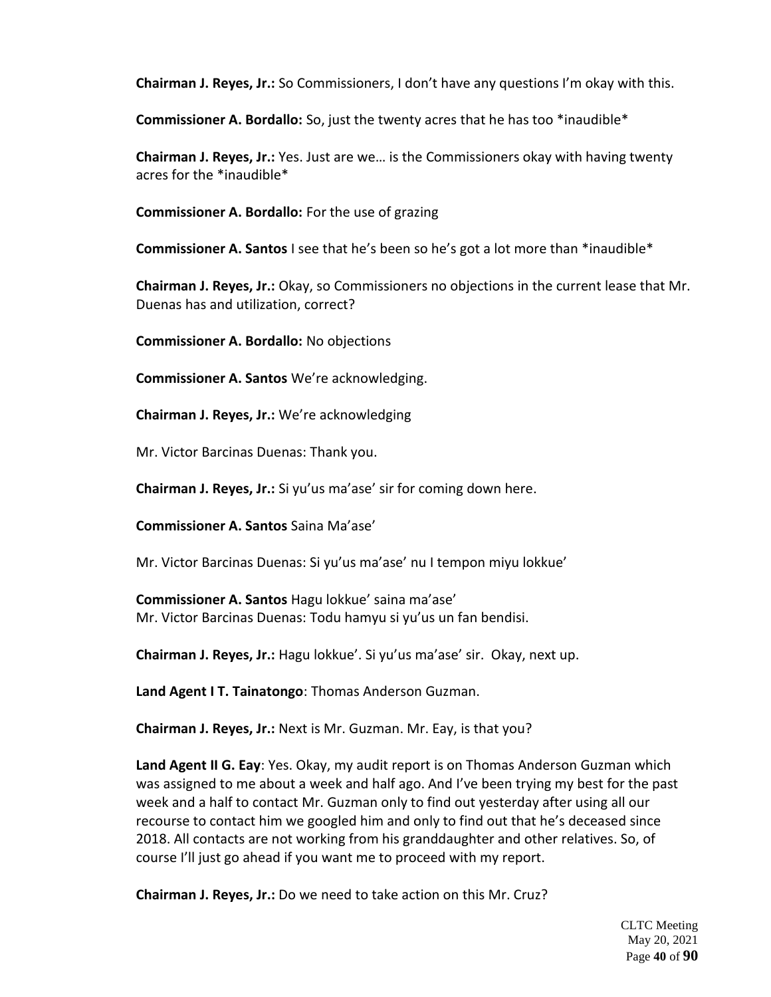**Chairman J. Reyes, Jr.:** So Commissioners, I don't have any questions I'm okay with this.

**Commissioner A. Bordallo:** So, just the twenty acres that he has too \*inaudible\*

**Chairman J. Reyes, Jr.:** Yes. Just are we… is the Commissioners okay with having twenty acres for the \*inaudible\*

**Commissioner A. Bordallo:** For the use of grazing

**Commissioner A. Santos** I see that he's been so he's got a lot more than \*inaudible\*

**Chairman J. Reyes, Jr.:** Okay, so Commissioners no objections in the current lease that Mr. Duenas has and utilization, correct?

**Commissioner A. Bordallo:** No objections

**Commissioner A. Santos** We're acknowledging.

**Chairman J. Reyes, Jr.:** We're acknowledging

Mr. Victor Barcinas Duenas: Thank you.

**Chairman J. Reyes, Jr.:** Si yu'us ma'ase' sir for coming down here.

**Commissioner A. Santos** Saina Ma'ase'

Mr. Victor Barcinas Duenas: Si yu'us ma'ase' nu I tempon miyu lokkue'

**Commissioner A. Santos** Hagu lokkue' saina ma'ase' Mr. Victor Barcinas Duenas: Todu hamyu si yu'us un fan bendisi.

**Chairman J. Reyes, Jr.:** Hagu lokkue'. Si yu'us ma'ase' sir. Okay, next up.

**Land Agent I T. Tainatongo**: Thomas Anderson Guzman.

**Chairman J. Reyes, Jr.:** Next is Mr. Guzman. Mr. Eay, is that you?

**Land Agent II G. Eay**: Yes. Okay, my audit report is on Thomas Anderson Guzman which was assigned to me about a week and half ago. And I've been trying my best for the past week and a half to contact Mr. Guzman only to find out yesterday after using all our recourse to contact him we googled him and only to find out that he's deceased since 2018. All contacts are not working from his granddaughter and other relatives. So, of course I'll just go ahead if you want me to proceed with my report.

**Chairman J. Reyes, Jr.:** Do we need to take action on this Mr. Cruz?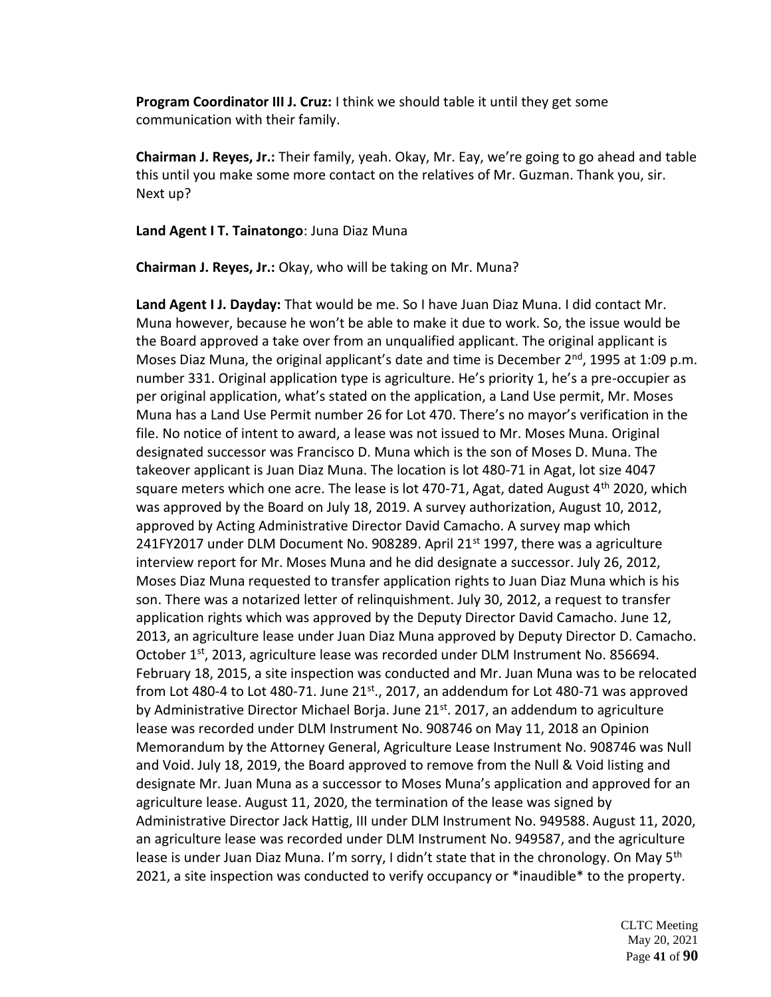**Program Coordinator III J. Cruz:** I think we should table it until they get some communication with their family.

**Chairman J. Reyes, Jr.:** Their family, yeah. Okay, Mr. Eay, we're going to go ahead and table this until you make some more contact on the relatives of Mr. Guzman. Thank you, sir. Next up?

**Land Agent I T. Tainatongo**: Juna Diaz Muna

**Chairman J. Reyes, Jr.:** Okay, who will be taking on Mr. Muna?

**Land Agent I J. Dayday:** That would be me. So I have Juan Diaz Muna. I did contact Mr. Muna however, because he won't be able to make it due to work. So, the issue would be the Board approved a take over from an unqualified applicant. The original applicant is Moses Diaz Muna, the original applicant's date and time is December 2<sup>nd</sup>, 1995 at 1:09 p.m. number 331. Original application type is agriculture. He's priority 1, he's a pre-occupier as per original application, what's stated on the application, a Land Use permit, Mr. Moses Muna has a Land Use Permit number 26 for Lot 470. There's no mayor's verification in the file. No notice of intent to award, a lease was not issued to Mr. Moses Muna. Original designated successor was Francisco D. Muna which is the son of Moses D. Muna. The takeover applicant is Juan Diaz Muna. The location is lot 480-71 in Agat, lot size 4047 square meters which one acre. The lease is lot 470-71, Agat, dated August 4<sup>th</sup> 2020, which was approved by the Board on July 18, 2019. A survey authorization, August 10, 2012, approved by Acting Administrative Director David Camacho. A survey map which 241FY2017 under DLM Document No. 908289. April 21 $st$  1997, there was a agriculture interview report for Mr. Moses Muna and he did designate a successor. July 26, 2012, Moses Diaz Muna requested to transfer application rights to Juan Diaz Muna which is his son. There was a notarized letter of relinquishment. July 30, 2012, a request to transfer application rights which was approved by the Deputy Director David Camacho. June 12, 2013, an agriculture lease under Juan Diaz Muna approved by Deputy Director D. Camacho. October  $1^{st}$ , 2013, agriculture lease was recorded under DLM Instrument No. 856694. February 18, 2015, a site inspection was conducted and Mr. Juan Muna was to be relocated from Lot 480-4 to Lot 480-71. June  $21^{st}$ ., 2017, an addendum for Lot 480-71 was approved by Administrative Director Michael Borja. June 21<sup>st</sup>. 2017, an addendum to agriculture lease was recorded under DLM Instrument No. 908746 on May 11, 2018 an Opinion Memorandum by the Attorney General, Agriculture Lease Instrument No. 908746 was Null and Void. July 18, 2019, the Board approved to remove from the Null & Void listing and designate Mr. Juan Muna as a successor to Moses Muna's application and approved for an agriculture lease. August 11, 2020, the termination of the lease was signed by Administrative Director Jack Hattig, III under DLM Instrument No. 949588. August 11, 2020, an agriculture lease was recorded under DLM Instrument No. 949587, and the agriculture lease is under Juan Diaz Muna. I'm sorry, I didn't state that in the chronology. On May 5<sup>th</sup> 2021, a site inspection was conducted to verify occupancy or \*inaudible\* to the property.

> CLTC Meeting May 20, 2021 Page **41** of **90**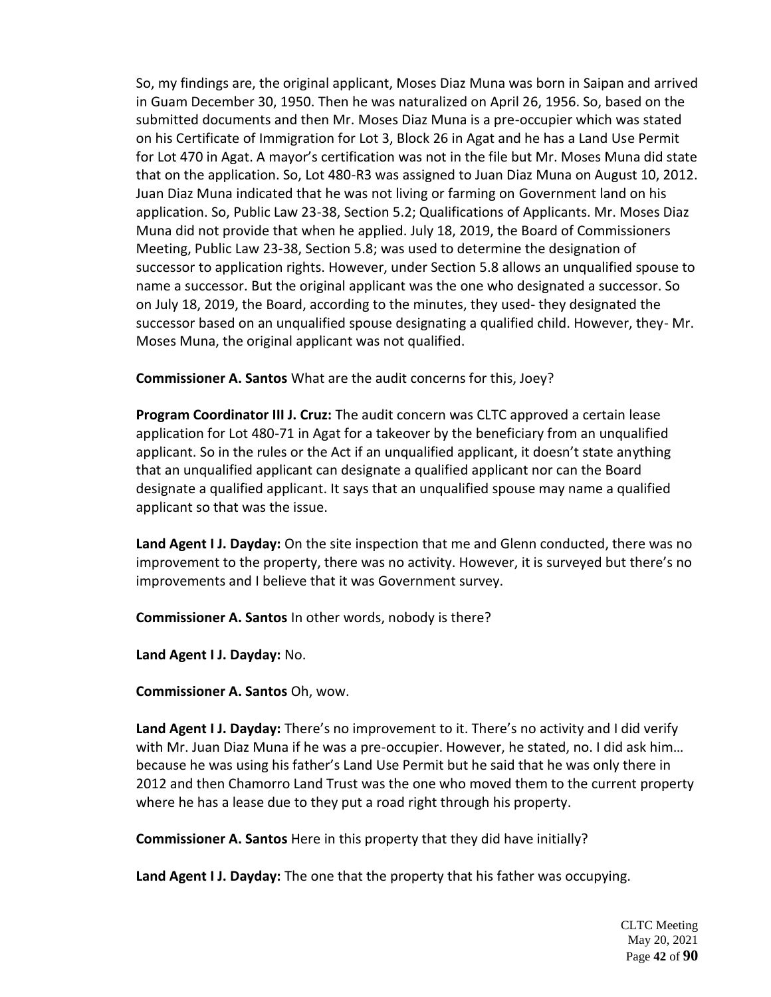So, my findings are, the original applicant, Moses Diaz Muna was born in Saipan and arrived in Guam December 30, 1950. Then he was naturalized on April 26, 1956. So, based on the submitted documents and then Mr. Moses Diaz Muna is a pre-occupier which was stated on his Certificate of Immigration for Lot 3, Block 26 in Agat and he has a Land Use Permit for Lot 470 in Agat. A mayor's certification was not in the file but Mr. Moses Muna did state that on the application. So, Lot 480-R3 was assigned to Juan Diaz Muna on August 10, 2012. Juan Diaz Muna indicated that he was not living or farming on Government land on his application. So, Public Law 23-38, Section 5.2; Qualifications of Applicants. Mr. Moses Diaz Muna did not provide that when he applied. July 18, 2019, the Board of Commissioners Meeting, Public Law 23-38, Section 5.8; was used to determine the designation of successor to application rights. However, under Section 5.8 allows an unqualified spouse to name a successor. But the original applicant was the one who designated a successor. So on July 18, 2019, the Board, according to the minutes, they used- they designated the successor based on an unqualified spouse designating a qualified child. However, they- Mr. Moses Muna, the original applicant was not qualified.

**Commissioner A. Santos** What are the audit concerns for this, Joey?

**Program Coordinator III J. Cruz:** The audit concern was CLTC approved a certain lease application for Lot 480-71 in Agat for a takeover by the beneficiary from an unqualified applicant. So in the rules or the Act if an unqualified applicant, it doesn't state anything that an unqualified applicant can designate a qualified applicant nor can the Board designate a qualified applicant. It says that an unqualified spouse may name a qualified applicant so that was the issue.

**Land Agent I J. Dayday:** On the site inspection that me and Glenn conducted, there was no improvement to the property, there was no activity. However, it is surveyed but there's no improvements and I believe that it was Government survey.

**Commissioner A. Santos** In other words, nobody is there?

**Land Agent I J. Dayday:** No.

**Commissioner A. Santos** Oh, wow.

**Land Agent I J. Dayday:** There's no improvement to it. There's no activity and I did verify with Mr. Juan Diaz Muna if he was a pre-occupier. However, he stated, no. I did ask him… because he was using his father's Land Use Permit but he said that he was only there in 2012 and then Chamorro Land Trust was the one who moved them to the current property where he has a lease due to they put a road right through his property.

**Commissioner A. Santos** Here in this property that they did have initially?

**Land Agent I J. Dayday:** The one that the property that his father was occupying.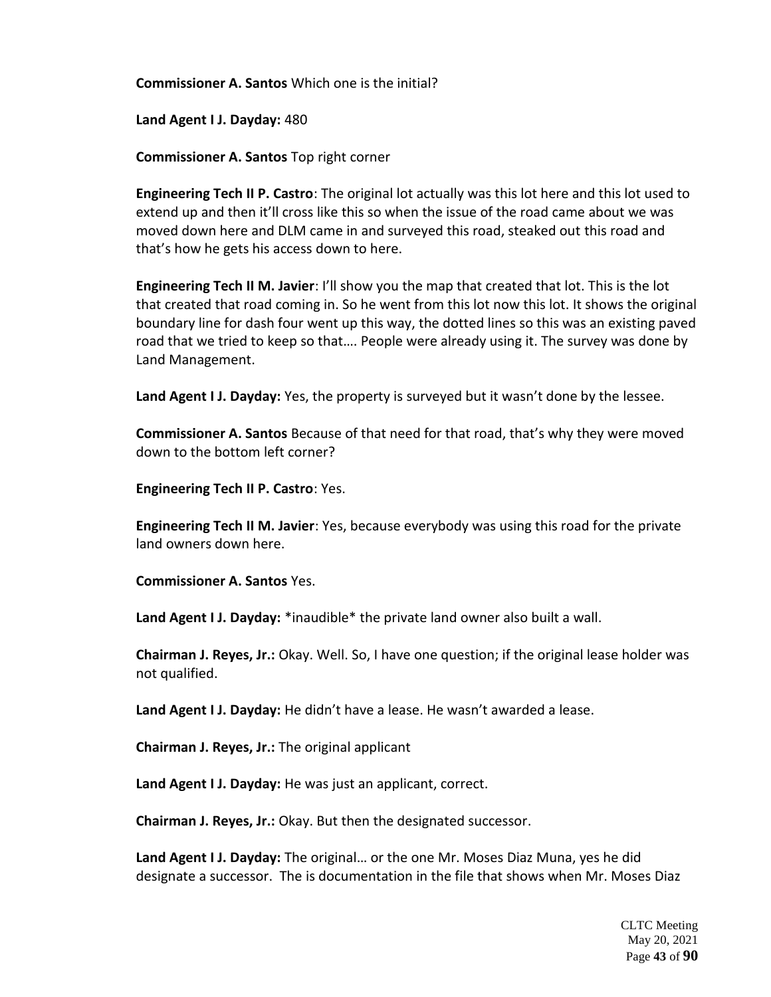**Commissioner A. Santos** Which one is the initial?

**Land Agent I J. Dayday:** 480

**Commissioner A. Santos** Top right corner

**Engineering Tech II P. Castro**: The original lot actually was this lot here and this lot used to extend up and then it'll cross like this so when the issue of the road came about we was moved down here and DLM came in and surveyed this road, steaked out this road and that's how he gets his access down to here.

**Engineering Tech II M. Javier**: I'll show you the map that created that lot. This is the lot that created that road coming in. So he went from this lot now this lot. It shows the original boundary line for dash four went up this way, the dotted lines so this was an existing paved road that we tried to keep so that…. People were already using it. The survey was done by Land Management.

**Land Agent I J. Dayday:** Yes, the property is surveyed but it wasn't done by the lessee.

**Commissioner A. Santos** Because of that need for that road, that's why they were moved down to the bottom left corner?

**Engineering Tech II P. Castro**: Yes.

**Engineering Tech II M. Javier**: Yes, because everybody was using this road for the private land owners down here.

**Commissioner A. Santos** Yes.

**Land Agent I J. Dayday:** \*inaudible\* the private land owner also built a wall.

**Chairman J. Reyes, Jr.:** Okay. Well. So, I have one question; if the original lease holder was not qualified.

**Land Agent I J. Dayday:** He didn't have a lease. He wasn't awarded a lease.

**Chairman J. Reyes, Jr.:** The original applicant

**Land Agent I J. Dayday:** He was just an applicant, correct.

**Chairman J. Reyes, Jr.:** Okay. But then the designated successor.

**Land Agent I J. Dayday:** The original… or the one Mr. Moses Diaz Muna, yes he did designate a successor. The is documentation in the file that shows when Mr. Moses Diaz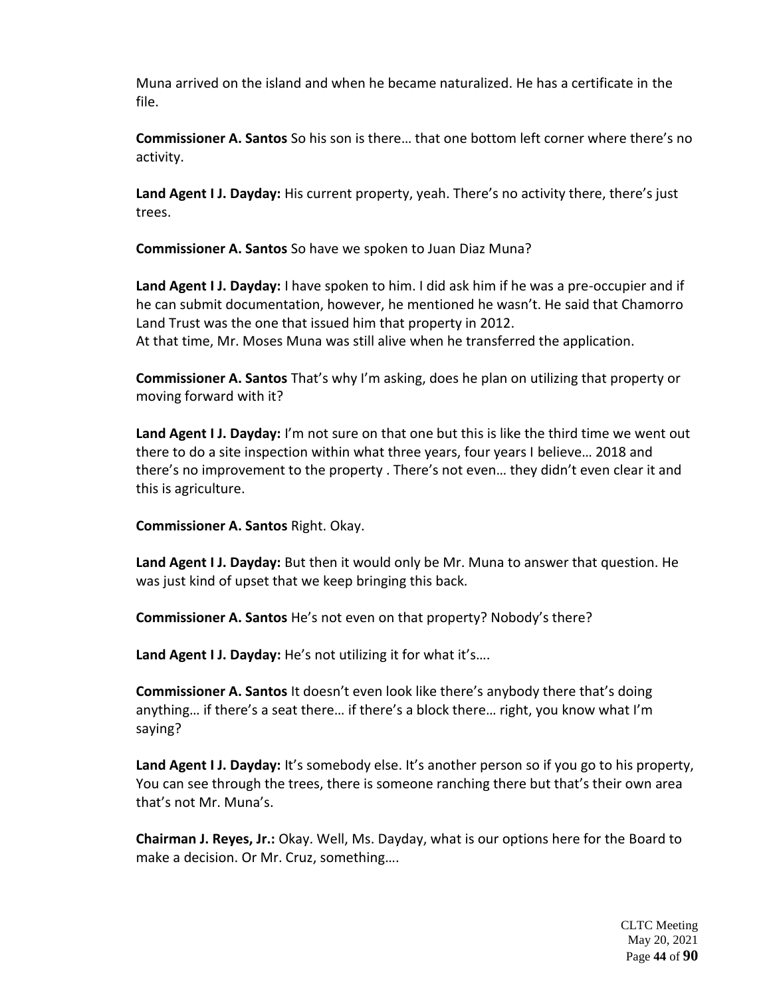Muna arrived on the island and when he became naturalized. He has a certificate in the file.

**Commissioner A. Santos** So his son is there… that one bottom left corner where there's no activity.

**Land Agent I J. Dayday:** His current property, yeah. There's no activity there, there's just trees.

**Commissioner A. Santos** So have we spoken to Juan Diaz Muna?

**Land Agent I J. Dayday:** I have spoken to him. I did ask him if he was a pre-occupier and if he can submit documentation, however, he mentioned he wasn't. He said that Chamorro Land Trust was the one that issued him that property in 2012. At that time, Mr. Moses Muna was still alive when he transferred the application.

**Commissioner A. Santos** That's why I'm asking, does he plan on utilizing that property or moving forward with it?

**Land Agent I J. Dayday:** I'm not sure on that one but this is like the third time we went out there to do a site inspection within what three years, four years I believe… 2018 and there's no improvement to the property . There's not even… they didn't even clear it and this is agriculture.

**Commissioner A. Santos** Right. Okay.

**Land Agent I J. Dayday:** But then it would only be Mr. Muna to answer that question. He was just kind of upset that we keep bringing this back.

**Commissioner A. Santos** He's not even on that property? Nobody's there?

**Land Agent I J. Dayday:** He's not utilizing it for what it's….

**Commissioner A. Santos** It doesn't even look like there's anybody there that's doing anything… if there's a seat there… if there's a block there… right, you know what I'm saying?

**Land Agent I J. Dayday:** It's somebody else. It's another person so if you go to his property, You can see through the trees, there is someone ranching there but that's their own area that's not Mr. Muna's.

**Chairman J. Reyes, Jr.:** Okay. Well, Ms. Dayday, what is our options here for the Board to make a decision. Or Mr. Cruz, something….

> CLTC Meeting May 20, 2021 Page **44** of **90**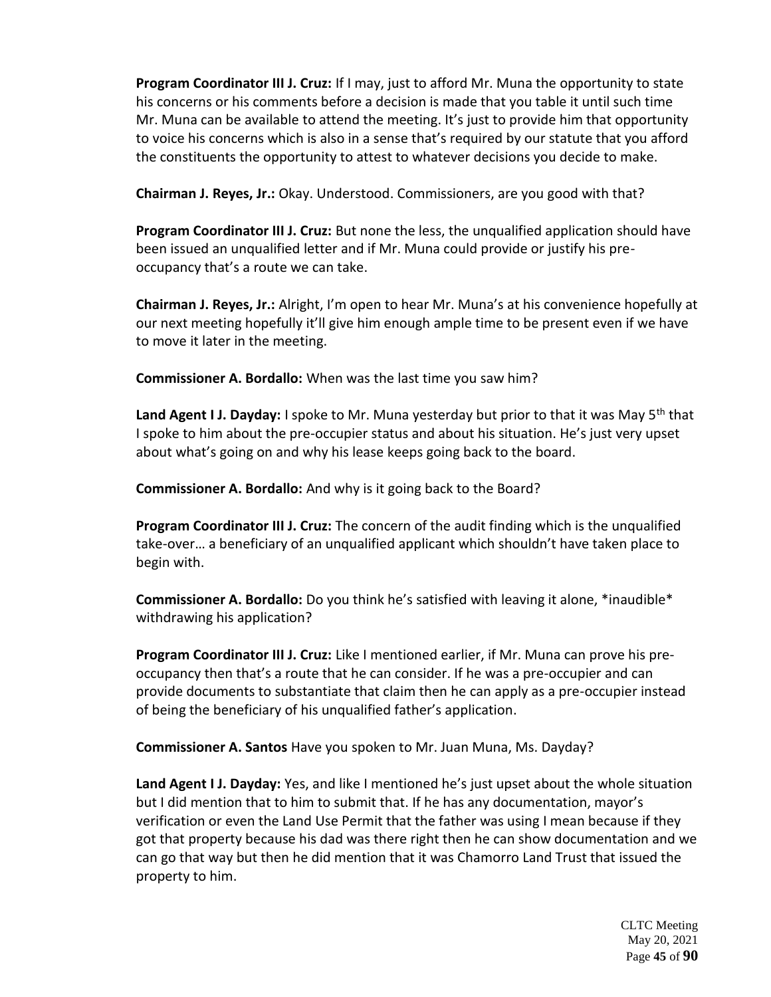**Program Coordinator III J. Cruz:** If I may, just to afford Mr. Muna the opportunity to state his concerns or his comments before a decision is made that you table it until such time Mr. Muna can be available to attend the meeting. It's just to provide him that opportunity to voice his concerns which is also in a sense that's required by our statute that you afford the constituents the opportunity to attest to whatever decisions you decide to make.

**Chairman J. Reyes, Jr.:** Okay. Understood. Commissioners, are you good with that?

**Program Coordinator III J. Cruz:** But none the less, the unqualified application should have been issued an unqualified letter and if Mr. Muna could provide or justify his preoccupancy that's a route we can take.

**Chairman J. Reyes, Jr.:** Alright, I'm open to hear Mr. Muna's at his convenience hopefully at our next meeting hopefully it'll give him enough ample time to be present even if we have to move it later in the meeting.

**Commissioner A. Bordallo:** When was the last time you saw him?

Land Agent I J. Dayday: I spoke to Mr. Muna yesterday but prior to that it was May 5<sup>th</sup> that I spoke to him about the pre-occupier status and about his situation. He's just very upset about what's going on and why his lease keeps going back to the board.

**Commissioner A. Bordallo:** And why is it going back to the Board?

**Program Coordinator III J. Cruz:** The concern of the audit finding which is the unqualified take-over… a beneficiary of an unqualified applicant which shouldn't have taken place to begin with.

**Commissioner A. Bordallo:** Do you think he's satisfied with leaving it alone, \*inaudible\* withdrawing his application?

**Program Coordinator III J. Cruz:** Like I mentioned earlier, if Mr. Muna can prove his preoccupancy then that's a route that he can consider. If he was a pre-occupier and can provide documents to substantiate that claim then he can apply as a pre-occupier instead of being the beneficiary of his unqualified father's application.

**Commissioner A. Santos** Have you spoken to Mr. Juan Muna, Ms. Dayday?

**Land Agent I J. Dayday:** Yes, and like I mentioned he's just upset about the whole situation but I did mention that to him to submit that. If he has any documentation, mayor's verification or even the Land Use Permit that the father was using I mean because if they got that property because his dad was there right then he can show documentation and we can go that way but then he did mention that it was Chamorro Land Trust that issued the property to him.

> CLTC Meeting May 20, 2021 Page **45** of **90**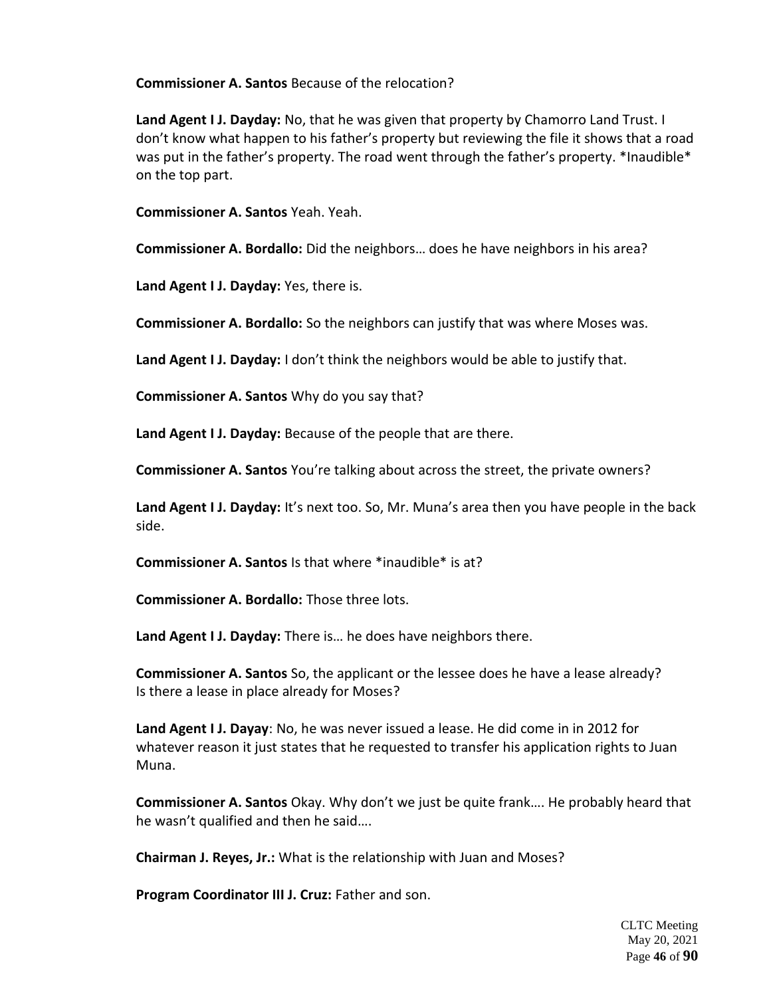**Commissioner A. Santos** Because of the relocation?

**Land Agent I J. Dayday:** No, that he was given that property by Chamorro Land Trust. I don't know what happen to his father's property but reviewing the file it shows that a road was put in the father's property. The road went through the father's property. \*Inaudible\* on the top part.

**Commissioner A. Santos** Yeah. Yeah.

**Commissioner A. Bordallo:** Did the neighbors… does he have neighbors in his area?

**Land Agent I J. Dayday:** Yes, there is.

**Commissioner A. Bordallo:** So the neighbors can justify that was where Moses was.

**Land Agent I J. Dayday:** I don't think the neighbors would be able to justify that.

**Commissioner A. Santos** Why do you say that?

**Land Agent I J. Dayday:** Because of the people that are there.

**Commissioner A. Santos** You're talking about across the street, the private owners?

**Land Agent I J. Dayday:** It's next too. So, Mr. Muna's area then you have people in the back side.

**Commissioner A. Santos** Is that where \*inaudible\* is at?

**Commissioner A. Bordallo:** Those three lots.

**Land Agent I J. Dayday:** There is… he does have neighbors there.

**Commissioner A. Santos** So, the applicant or the lessee does he have a lease already? Is there a lease in place already for Moses?

**Land Agent I J. Dayay**: No, he was never issued a lease. He did come in in 2012 for whatever reason it just states that he requested to transfer his application rights to Juan Muna.

**Commissioner A. Santos** Okay. Why don't we just be quite frank…. He probably heard that he wasn't qualified and then he said….

**Chairman J. Reyes, Jr.:** What is the relationship with Juan and Moses?

**Program Coordinator III J. Cruz:** Father and son.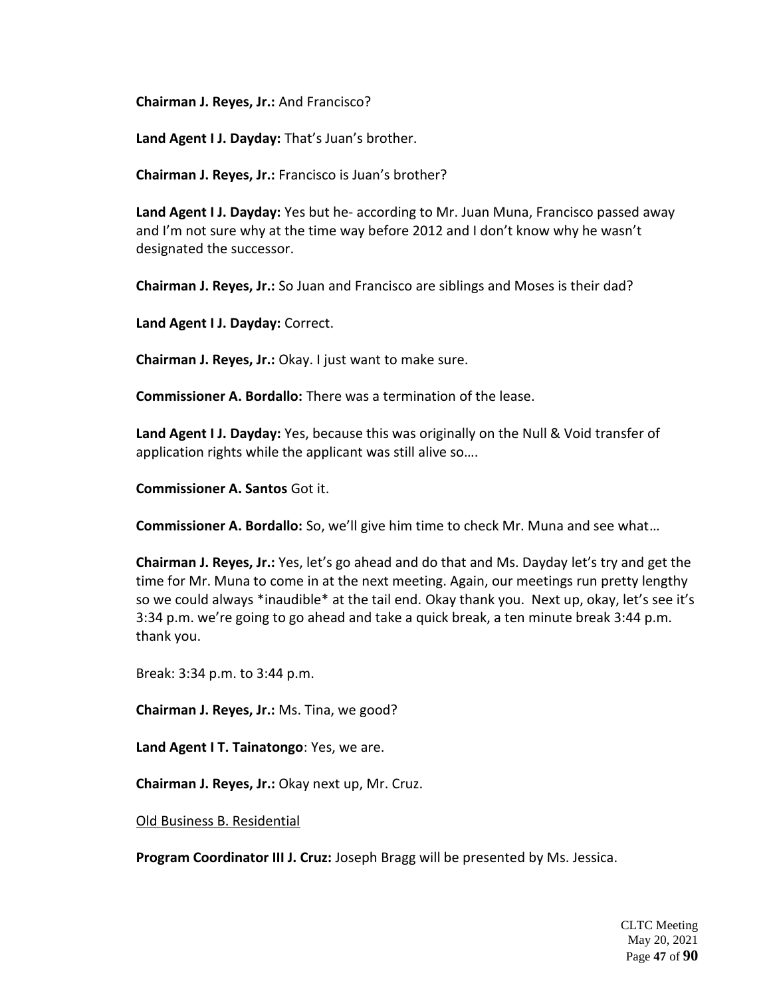**Chairman J. Reyes, Jr.:** And Francisco?

**Land Agent I J. Dayday:** That's Juan's brother.

**Chairman J. Reyes, Jr.:** Francisco is Juan's brother?

**Land Agent I J. Dayday:** Yes but he- according to Mr. Juan Muna, Francisco passed away and I'm not sure why at the time way before 2012 and I don't know why he wasn't designated the successor.

**Chairman J. Reyes, Jr.:** So Juan and Francisco are siblings and Moses is their dad?

**Land Agent I J. Dayday:** Correct.

**Chairman J. Reyes, Jr.:** Okay. I just want to make sure.

**Commissioner A. Bordallo:** There was a termination of the lease.

**Land Agent I J. Dayday:** Yes, because this was originally on the Null & Void transfer of application rights while the applicant was still alive so….

**Commissioner A. Santos** Got it.

**Commissioner A. Bordallo:** So, we'll give him time to check Mr. Muna and see what…

**Chairman J. Reyes, Jr.:** Yes, let's go ahead and do that and Ms. Dayday let's try and get the time for Mr. Muna to come in at the next meeting. Again, our meetings run pretty lengthy so we could always \*inaudible\* at the tail end. Okay thank you. Next up, okay, let's see it's 3:34 p.m. we're going to go ahead and take a quick break, a ten minute break 3:44 p.m. thank you.

Break: 3:34 p.m. to 3:44 p.m.

**Chairman J. Reyes, Jr.:** Ms. Tina, we good?

**Land Agent I T. Tainatongo**: Yes, we are.

**Chairman J. Reyes, Jr.:** Okay next up, Mr. Cruz.

Old Business B. Residential

**Program Coordinator III J. Cruz:** Joseph Bragg will be presented by Ms. Jessica.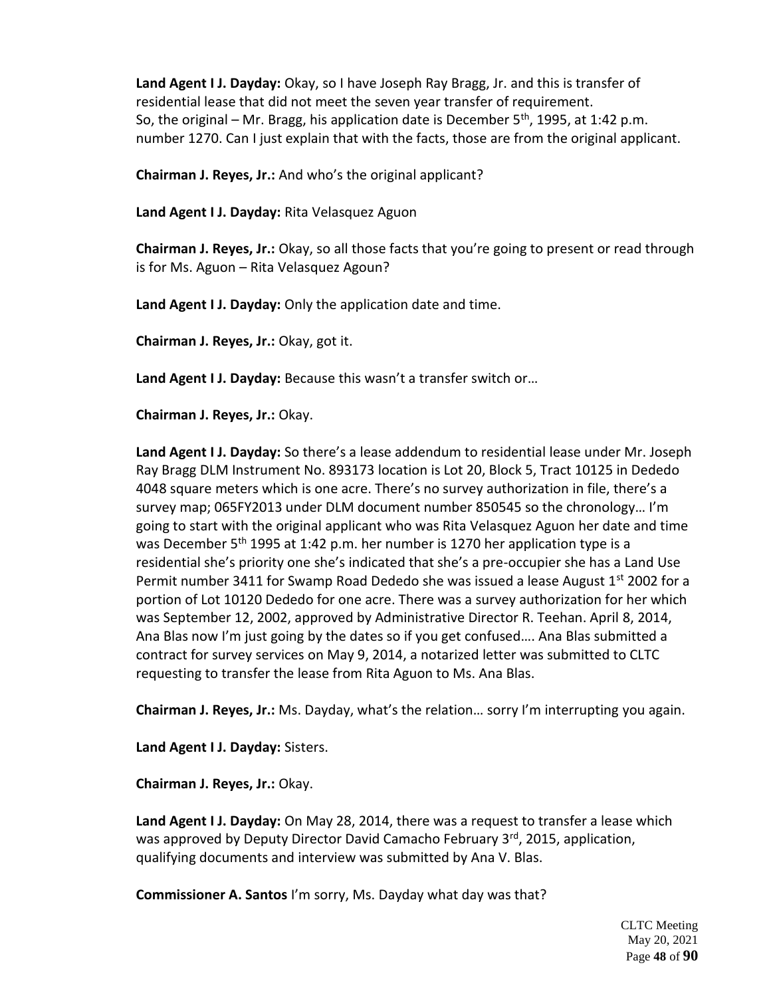**Land Agent I J. Dayday:** Okay, so I have Joseph Ray Bragg, Jr. and this is transfer of residential lease that did not meet the seven year transfer of requirement. So, the original – Mr. Bragg, his application date is December  $5<sup>th</sup>$ , 1995, at 1:42 p.m. number 1270. Can I just explain that with the facts, those are from the original applicant.

**Chairman J. Reyes, Jr.:** And who's the original applicant?

**Land Agent I J. Dayday:** Rita Velasquez Aguon

**Chairman J. Reyes, Jr.:** Okay, so all those facts that you're going to present or read through is for Ms. Aguon – Rita Velasquez Agoun?

**Land Agent I J. Dayday:** Only the application date and time.

**Chairman J. Reyes, Jr.:** Okay, got it.

**Land Agent I J. Dayday:** Because this wasn't a transfer switch or…

**Chairman J. Reyes, Jr.:** Okay.

**Land Agent I J. Dayday:** So there's a lease addendum to residential lease under Mr. Joseph Ray Bragg DLM Instrument No. 893173 location is Lot 20, Block 5, Tract 10125 in Dededo 4048 square meters which is one acre. There's no survey authorization in file, there's a survey map; 065FY2013 under DLM document number 850545 so the chronology… I'm going to start with the original applicant who was Rita Velasquez Aguon her date and time was December 5<sup>th</sup> 1995 at 1:42 p.m. her number is 1270 her application type is a residential she's priority one she's indicated that she's a pre-occupier she has a Land Use Permit number 3411 for Swamp Road Dededo she was issued a lease August  $1<sup>st</sup>$  2002 for a portion of Lot 10120 Dededo for one acre. There was a survey authorization for her which was September 12, 2002, approved by Administrative Director R. Teehan. April 8, 2014, Ana Blas now I'm just going by the dates so if you get confused…. Ana Blas submitted a contract for survey services on May 9, 2014, a notarized letter was submitted to CLTC requesting to transfer the lease from Rita Aguon to Ms. Ana Blas.

**Chairman J. Reyes, Jr.:** Ms. Dayday, what's the relation… sorry I'm interrupting you again.

**Land Agent I J. Dayday:** Sisters.

**Chairman J. Reyes, Jr.:** Okay.

**Land Agent I J. Dayday:** On May 28, 2014, there was a request to transfer a lease which was approved by Deputy Director David Camacho February 3<sup>rd</sup>, 2015, application, qualifying documents and interview was submitted by Ana V. Blas.

**Commissioner A. Santos** I'm sorry, Ms. Dayday what day was that?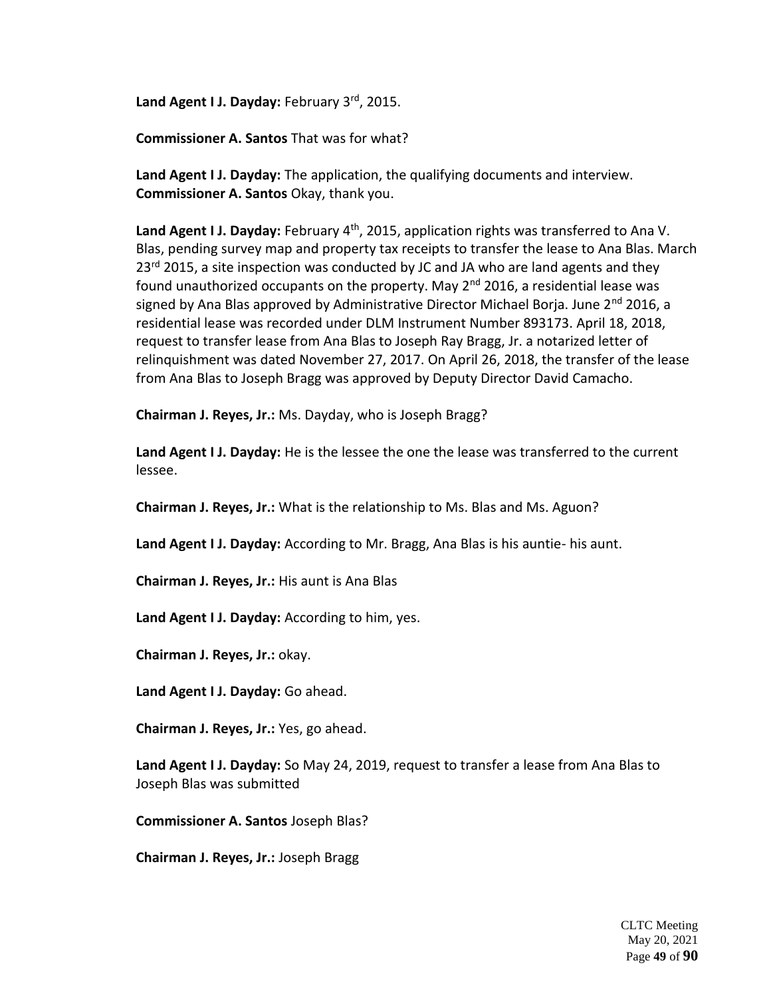Land Agent I J. Dayday: February 3rd, 2015.

**Commissioner A. Santos** That was for what?

**Land Agent I J. Dayday:** The application, the qualifying documents and interview. **Commissioner A. Santos** Okay, thank you.

**Land Agent I J. Dayday:** February 4<sup>th</sup>, 2015, application rights was transferred to Ana V. Blas, pending survey map and property tax receipts to transfer the lease to Ana Blas. March  $23<sup>rd</sup>$  2015, a site inspection was conducted by JC and JA who are land agents and they found unauthorized occupants on the property. May  $2^{nd}$  2016, a residential lease was signed by Ana Blas approved by Administrative Director Michael Borja. June 2<sup>nd</sup> 2016, a residential lease was recorded under DLM Instrument Number 893173. April 18, 2018, request to transfer lease from Ana Blas to Joseph Ray Bragg, Jr. a notarized letter of relinquishment was dated November 27, 2017. On April 26, 2018, the transfer of the lease from Ana Blas to Joseph Bragg was approved by Deputy Director David Camacho.

**Chairman J. Reyes, Jr.:** Ms. Dayday, who is Joseph Bragg?

**Land Agent I J. Dayday:** He is the lessee the one the lease was transferred to the current lessee.

**Chairman J. Reyes, Jr.:** What is the relationship to Ms. Blas and Ms. Aguon?

**Land Agent I J. Dayday:** According to Mr. Bragg, Ana Blas is his auntie- his aunt.

**Chairman J. Reyes, Jr.:** His aunt is Ana Blas

**Land Agent I J. Dayday:** According to him, yes.

**Chairman J. Reyes, Jr.:** okay.

**Land Agent I J. Dayday:** Go ahead.

**Chairman J. Reyes, Jr.:** Yes, go ahead.

**Land Agent I J. Dayday:** So May 24, 2019, request to transfer a lease from Ana Blas to Joseph Blas was submitted

**Commissioner A. Santos** Joseph Blas?

**Chairman J. Reyes, Jr.:** Joseph Bragg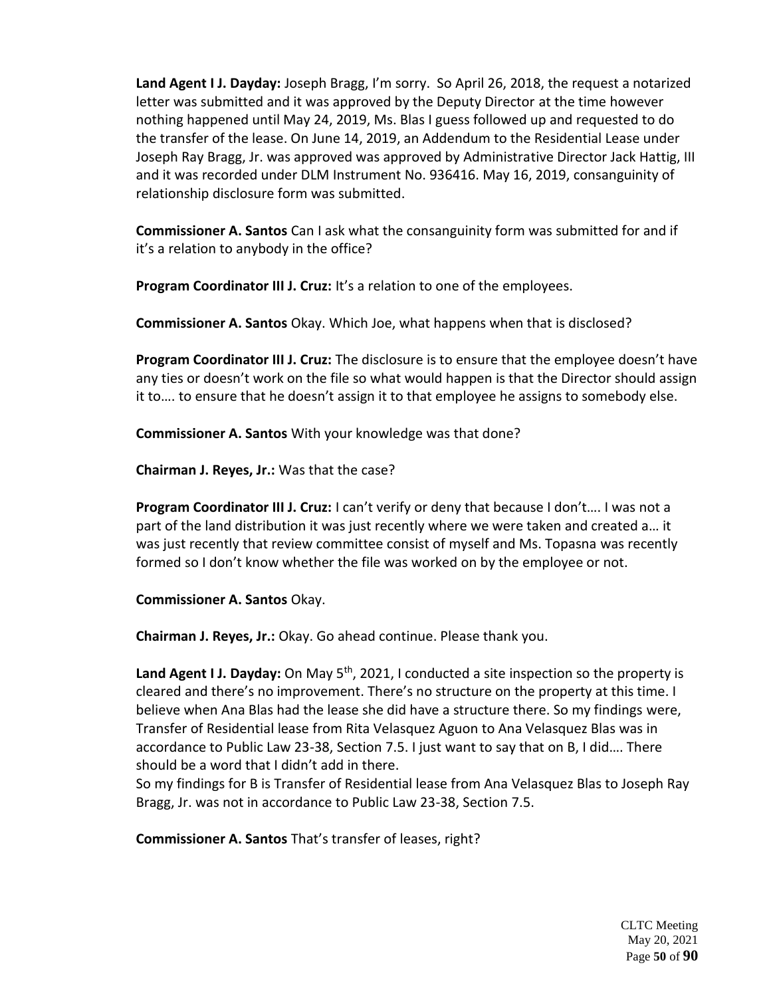**Land Agent I J. Dayday:** Joseph Bragg, I'm sorry. So April 26, 2018, the request a notarized letter was submitted and it was approved by the Deputy Director at the time however nothing happened until May 24, 2019, Ms. Blas I guess followed up and requested to do the transfer of the lease. On June 14, 2019, an Addendum to the Residential Lease under Joseph Ray Bragg, Jr. was approved was approved by Administrative Director Jack Hattig, III and it was recorded under DLM Instrument No. 936416. May 16, 2019, consanguinity of relationship disclosure form was submitted.

**Commissioner A. Santos** Can I ask what the consanguinity form was submitted for and if it's a relation to anybody in the office?

**Program Coordinator III J. Cruz:** It's a relation to one of the employees.

**Commissioner A. Santos** Okay. Which Joe, what happens when that is disclosed?

**Program Coordinator III J. Cruz:** The disclosure is to ensure that the employee doesn't have any ties or doesn't work on the file so what would happen is that the Director should assign it to…. to ensure that he doesn't assign it to that employee he assigns to somebody else.

**Commissioner A. Santos** With your knowledge was that done?

**Chairman J. Reyes, Jr.:** Was that the case?

**Program Coordinator III J. Cruz:** I can't verify or deny that because I don't…. I was not a part of the land distribution it was just recently where we were taken and created a… it was just recently that review committee consist of myself and Ms. Topasna was recently formed so I don't know whether the file was worked on by the employee or not.

**Commissioner A. Santos** Okay.

**Chairman J. Reyes, Jr.:** Okay. Go ahead continue. Please thank you.

Land Agent I J. Dayday: On May 5<sup>th</sup>, 2021, I conducted a site inspection so the property is cleared and there's no improvement. There's no structure on the property at this time. I believe when Ana Blas had the lease she did have a structure there. So my findings were, Transfer of Residential lease from Rita Velasquez Aguon to Ana Velasquez Blas was in accordance to Public Law 23-38, Section 7.5. I just want to say that on B, I did…. There should be a word that I didn't add in there.

So my findings for B is Transfer of Residential lease from Ana Velasquez Blas to Joseph Ray Bragg, Jr. was not in accordance to Public Law 23-38, Section 7.5.

**Commissioner A. Santos** That's transfer of leases, right?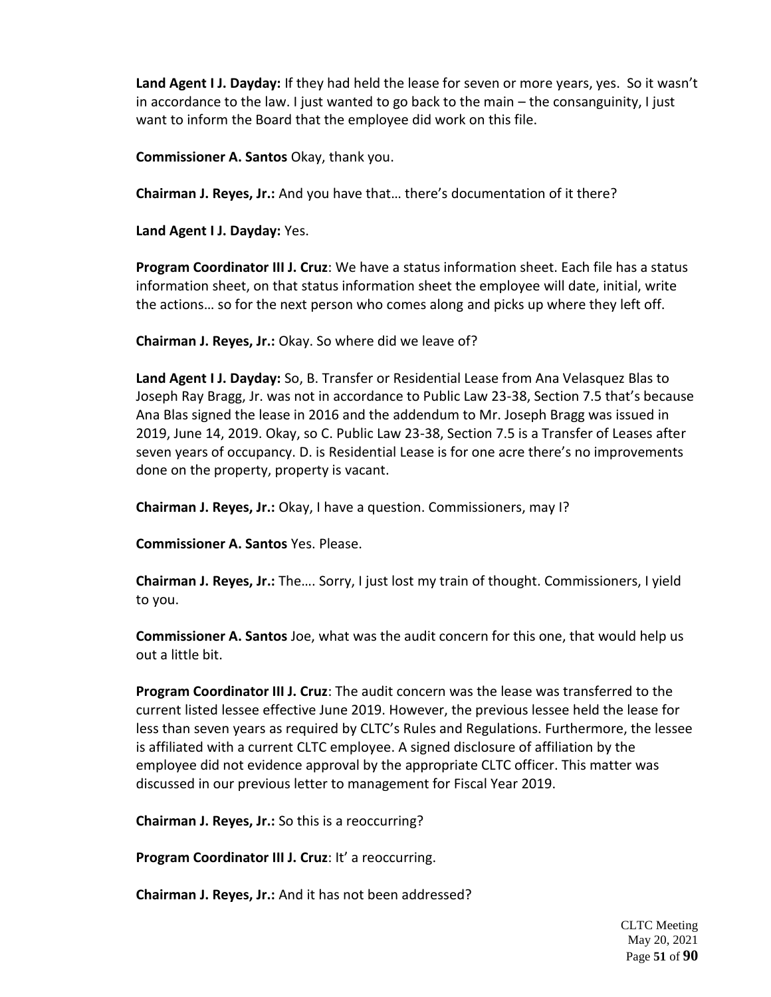**Land Agent I J. Dayday:** If they had held the lease for seven or more years, yes. So it wasn't in accordance to the law. I just wanted to go back to the main – the consanguinity, I just want to inform the Board that the employee did work on this file.

**Commissioner A. Santos** Okay, thank you.

**Chairman J. Reyes, Jr.:** And you have that… there's documentation of it there?

**Land Agent I J. Dayday:** Yes.

**Program Coordinator III J. Cruz**: We have a status information sheet. Each file has a status information sheet, on that status information sheet the employee will date, initial, write the actions… so for the next person who comes along and picks up where they left off.

**Chairman J. Reyes, Jr.:** Okay. So where did we leave of?

**Land Agent I J. Dayday:** So, B. Transfer or Residential Lease from Ana Velasquez Blas to Joseph Ray Bragg, Jr. was not in accordance to Public Law 23-38, Section 7.5 that's because Ana Blas signed the lease in 2016 and the addendum to Mr. Joseph Bragg was issued in 2019, June 14, 2019. Okay, so C. Public Law 23-38, Section 7.5 is a Transfer of Leases after seven years of occupancy. D. is Residential Lease is for one acre there's no improvements done on the property, property is vacant.

**Chairman J. Reyes, Jr.:** Okay, I have a question. Commissioners, may I?

**Commissioner A. Santos** Yes. Please.

**Chairman J. Reyes, Jr.:** The…. Sorry, I just lost my train of thought. Commissioners, I yield to you.

**Commissioner A. Santos** Joe, what was the audit concern for this one, that would help us out a little bit.

**Program Coordinator III J. Cruz**: The audit concern was the lease was transferred to the current listed lessee effective June 2019. However, the previous lessee held the lease for less than seven years as required by CLTC's Rules and Regulations. Furthermore, the lessee is affiliated with a current CLTC employee. A signed disclosure of affiliation by the employee did not evidence approval by the appropriate CLTC officer. This matter was discussed in our previous letter to management for Fiscal Year 2019.

**Chairman J. Reyes, Jr.:** So this is a reoccurring?

**Program Coordinator III J. Cruz**: It' a reoccurring.

**Chairman J. Reyes, Jr.:** And it has not been addressed?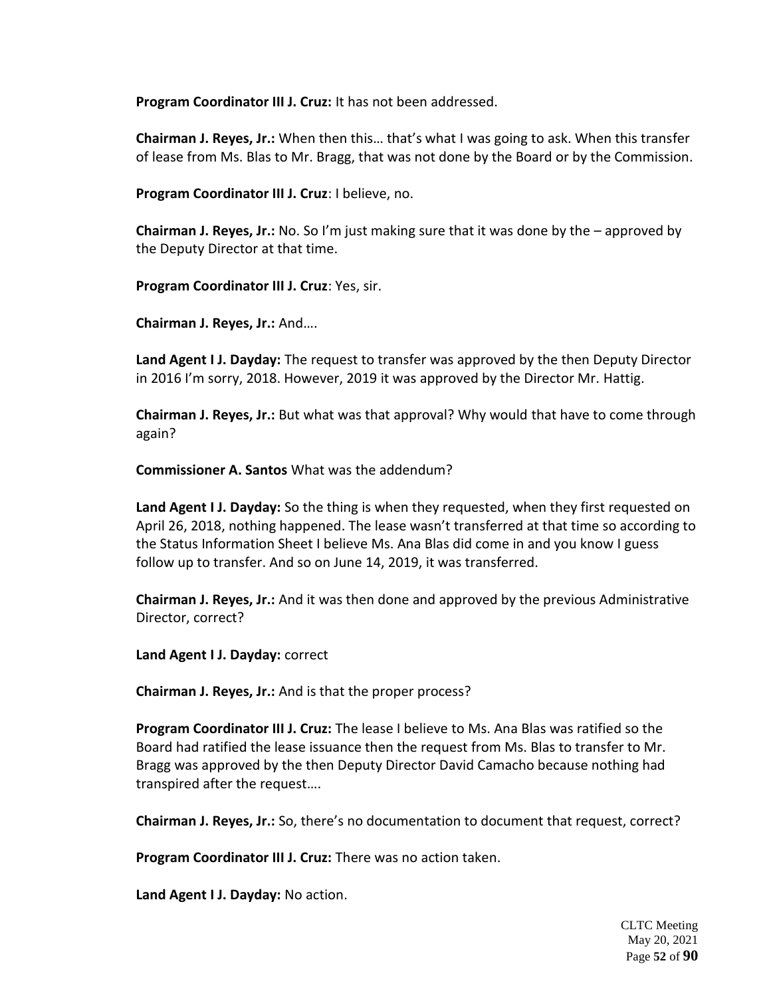**Program Coordinator III J. Cruz:** It has not been addressed.

**Chairman J. Reyes, Jr.:** When then this… that's what I was going to ask. When this transfer of lease from Ms. Blas to Mr. Bragg, that was not done by the Board or by the Commission.

**Program Coordinator III J. Cruz**: I believe, no.

**Chairman J. Reyes, Jr.:** No. So I'm just making sure that it was done by the – approved by the Deputy Director at that time.

**Program Coordinator III J. Cruz**: Yes, sir.

**Chairman J. Reyes, Jr.:** And….

**Land Agent I J. Dayday:** The request to transfer was approved by the then Deputy Director in 2016 I'm sorry, 2018. However, 2019 it was approved by the Director Mr. Hattig.

**Chairman J. Reyes, Jr.:** But what was that approval? Why would that have to come through again?

**Commissioner A. Santos** What was the addendum?

**Land Agent I J. Dayday:** So the thing is when they requested, when they first requested on April 26, 2018, nothing happened. The lease wasn't transferred at that time so according to the Status Information Sheet I believe Ms. Ana Blas did come in and you know I guess follow up to transfer. And so on June 14, 2019, it was transferred.

**Chairman J. Reyes, Jr.:** And it was then done and approved by the previous Administrative Director, correct?

**Land Agent I J. Dayday:** correct

**Chairman J. Reyes, Jr.:** And is that the proper process?

**Program Coordinator III J. Cruz:** The lease I believe to Ms. Ana Blas was ratified so the Board had ratified the lease issuance then the request from Ms. Blas to transfer to Mr. Bragg was approved by the then Deputy Director David Camacho because nothing had transpired after the request….

**Chairman J. Reyes, Jr.:** So, there's no documentation to document that request, correct?

**Program Coordinator III J. Cruz:** There was no action taken.

**Land Agent I J. Dayday:** No action.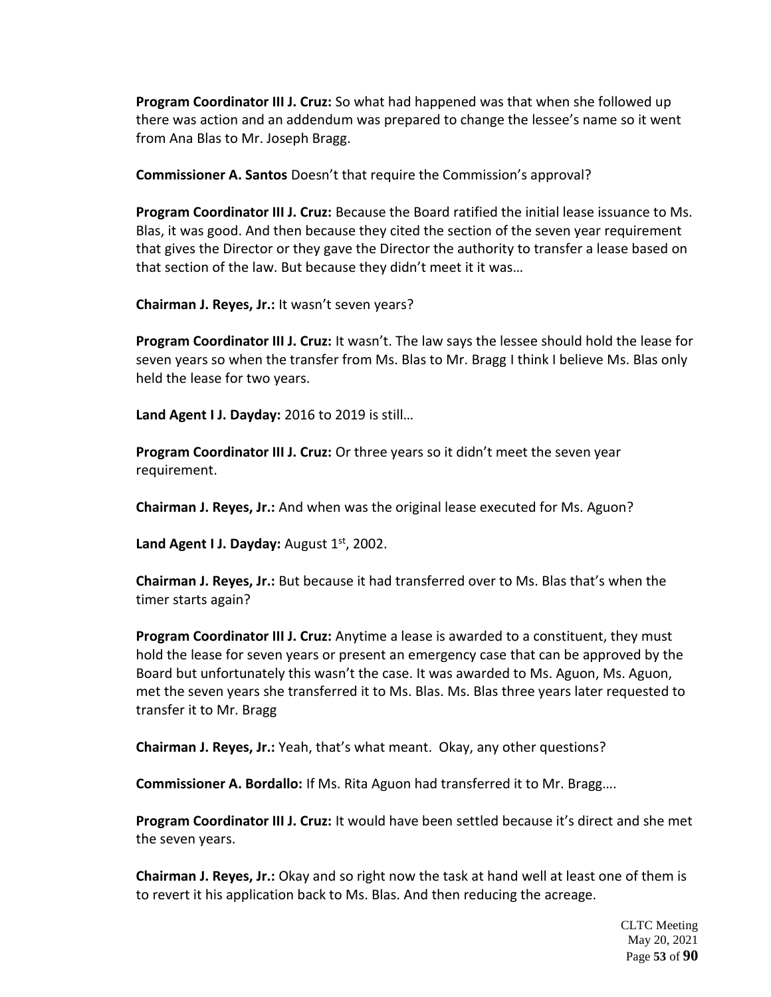**Program Coordinator III J. Cruz:** So what had happened was that when she followed up there was action and an addendum was prepared to change the lessee's name so it went from Ana Blas to Mr. Joseph Bragg.

**Commissioner A. Santos** Doesn't that require the Commission's approval?

**Program Coordinator III J. Cruz:** Because the Board ratified the initial lease issuance to Ms. Blas, it was good. And then because they cited the section of the seven year requirement that gives the Director or they gave the Director the authority to transfer a lease based on that section of the law. But because they didn't meet it it was…

**Chairman J. Reyes, Jr.:** It wasn't seven years?

**Program Coordinator III J. Cruz:** It wasn't. The law says the lessee should hold the lease for seven years so when the transfer from Ms. Blas to Mr. Bragg I think I believe Ms. Blas only held the lease for two years.

**Land Agent I J. Dayday:** 2016 to 2019 is still…

**Program Coordinator III J. Cruz:** Or three years so it didn't meet the seven year requirement.

**Chairman J. Reyes, Jr.:** And when was the original lease executed for Ms. Aguon?

Land Agent I J. Dayday: August 1st, 2002.

**Chairman J. Reyes, Jr.:** But because it had transferred over to Ms. Blas that's when the timer starts again?

**Program Coordinator III J. Cruz:** Anytime a lease is awarded to a constituent, they must hold the lease for seven years or present an emergency case that can be approved by the Board but unfortunately this wasn't the case. It was awarded to Ms. Aguon, Ms. Aguon, met the seven years she transferred it to Ms. Blas. Ms. Blas three years later requested to transfer it to Mr. Bragg

**Chairman J. Reyes, Jr.:** Yeah, that's what meant. Okay, any other questions?

**Commissioner A. Bordallo:** If Ms. Rita Aguon had transferred it to Mr. Bragg….

**Program Coordinator III J. Cruz:** It would have been settled because it's direct and she met the seven years.

**Chairman J. Reyes, Jr.:** Okay and so right now the task at hand well at least one of them is to revert it his application back to Ms. Blas. And then reducing the acreage.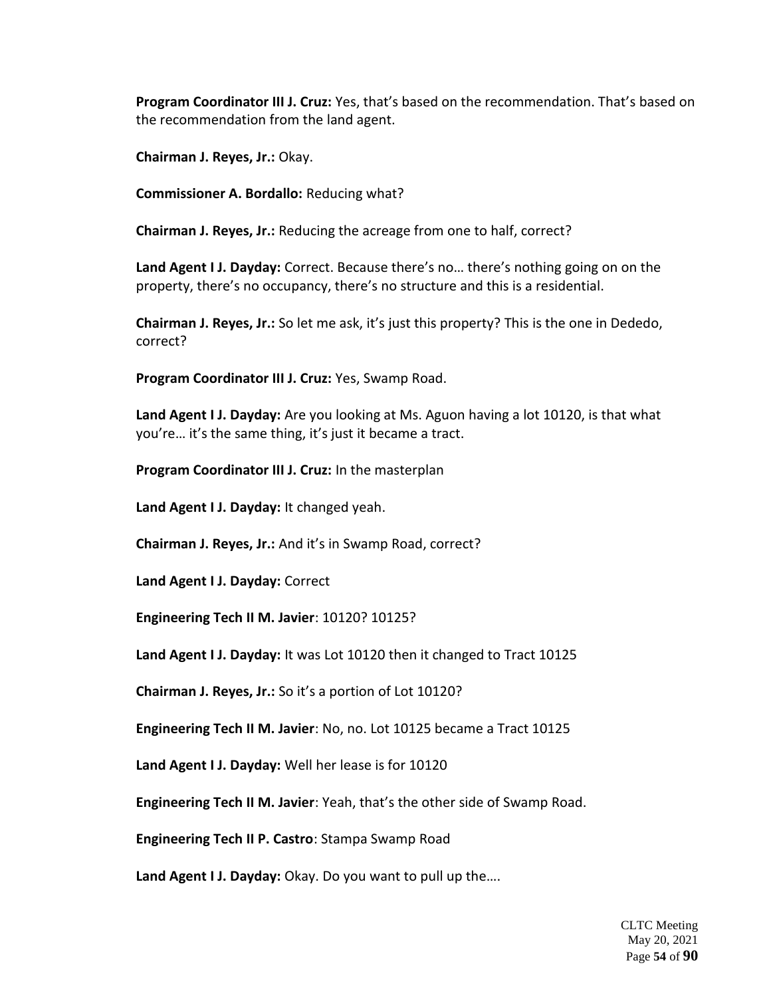**Program Coordinator III J. Cruz:** Yes, that's based on the recommendation. That's based on the recommendation from the land agent.

**Chairman J. Reyes, Jr.:** Okay.

**Commissioner A. Bordallo:** Reducing what?

**Chairman J. Reyes, Jr.:** Reducing the acreage from one to half, correct?

**Land Agent I J. Dayday:** Correct. Because there's no… there's nothing going on on the property, there's no occupancy, there's no structure and this is a residential.

**Chairman J. Reyes, Jr.:** So let me ask, it's just this property? This is the one in Dededo, correct?

**Program Coordinator III J. Cruz:** Yes, Swamp Road.

**Land Agent I J. Dayday:** Are you looking at Ms. Aguon having a lot 10120, is that what you're… it's the same thing, it's just it became a tract.

**Program Coordinator III J. Cruz:** In the masterplan

**Land Agent I J. Dayday:** It changed yeah.

**Chairman J. Reyes, Jr.:** And it's in Swamp Road, correct?

**Land Agent I J. Dayday:** Correct

**Engineering Tech II M. Javier**: 10120? 10125?

**Land Agent I J. Dayday:** It was Lot 10120 then it changed to Tract 10125

**Chairman J. Reyes, Jr.:** So it's a portion of Lot 10120?

**Engineering Tech II M. Javier**: No, no. Lot 10125 became a Tract 10125

**Land Agent I J. Dayday:** Well her lease is for 10120

**Engineering Tech II M. Javier**: Yeah, that's the other side of Swamp Road.

**Engineering Tech II P. Castro**: Stampa Swamp Road

**Land Agent I J. Dayday:** Okay. Do you want to pull up the….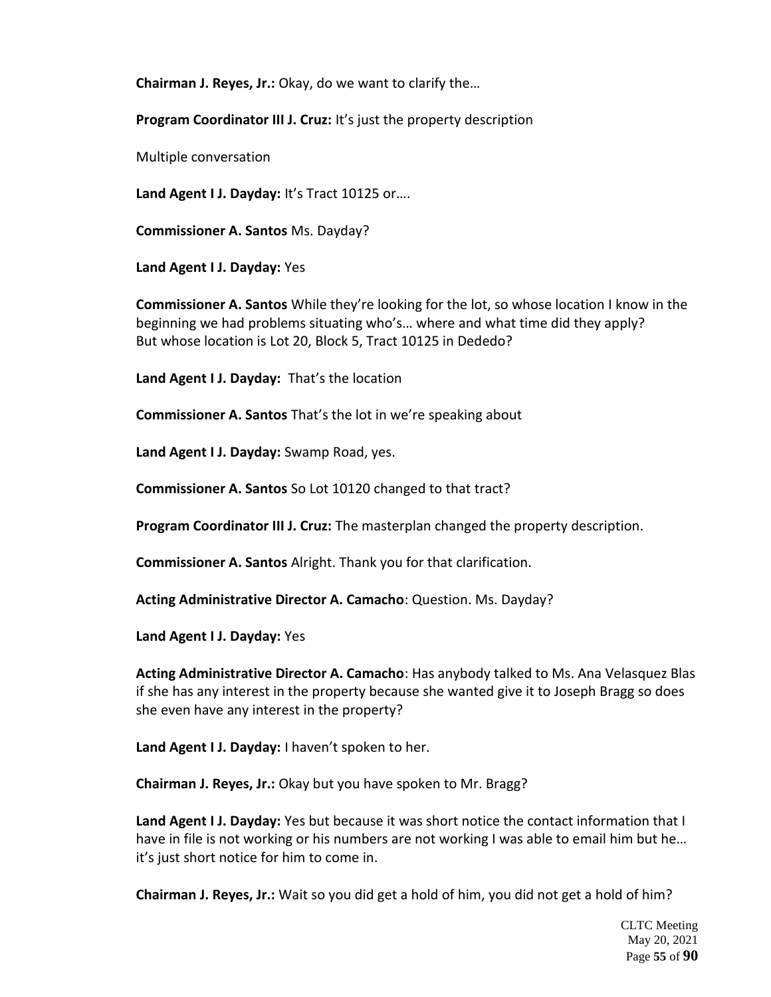**Chairman J. Reyes, Jr.:** Okay, do we want to clarify the…

**Program Coordinator III J. Cruz:** It's just the property description

Multiple conversation

**Land Agent I J. Dayday:** It's Tract 10125 or….

**Commissioner A. Santos** Ms. Dayday?

**Land Agent I J. Dayday:** Yes

**Commissioner A. Santos** While they're looking for the lot, so whose location I know in the beginning we had problems situating who's… where and what time did they apply? But whose location is Lot 20, Block 5, Tract 10125 in Dededo?

**Land Agent I J. Dayday:** That's the location

**Commissioner A. Santos** That's the lot in we're speaking about

**Land Agent I J. Dayday:** Swamp Road, yes.

**Commissioner A. Santos** So Lot 10120 changed to that tract?

**Program Coordinator III J. Cruz:** The masterplan changed the property description.

**Commissioner A. Santos** Alright. Thank you for that clarification.

**Acting Administrative Director A. Camacho**: Question. Ms. Dayday?

**Land Agent I J. Dayday:** Yes

**Acting Administrative Director A. Camacho**: Has anybody talked to Ms. Ana Velasquez Blas if she has any interest in the property because she wanted give it to Joseph Bragg so does she even have any interest in the property?

**Land Agent I J. Dayday:** I haven't spoken to her.

**Chairman J. Reyes, Jr.:** Okay but you have spoken to Mr. Bragg?

**Land Agent I J. Dayday:** Yes but because it was short notice the contact information that I have in file is not working or his numbers are not working I was able to email him but he… it's just short notice for him to come in.

**Chairman J. Reyes, Jr.:** Wait so you did get a hold of him, you did not get a hold of him?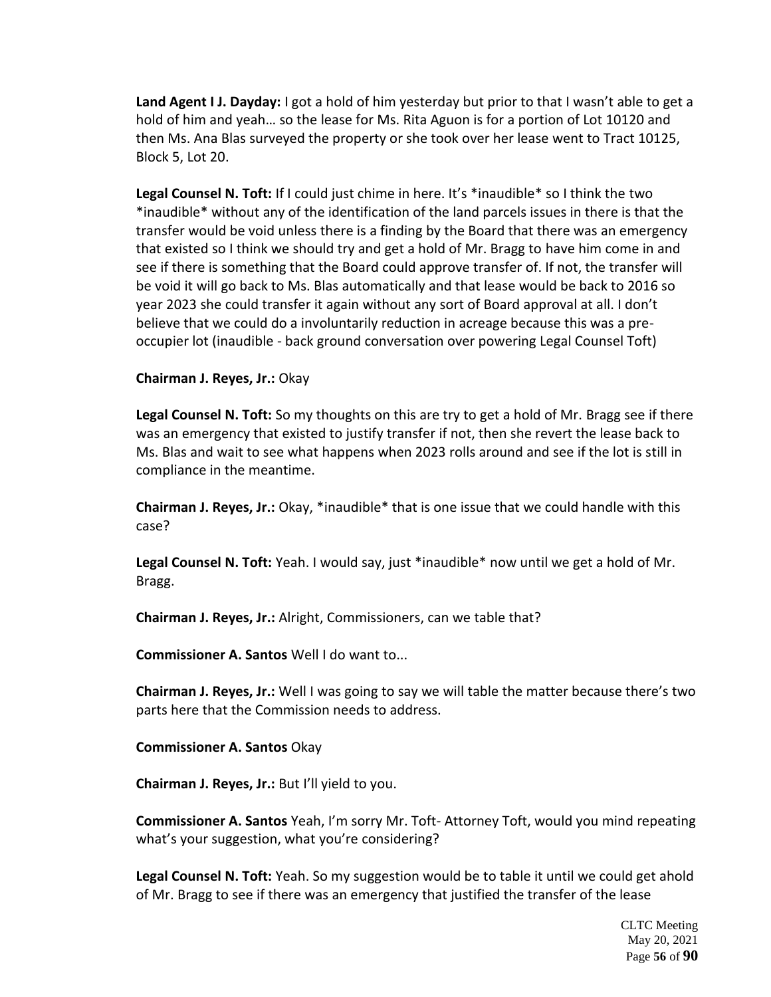**Land Agent I J. Dayday:** I got a hold of him yesterday but prior to that I wasn't able to get a hold of him and yeah… so the lease for Ms. Rita Aguon is for a portion of Lot 10120 and then Ms. Ana Blas surveyed the property or she took over her lease went to Tract 10125, Block 5, Lot 20.

Legal Counsel N. Toft: If I could just chime in here. It's \*inaudible\* so I think the two \*inaudible\* without any of the identification of the land parcels issues in there is that the transfer would be void unless there is a finding by the Board that there was an emergency that existed so I think we should try and get a hold of Mr. Bragg to have him come in and see if there is something that the Board could approve transfer of. If not, the transfer will be void it will go back to Ms. Blas automatically and that lease would be back to 2016 so year 2023 she could transfer it again without any sort of Board approval at all. I don't believe that we could do a involuntarily reduction in acreage because this was a preoccupier lot (inaudible - back ground conversation over powering Legal Counsel Toft)

## **Chairman J. Reyes, Jr.:** Okay

**Legal Counsel N. Toft:** So my thoughts on this are try to get a hold of Mr. Bragg see if there was an emergency that existed to justify transfer if not, then she revert the lease back to Ms. Blas and wait to see what happens when 2023 rolls around and see if the lot is still in compliance in the meantime.

**Chairman J. Reyes, Jr.:** Okay, \*inaudible\* that is one issue that we could handle with this case?

**Legal Counsel N. Toft:** Yeah. I would say, just \*inaudible\* now until we get a hold of Mr. Bragg.

**Chairman J. Reyes, Jr.:** Alright, Commissioners, can we table that?

**Commissioner A. Santos** Well I do want to...

**Chairman J. Reyes, Jr.:** Well I was going to say we will table the matter because there's two parts here that the Commission needs to address.

**Commissioner A. Santos** Okay

**Chairman J. Reyes, Jr.:** But I'll yield to you.

**Commissioner A. Santos** Yeah, I'm sorry Mr. Toft- Attorney Toft, would you mind repeating what's your suggestion, what you're considering?

**Legal Counsel N. Toft:** Yeah. So my suggestion would be to table it until we could get ahold of Mr. Bragg to see if there was an emergency that justified the transfer of the lease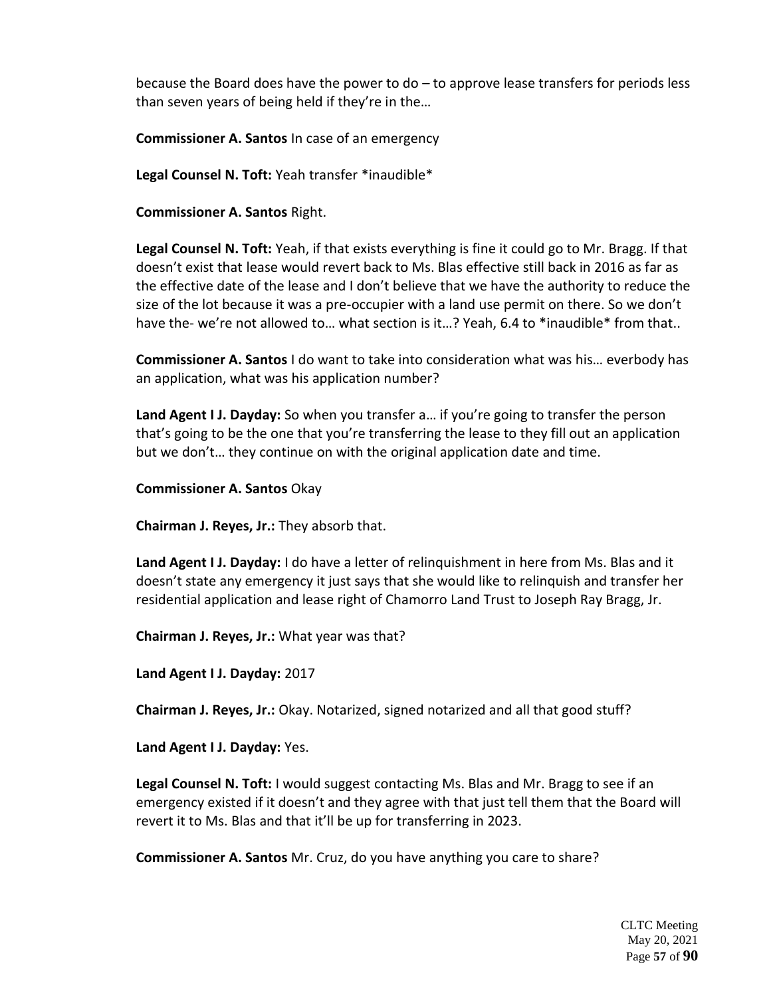because the Board does have the power to do – to approve lease transfers for periods less than seven years of being held if they're in the…

**Commissioner A. Santos** In case of an emergency

**Legal Counsel N. Toft:** Yeah transfer \*inaudible\*

**Commissioner A. Santos** Right.

**Legal Counsel N. Toft:** Yeah, if that exists everything is fine it could go to Mr. Bragg. If that doesn't exist that lease would revert back to Ms. Blas effective still back in 2016 as far as the effective date of the lease and I don't believe that we have the authority to reduce the size of the lot because it was a pre-occupier with a land use permit on there. So we don't have the- we're not allowed to... what section is it...? Yeah, 6.4 to \*inaudible\* from that..

**Commissioner A. Santos** I do want to take into consideration what was his… everbody has an application, what was his application number?

**Land Agent I J. Dayday:** So when you transfer a… if you're going to transfer the person that's going to be the one that you're transferring the lease to they fill out an application but we don't… they continue on with the original application date and time.

**Commissioner A. Santos** Okay

**Chairman J. Reyes, Jr.:** They absorb that.

**Land Agent I J. Dayday:** I do have a letter of relinquishment in here from Ms. Blas and it doesn't state any emergency it just says that she would like to relinquish and transfer her residential application and lease right of Chamorro Land Trust to Joseph Ray Bragg, Jr.

**Chairman J. Reyes, Jr.:** What year was that?

**Land Agent I J. Dayday:** 2017

**Chairman J. Reyes, Jr.:** Okay. Notarized, signed notarized and all that good stuff?

**Land Agent I J. Dayday:** Yes.

**Legal Counsel N. Toft:** I would suggest contacting Ms. Blas and Mr. Bragg to see if an emergency existed if it doesn't and they agree with that just tell them that the Board will revert it to Ms. Blas and that it'll be up for transferring in 2023.

**Commissioner A. Santos** Mr. Cruz, do you have anything you care to share?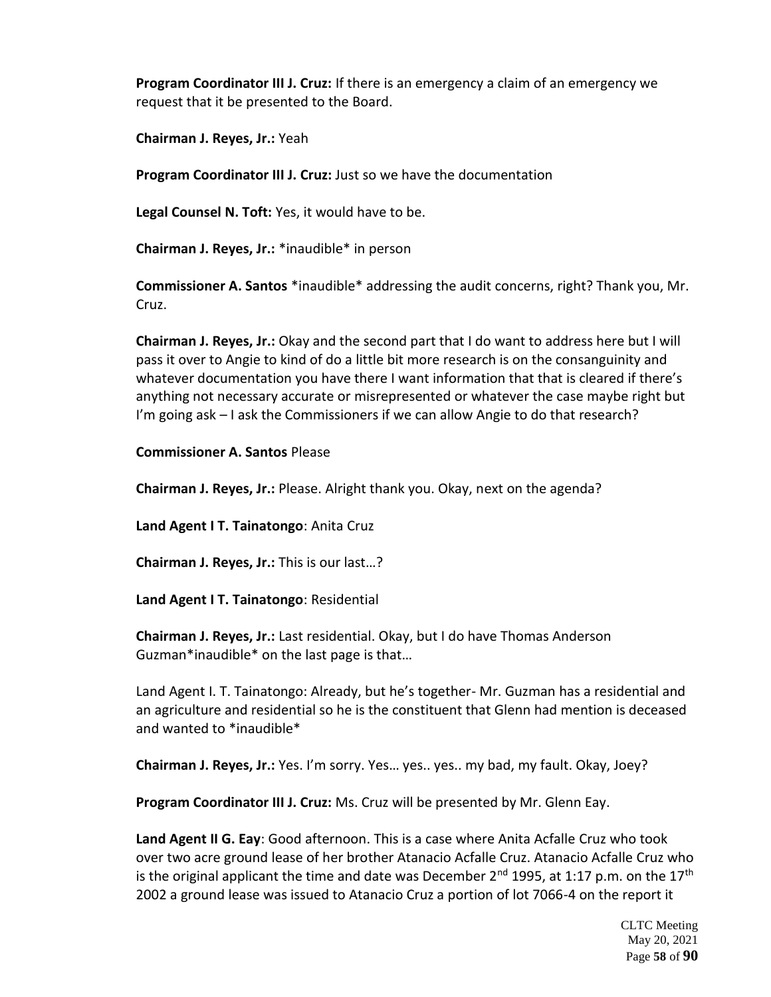**Program Coordinator III J. Cruz:** If there is an emergency a claim of an emergency we request that it be presented to the Board.

**Chairman J. Reyes, Jr.:** Yeah

**Program Coordinator III J. Cruz:** Just so we have the documentation

**Legal Counsel N. Toft:** Yes, it would have to be.

**Chairman J. Reyes, Jr.:** \*inaudible\* in person

**Commissioner A. Santos** \*inaudible\* addressing the audit concerns, right? Thank you, Mr. Cruz.

**Chairman J. Reyes, Jr.:** Okay and the second part that I do want to address here but I will pass it over to Angie to kind of do a little bit more research is on the consanguinity and whatever documentation you have there I want information that that is cleared if there's anything not necessary accurate or misrepresented or whatever the case maybe right but I'm going ask – I ask the Commissioners if we can allow Angie to do that research?

## **Commissioner A. Santos** Please

**Chairman J. Reyes, Jr.:** Please. Alright thank you. Okay, next on the agenda?

**Land Agent I T. Tainatongo**: Anita Cruz

**Chairman J. Reyes, Jr.:** This is our last…?

**Land Agent I T. Tainatongo**: Residential

**Chairman J. Reyes, Jr.:** Last residential. Okay, but I do have Thomas Anderson Guzman\*inaudible\* on the last page is that…

Land Agent I. T. Tainatongo: Already, but he's together- Mr. Guzman has a residential and an agriculture and residential so he is the constituent that Glenn had mention is deceased and wanted to \*inaudible\*

**Chairman J. Reyes, Jr.:** Yes. I'm sorry. Yes… yes.. yes.. my bad, my fault. Okay, Joey?

**Program Coordinator III J. Cruz:** Ms. Cruz will be presented by Mr. Glenn Eay.

**Land Agent II G. Eay**: Good afternoon. This is a case where Anita Acfalle Cruz who took over two acre ground lease of her brother Atanacio Acfalle Cruz. Atanacio Acfalle Cruz who is the original applicant the time and date was December  $2^{nd}$  1995, at 1:17 p.m. on the 17<sup>th</sup> 2002 a ground lease was issued to Atanacio Cruz a portion of lot 7066-4 on the report it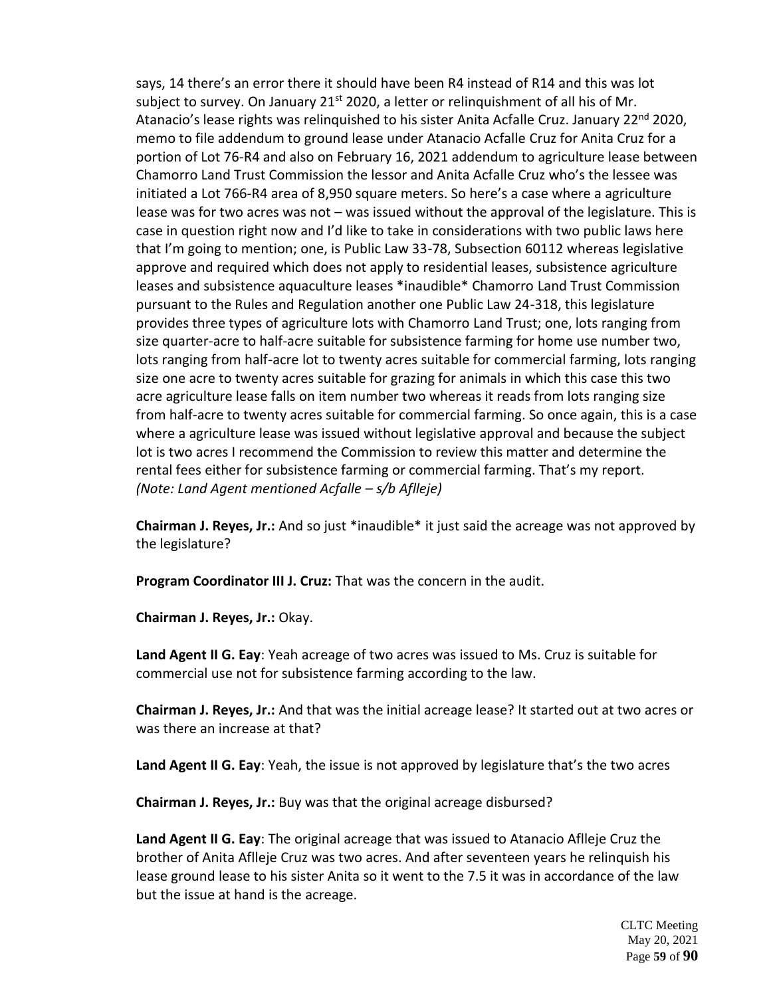says, 14 there's an error there it should have been R4 instead of R14 and this was lot subject to survey. On January 21<sup>st</sup> 2020, a letter or relinguishment of all his of Mr. Atanacio's lease rights was relinquished to his sister Anita Acfalle Cruz. January 22<sup>nd</sup> 2020, memo to file addendum to ground lease under Atanacio Acfalle Cruz for Anita Cruz for a portion of Lot 76-R4 and also on February 16, 2021 addendum to agriculture lease between Chamorro Land Trust Commission the lessor and Anita Acfalle Cruz who's the lessee was initiated a Lot 766-R4 area of 8,950 square meters. So here's a case where a agriculture lease was for two acres was not – was issued without the approval of the legislature. This is case in question right now and I'd like to take in considerations with two public laws here that I'm going to mention; one, is Public Law 33-78, Subsection 60112 whereas legislative approve and required which does not apply to residential leases, subsistence agriculture leases and subsistence aquaculture leases \*inaudible\* Chamorro Land Trust Commission pursuant to the Rules and Regulation another one Public Law 24-318, this legislature provides three types of agriculture lots with Chamorro Land Trust; one, lots ranging from size quarter-acre to half-acre suitable for subsistence farming for home use number two, lots ranging from half-acre lot to twenty acres suitable for commercial farming, lots ranging size one acre to twenty acres suitable for grazing for animals in which this case this two acre agriculture lease falls on item number two whereas it reads from lots ranging size from half-acre to twenty acres suitable for commercial farming. So once again, this is a case where a agriculture lease was issued without legislative approval and because the subject lot is two acres I recommend the Commission to review this matter and determine the rental fees either for subsistence farming or commercial farming. That's my report. *(Note: Land Agent mentioned Acfalle – s/b Aflleje)*

**Chairman J. Reyes, Jr.:** And so just \*inaudible\* it just said the acreage was not approved by the legislature?

**Program Coordinator III J. Cruz:** That was the concern in the audit.

**Chairman J. Reyes, Jr.:** Okay.

**Land Agent II G. Eay**: Yeah acreage of two acres was issued to Ms. Cruz is suitable for commercial use not for subsistence farming according to the law.

**Chairman J. Reyes, Jr.:** And that was the initial acreage lease? It started out at two acres or was there an increase at that?

**Land Agent II G. Eay**: Yeah, the issue is not approved by legislature that's the two acres

**Chairman J. Reyes, Jr.:** Buy was that the original acreage disbursed?

**Land Agent II G. Eay**: The original acreage that was issued to Atanacio Aflleje Cruz the brother of Anita Aflleje Cruz was two acres. And after seventeen years he relinquish his lease ground lease to his sister Anita so it went to the 7.5 it was in accordance of the law but the issue at hand is the acreage.

> CLTC Meeting May 20, 2021 Page **59** of **90**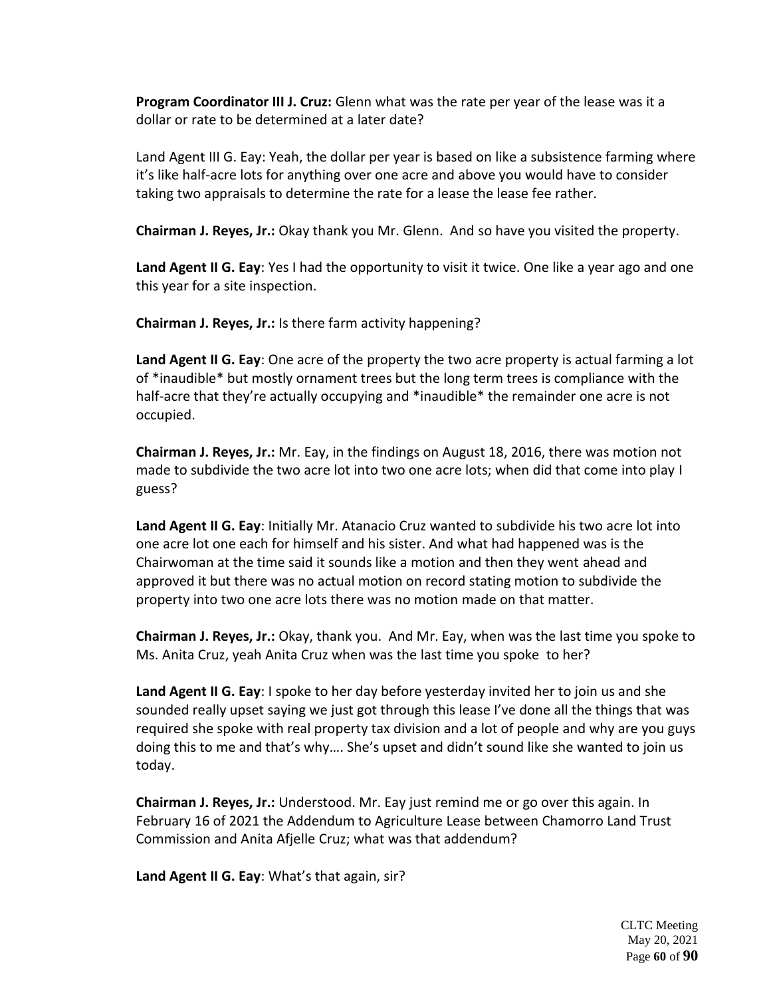**Program Coordinator III J. Cruz:** Glenn what was the rate per year of the lease was it a dollar or rate to be determined at a later date?

Land Agent III G. Eay: Yeah, the dollar per year is based on like a subsistence farming where it's like half-acre lots for anything over one acre and above you would have to consider taking two appraisals to determine the rate for a lease the lease fee rather.

**Chairman J. Reyes, Jr.:** Okay thank you Mr. Glenn. And so have you visited the property.

**Land Agent II G. Eay**: Yes I had the opportunity to visit it twice. One like a year ago and one this year for a site inspection.

**Chairman J. Reyes, Jr.:** Is there farm activity happening?

**Land Agent II G. Eay**: One acre of the property the two acre property is actual farming a lot of \*inaudible\* but mostly ornament trees but the long term trees is compliance with the half-acre that they're actually occupying and \*inaudible\* the remainder one acre is not occupied.

**Chairman J. Reyes, Jr.:** Mr. Eay, in the findings on August 18, 2016, there was motion not made to subdivide the two acre lot into two one acre lots; when did that come into play I guess?

**Land Agent II G. Eay**: Initially Mr. Atanacio Cruz wanted to subdivide his two acre lot into one acre lot one each for himself and his sister. And what had happened was is the Chairwoman at the time said it sounds like a motion and then they went ahead and approved it but there was no actual motion on record stating motion to subdivide the property into two one acre lots there was no motion made on that matter.

**Chairman J. Reyes, Jr.:** Okay, thank you. And Mr. Eay, when was the last time you spoke to Ms. Anita Cruz, yeah Anita Cruz when was the last time you spoke to her?

**Land Agent II G. Eay**: I spoke to her day before yesterday invited her to join us and she sounded really upset saying we just got through this lease I've done all the things that was required she spoke with real property tax division and a lot of people and why are you guys doing this to me and that's why…. She's upset and didn't sound like she wanted to join us today.

**Chairman J. Reyes, Jr.:** Understood. Mr. Eay just remind me or go over this again. In February 16 of 2021 the Addendum to Agriculture Lease between Chamorro Land Trust Commission and Anita Afjelle Cruz; what was that addendum?

**Land Agent II G. Eay**: What's that again, sir?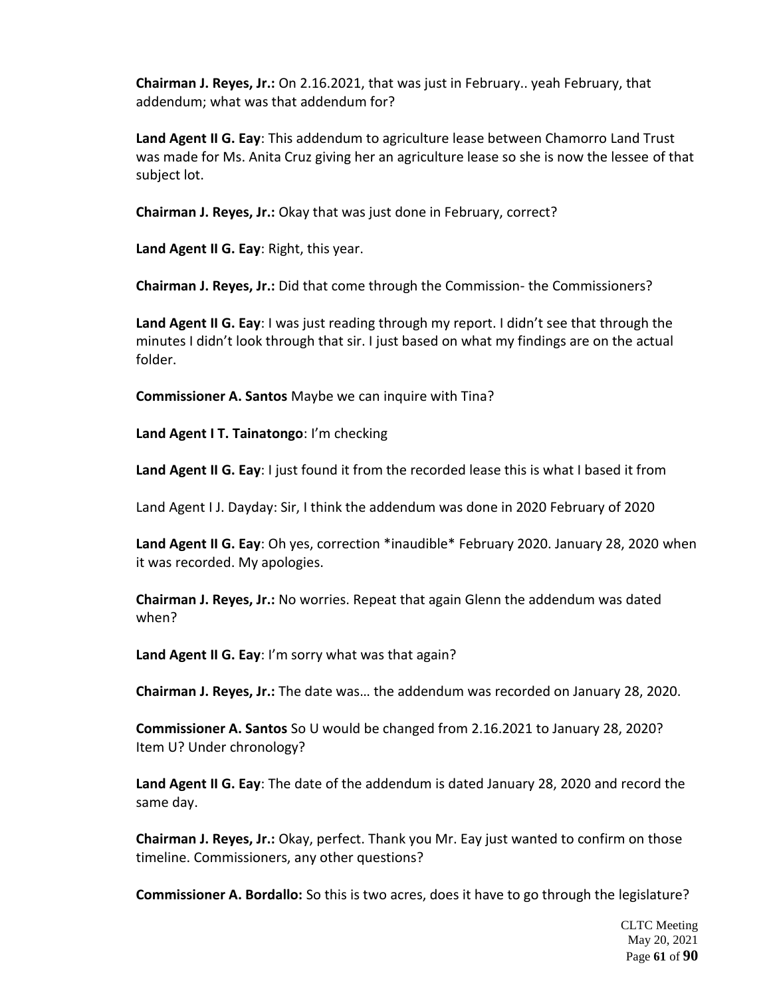**Chairman J. Reyes, Jr.:** On 2.16.2021, that was just in February.. yeah February, that addendum; what was that addendum for?

**Land Agent II G. Eay**: This addendum to agriculture lease between Chamorro Land Trust was made for Ms. Anita Cruz giving her an agriculture lease so she is now the lessee of that subject lot.

**Chairman J. Reyes, Jr.:** Okay that was just done in February, correct?

**Land Agent II G. Eay**: Right, this year.

**Chairman J. Reyes, Jr.:** Did that come through the Commission- the Commissioners?

**Land Agent II G. Eay**: I was just reading through my report. I didn't see that through the minutes I didn't look through that sir. I just based on what my findings are on the actual folder.

**Commissioner A. Santos** Maybe we can inquire with Tina?

**Land Agent I T. Tainatongo**: I'm checking

Land Agent II G. Eay: I just found it from the recorded lease this is what I based it from

Land Agent I J. Dayday: Sir, I think the addendum was done in 2020 February of 2020

**Land Agent II G. Eay**: Oh yes, correction \*inaudible\* February 2020. January 28, 2020 when it was recorded. My apologies.

**Chairman J. Reyes, Jr.:** No worries. Repeat that again Glenn the addendum was dated when?

**Land Agent II G. Eay**: I'm sorry what was that again?

**Chairman J. Reyes, Jr.:** The date was… the addendum was recorded on January 28, 2020.

**Commissioner A. Santos** So U would be changed from 2.16.2021 to January 28, 2020? Item U? Under chronology?

**Land Agent II G. Eay**: The date of the addendum is dated January 28, 2020 and record the same day.

**Chairman J. Reyes, Jr.:** Okay, perfect. Thank you Mr. Eay just wanted to confirm on those timeline. Commissioners, any other questions?

**Commissioner A. Bordallo:** So this is two acres, does it have to go through the legislature?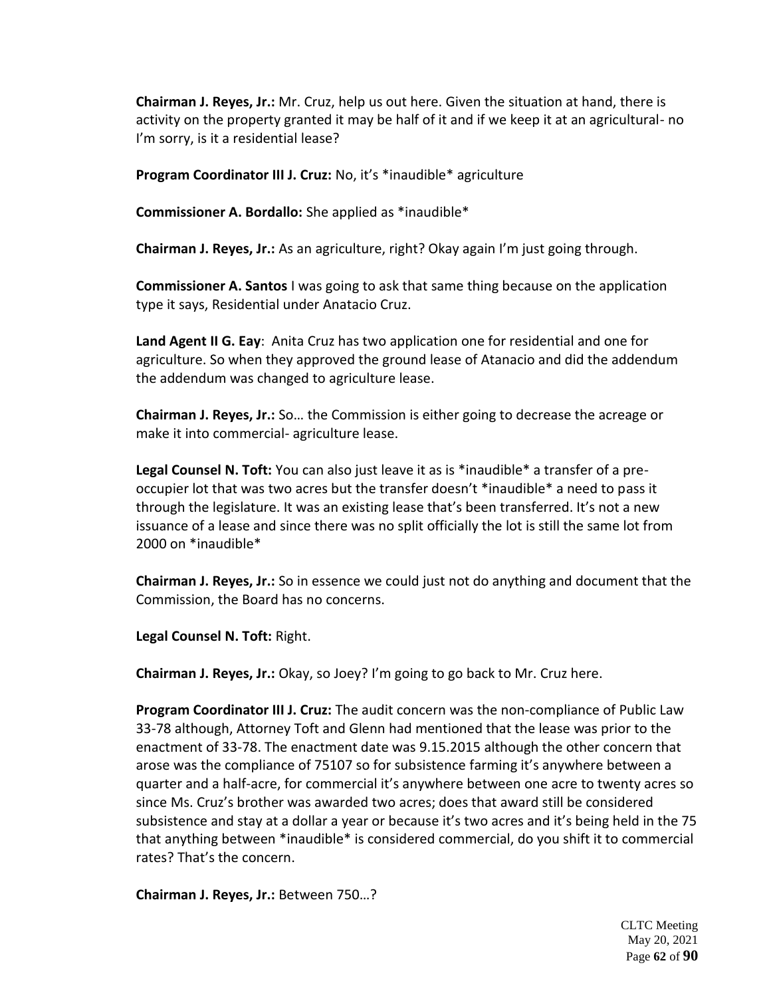**Chairman J. Reyes, Jr.:** Mr. Cruz, help us out here. Given the situation at hand, there is activity on the property granted it may be half of it and if we keep it at an agricultural- no I'm sorry, is it a residential lease?

**Program Coordinator III J. Cruz:** No, it's \*inaudible\* agriculture

**Commissioner A. Bordallo:** She applied as \*inaudible\*

**Chairman J. Reyes, Jr.:** As an agriculture, right? Okay again I'm just going through.

**Commissioner A. Santos** I was going to ask that same thing because on the application type it says, Residential under Anatacio Cruz.

**Land Agent II G. Eay**: Anita Cruz has two application one for residential and one for agriculture. So when they approved the ground lease of Atanacio and did the addendum the addendum was changed to agriculture lease.

**Chairman J. Reyes, Jr.:** So… the Commission is either going to decrease the acreage or make it into commercial- agriculture lease.

**Legal Counsel N. Toft:** You can also just leave it as is \*inaudible\* a transfer of a preoccupier lot that was two acres but the transfer doesn't \*inaudible\* a need to pass it through the legislature. It was an existing lease that's been transferred. It's not a new issuance of a lease and since there was no split officially the lot is still the same lot from 2000 on \*inaudible\*

**Chairman J. Reyes, Jr.:** So in essence we could just not do anything and document that the Commission, the Board has no concerns.

**Legal Counsel N. Toft:** Right.

**Chairman J. Reyes, Jr.:** Okay, so Joey? I'm going to go back to Mr. Cruz here.

**Program Coordinator III J. Cruz:** The audit concern was the non-compliance of Public Law 33-78 although, Attorney Toft and Glenn had mentioned that the lease was prior to the enactment of 33-78. The enactment date was 9.15.2015 although the other concern that arose was the compliance of 75107 so for subsistence farming it's anywhere between a quarter and a half-acre, for commercial it's anywhere between one acre to twenty acres so since Ms. Cruz's brother was awarded two acres; does that award still be considered subsistence and stay at a dollar a year or because it's two acres and it's being held in the 75 that anything between \*inaudible\* is considered commercial, do you shift it to commercial rates? That's the concern.

**Chairman J. Reyes, Jr.:** Between 750…?

CLTC Meeting May 20, 2021 Page **62** of **90**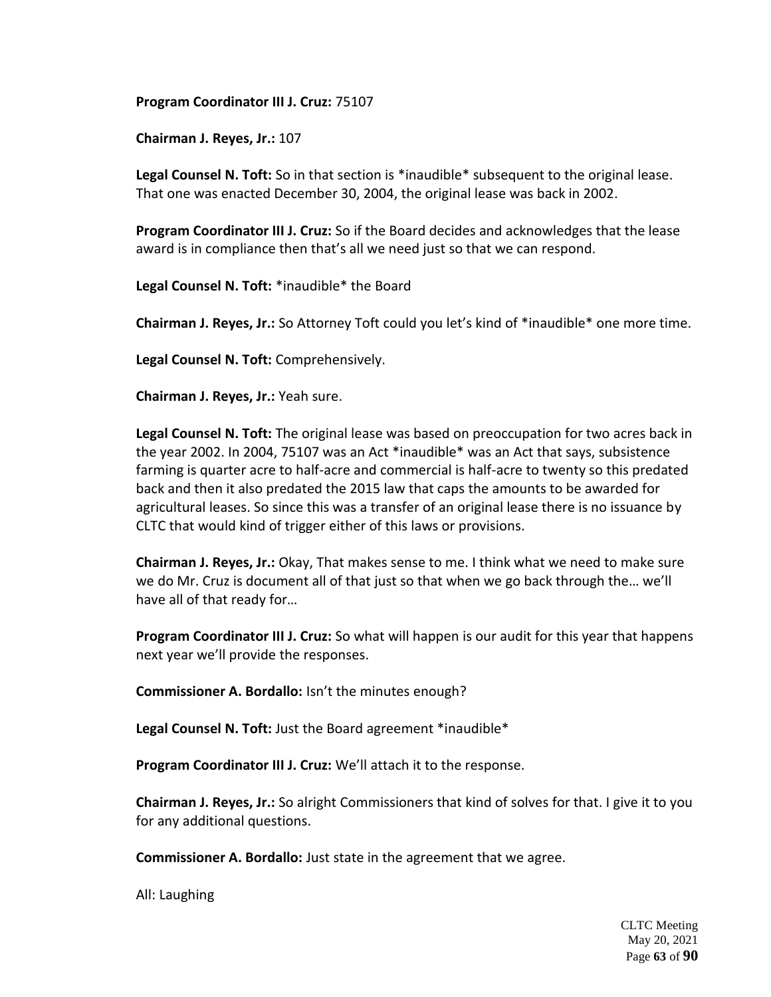**Program Coordinator III J. Cruz:** 75107

**Chairman J. Reyes, Jr.:** 107

**Legal Counsel N. Toft:** So in that section is \*inaudible\* subsequent to the original lease. That one was enacted December 30, 2004, the original lease was back in 2002.

**Program Coordinator III J. Cruz:** So if the Board decides and acknowledges that the lease award is in compliance then that's all we need just so that we can respond.

**Legal Counsel N. Toft:** \*inaudible\* the Board

**Chairman J. Reyes, Jr.:** So Attorney Toft could you let's kind of \*inaudible\* one more time.

**Legal Counsel N. Toft:** Comprehensively.

**Chairman J. Reyes, Jr.:** Yeah sure.

**Legal Counsel N. Toft:** The original lease was based on preoccupation for two acres back in the year 2002. In 2004, 75107 was an Act \*inaudible\* was an Act that says, subsistence farming is quarter acre to half-acre and commercial is half-acre to twenty so this predated back and then it also predated the 2015 law that caps the amounts to be awarded for agricultural leases. So since this was a transfer of an original lease there is no issuance by CLTC that would kind of trigger either of this laws or provisions.

**Chairman J. Reyes, Jr.:** Okay, That makes sense to me. I think what we need to make sure we do Mr. Cruz is document all of that just so that when we go back through the… we'll have all of that ready for…

**Program Coordinator III J. Cruz:** So what will happen is our audit for this year that happens next year we'll provide the responses.

**Commissioner A. Bordallo:** Isn't the minutes enough?

**Legal Counsel N. Toft:** Just the Board agreement \*inaudible\*

**Program Coordinator III J. Cruz:** We'll attach it to the response.

**Chairman J. Reyes, Jr.:** So alright Commissioners that kind of solves for that. I give it to you for any additional questions.

**Commissioner A. Bordallo:** Just state in the agreement that we agree.

All: Laughing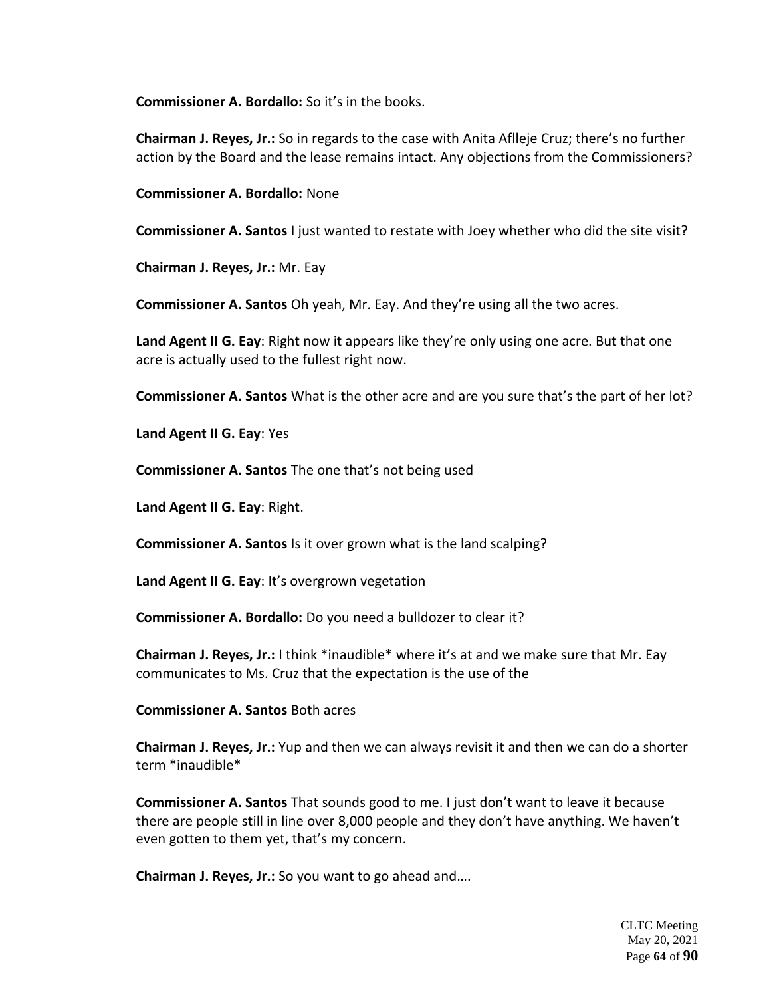**Commissioner A. Bordallo:** So it's in the books.

**Chairman J. Reyes, Jr.:** So in regards to the case with Anita Aflleje Cruz; there's no further action by the Board and the lease remains intact. Any objections from the Commissioners?

**Commissioner A. Bordallo:** None

**Commissioner A. Santos** I just wanted to restate with Joey whether who did the site visit?

**Chairman J. Reyes, Jr.:** Mr. Eay

**Commissioner A. Santos** Oh yeah, Mr. Eay. And they're using all the two acres.

**Land Agent II G. Eay**: Right now it appears like they're only using one acre. But that one acre is actually used to the fullest right now.

**Commissioner A. Santos** What is the other acre and are you sure that's the part of her lot?

**Land Agent II G. Eay**: Yes

**Commissioner A. Santos** The one that's not being used

**Land Agent II G. Eay**: Right.

**Commissioner A. Santos** Is it over grown what is the land scalping?

**Land Agent II G. Eay**: It's overgrown vegetation

**Commissioner A. Bordallo:** Do you need a bulldozer to clear it?

**Chairman J. Reyes, Jr.:** I think \*inaudible\* where it's at and we make sure that Mr. Eay communicates to Ms. Cruz that the expectation is the use of the

**Commissioner A. Santos** Both acres

**Chairman J. Reyes, Jr.:** Yup and then we can always revisit it and then we can do a shorter term \*inaudible\*

**Commissioner A. Santos** That sounds good to me. I just don't want to leave it because there are people still in line over 8,000 people and they don't have anything. We haven't even gotten to them yet, that's my concern.

**Chairman J. Reyes, Jr.:** So you want to go ahead and….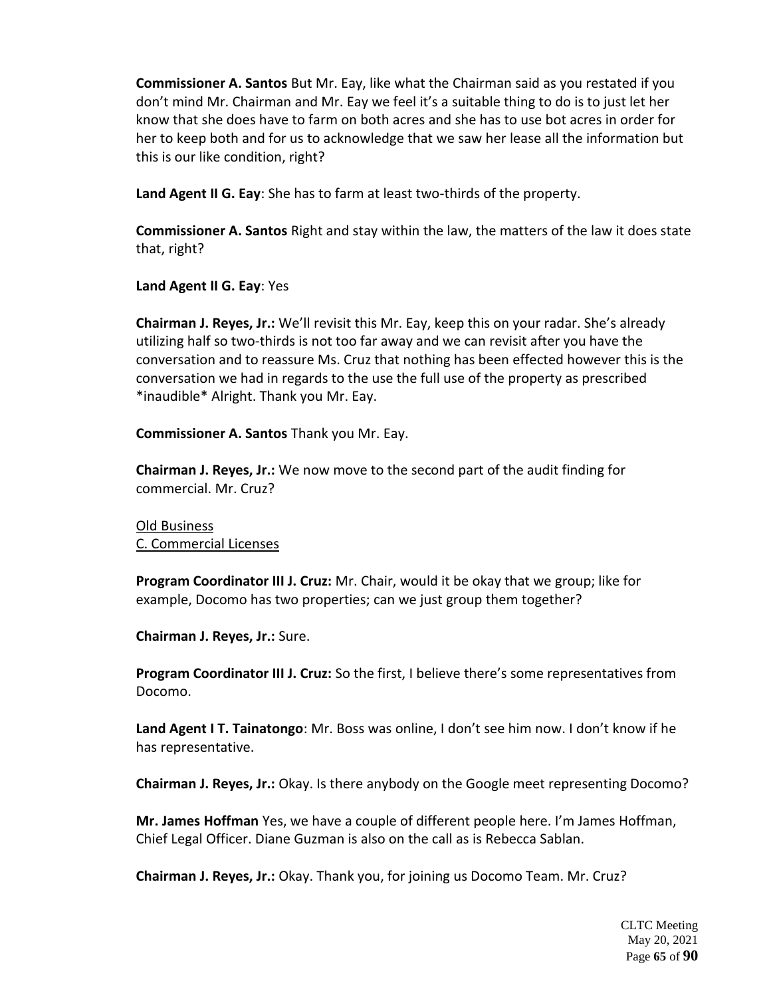**Commissioner A. Santos** But Mr. Eay, like what the Chairman said as you restated if you don't mind Mr. Chairman and Mr. Eay we feel it's a suitable thing to do is to just let her know that she does have to farm on both acres and she has to use bot acres in order for her to keep both and for us to acknowledge that we saw her lease all the information but this is our like condition, right?

**Land Agent II G. Eay**: She has to farm at least two-thirds of the property.

**Commissioner A. Santos** Right and stay within the law, the matters of the law it does state that, right?

**Land Agent II G. Eay**: Yes

**Chairman J. Reyes, Jr.:** We'll revisit this Mr. Eay, keep this on your radar. She's already utilizing half so two-thirds is not too far away and we can revisit after you have the conversation and to reassure Ms. Cruz that nothing has been effected however this is the conversation we had in regards to the use the full use of the property as prescribed \*inaudible\* Alright. Thank you Mr. Eay.

**Commissioner A. Santos** Thank you Mr. Eay.

**Chairman J. Reyes, Jr.:** We now move to the second part of the audit finding for commercial. Mr. Cruz?

Old Business C. Commercial Licenses

**Program Coordinator III J. Cruz:** Mr. Chair, would it be okay that we group; like for example, Docomo has two properties; can we just group them together?

**Chairman J. Reyes, Jr.:** Sure.

**Program Coordinator III J. Cruz:** So the first, I believe there's some representatives from Docomo.

**Land Agent I T. Tainatongo**: Mr. Boss was online, I don't see him now. I don't know if he has representative.

**Chairman J. Reyes, Jr.:** Okay. Is there anybody on the Google meet representing Docomo?

**Mr. James Hoffman** Yes, we have a couple of different people here. I'm James Hoffman, Chief Legal Officer. Diane Guzman is also on the call as is Rebecca Sablan.

**Chairman J. Reyes, Jr.:** Okay. Thank you, for joining us Docomo Team. Mr. Cruz?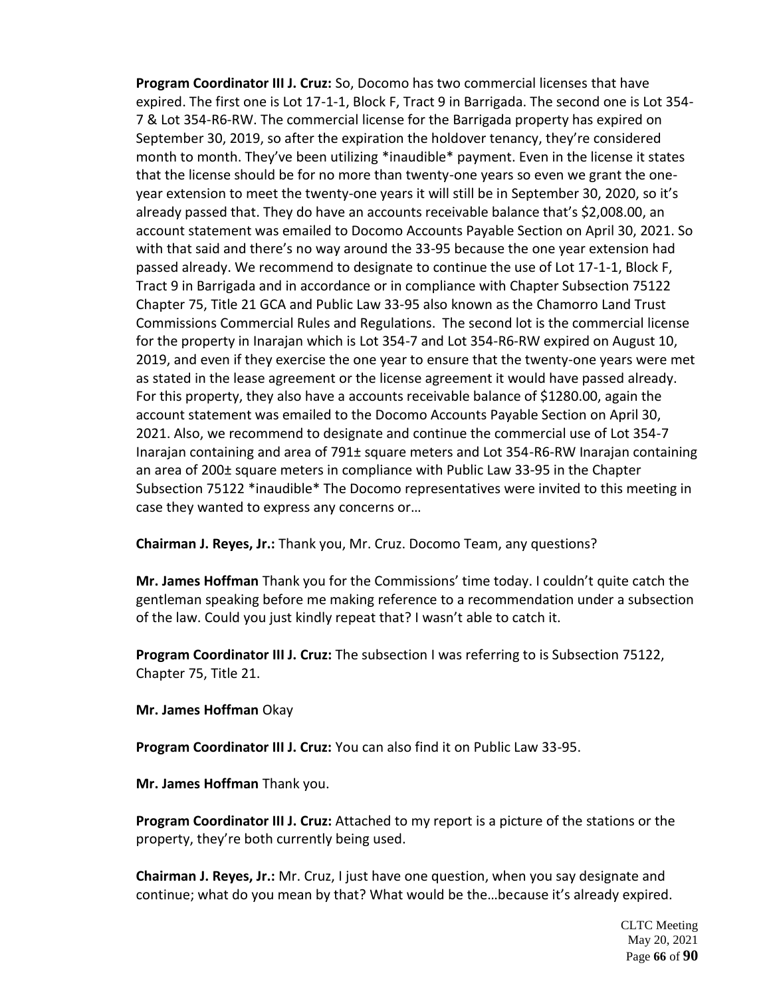**Program Coordinator III J. Cruz:** So, Docomo has two commercial licenses that have expired. The first one is Lot 17-1-1, Block F, Tract 9 in Barrigada. The second one is Lot 354- 7 & Lot 354-R6-RW. The commercial license for the Barrigada property has expired on September 30, 2019, so after the expiration the holdover tenancy, they're considered month to month. They've been utilizing \*inaudible\* payment. Even in the license it states that the license should be for no more than twenty-one years so even we grant the oneyear extension to meet the twenty-one years it will still be in September 30, 2020, so it's already passed that. They do have an accounts receivable balance that's \$2,008.00, an account statement was emailed to Docomo Accounts Payable Section on April 30, 2021. So with that said and there's no way around the 33-95 because the one year extension had passed already. We recommend to designate to continue the use of Lot 17-1-1, Block F, Tract 9 in Barrigada and in accordance or in compliance with Chapter Subsection 75122 Chapter 75, Title 21 GCA and Public Law 33-95 also known as the Chamorro Land Trust Commissions Commercial Rules and Regulations. The second lot is the commercial license for the property in Inarajan which is Lot 354-7 and Lot 354-R6-RW expired on August 10, 2019, and even if they exercise the one year to ensure that the twenty-one years were met as stated in the lease agreement or the license agreement it would have passed already. For this property, they also have a accounts receivable balance of \$1280.00, again the account statement was emailed to the Docomo Accounts Payable Section on April 30, 2021. Also, we recommend to designate and continue the commercial use of Lot 354-7 Inarajan containing and area of 791± square meters and Lot 354-R6-RW Inarajan containing an area of 200± square meters in compliance with Public Law 33-95 in the Chapter Subsection 75122 \*inaudible\* The Docomo representatives were invited to this meeting in case they wanted to express any concerns or…

**Chairman J. Reyes, Jr.:** Thank you, Mr. Cruz. Docomo Team, any questions?

**Mr. James Hoffman** Thank you for the Commissions' time today. I couldn't quite catch the gentleman speaking before me making reference to a recommendation under a subsection of the law. Could you just kindly repeat that? I wasn't able to catch it.

**Program Coordinator III J. Cruz:** The subsection I was referring to is Subsection 75122, Chapter 75, Title 21.

**Mr. James Hoffman** Okay

**Program Coordinator III J. Cruz:** You can also find it on Public Law 33-95.

**Mr. James Hoffman** Thank you.

**Program Coordinator III J. Cruz:** Attached to my report is a picture of the stations or the property, they're both currently being used.

**Chairman J. Reyes, Jr.:** Mr. Cruz, I just have one question, when you say designate and continue; what do you mean by that? What would be the…because it's already expired.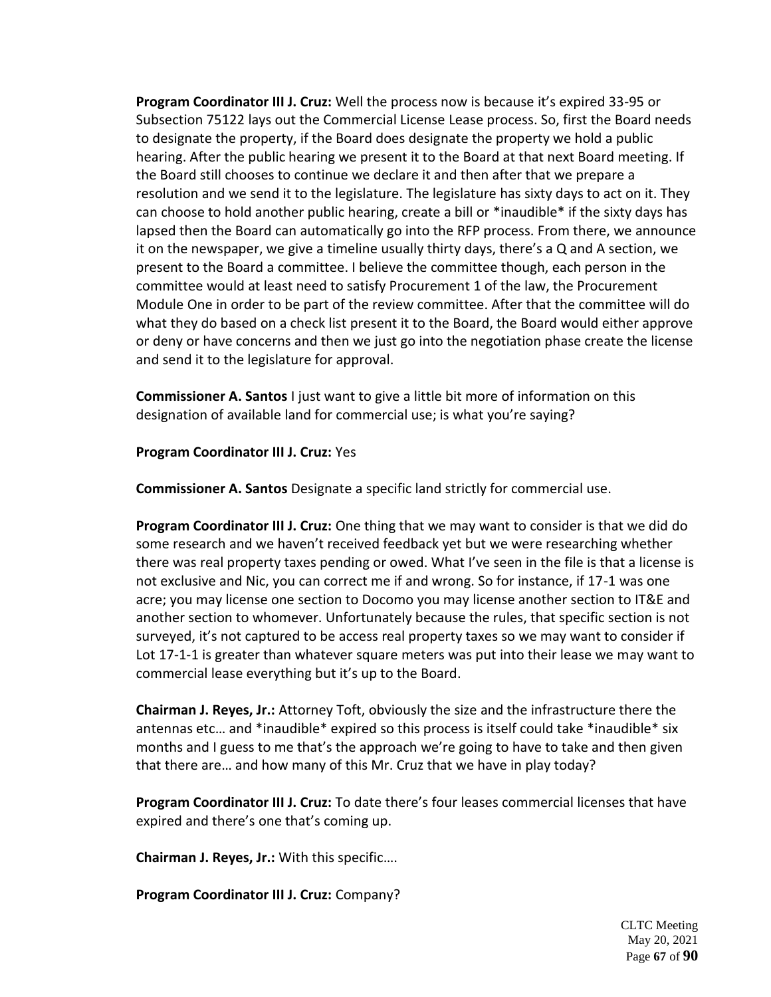**Program Coordinator III J. Cruz:** Well the process now is because it's expired 33-95 or Subsection 75122 lays out the Commercial License Lease process. So, first the Board needs to designate the property, if the Board does designate the property we hold a public hearing. After the public hearing we present it to the Board at that next Board meeting. If the Board still chooses to continue we declare it and then after that we prepare a resolution and we send it to the legislature. The legislature has sixty days to act on it. They can choose to hold another public hearing, create a bill or \*inaudible\* if the sixty days has lapsed then the Board can automatically go into the RFP process. From there, we announce it on the newspaper, we give a timeline usually thirty days, there's a Q and A section, we present to the Board a committee. I believe the committee though, each person in the committee would at least need to satisfy Procurement 1 of the law, the Procurement Module One in order to be part of the review committee. After that the committee will do what they do based on a check list present it to the Board, the Board would either approve or deny or have concerns and then we just go into the negotiation phase create the license and send it to the legislature for approval.

**Commissioner A. Santos** I just want to give a little bit more of information on this designation of available land for commercial use; is what you're saying?

## **Program Coordinator III J. Cruz:** Yes

**Commissioner A. Santos** Designate a specific land strictly for commercial use.

**Program Coordinator III J. Cruz:** One thing that we may want to consider is that we did do some research and we haven't received feedback yet but we were researching whether there was real property taxes pending or owed. What I've seen in the file is that a license is not exclusive and Nic, you can correct me if and wrong. So for instance, if 17-1 was one acre; you may license one section to Docomo you may license another section to IT&E and another section to whomever. Unfortunately because the rules, that specific section is not surveyed, it's not captured to be access real property taxes so we may want to consider if Lot 17-1-1 is greater than whatever square meters was put into their lease we may want to commercial lease everything but it's up to the Board.

**Chairman J. Reyes, Jr.:** Attorney Toft, obviously the size and the infrastructure there the antennas etc… and \*inaudible\* expired so this process is itself could take \*inaudible\* six months and I guess to me that's the approach we're going to have to take and then given that there are… and how many of this Mr. Cruz that we have in play today?

**Program Coordinator III J. Cruz:** To date there's four leases commercial licenses that have expired and there's one that's coming up.

**Chairman J. Reyes, Jr.:** With this specific….

**Program Coordinator III J. Cruz:** Company?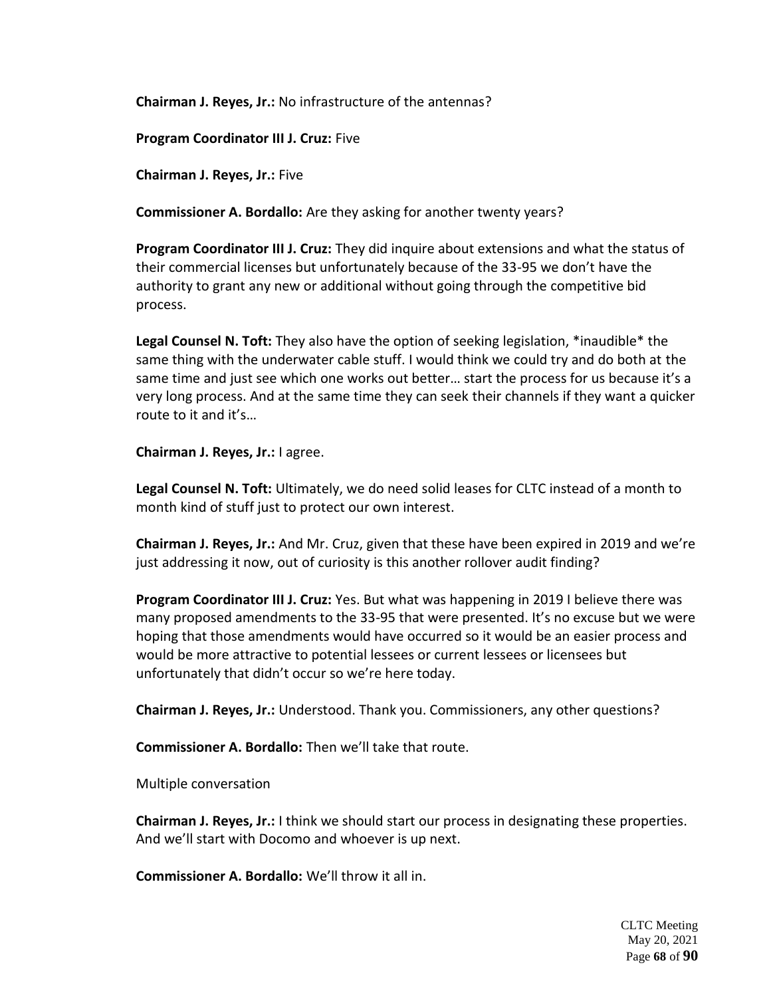**Chairman J. Reyes, Jr.:** No infrastructure of the antennas?

**Program Coordinator III J. Cruz:** Five

**Chairman J. Reyes, Jr.:** Five

**Commissioner A. Bordallo:** Are they asking for another twenty years?

**Program Coordinator III J. Cruz:** They did inquire about extensions and what the status of their commercial licenses but unfortunately because of the 33-95 we don't have the authority to grant any new or additional without going through the competitive bid process.

**Legal Counsel N. Toft:** They also have the option of seeking legislation, \*inaudible\* the same thing with the underwater cable stuff. I would think we could try and do both at the same time and just see which one works out better… start the process for us because it's a very long process. And at the same time they can seek their channels if they want a quicker route to it and it's…

**Chairman J. Reyes, Jr.:** I agree.

**Legal Counsel N. Toft:** Ultimately, we do need solid leases for CLTC instead of a month to month kind of stuff just to protect our own interest.

**Chairman J. Reyes, Jr.:** And Mr. Cruz, given that these have been expired in 2019 and we're just addressing it now, out of curiosity is this another rollover audit finding?

**Program Coordinator III J. Cruz:** Yes. But what was happening in 2019 I believe there was many proposed amendments to the 33-95 that were presented. It's no excuse but we were hoping that those amendments would have occurred so it would be an easier process and would be more attractive to potential lessees or current lessees or licensees but unfortunately that didn't occur so we're here today.

**Chairman J. Reyes, Jr.:** Understood. Thank you. Commissioners, any other questions?

**Commissioner A. Bordallo:** Then we'll take that route.

Multiple conversation

**Chairman J. Reyes, Jr.:** I think we should start our process in designating these properties. And we'll start with Docomo and whoever is up next.

**Commissioner A. Bordallo:** We'll throw it all in.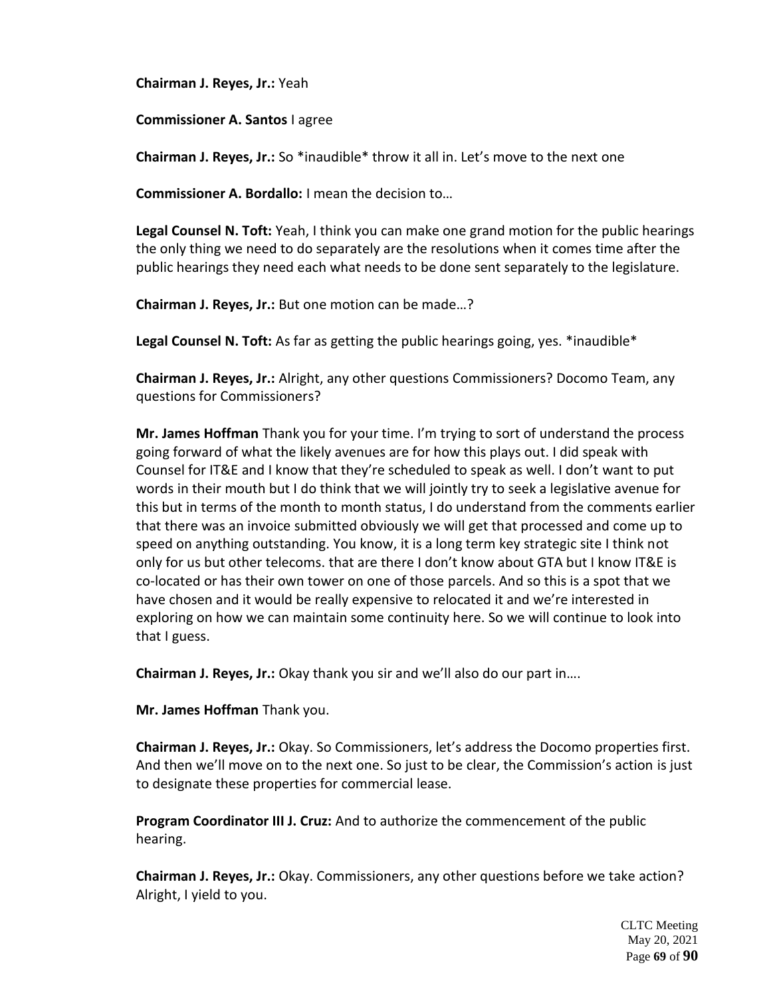**Chairman J. Reyes, Jr.:** Yeah

## **Commissioner A. Santos** I agree

**Chairman J. Reyes, Jr.:** So \*inaudible\* throw it all in. Let's move to the next one

**Commissioner A. Bordallo:** I mean the decision to…

**Legal Counsel N. Toft:** Yeah, I think you can make one grand motion for the public hearings the only thing we need to do separately are the resolutions when it comes time after the public hearings they need each what needs to be done sent separately to the legislature.

**Chairman J. Reyes, Jr.:** But one motion can be made…?

**Legal Counsel N. Toft:** As far as getting the public hearings going, yes. \*inaudible\*

**Chairman J. Reyes, Jr.:** Alright, any other questions Commissioners? Docomo Team, any questions for Commissioners?

**Mr. James Hoffman** Thank you for your time. I'm trying to sort of understand the process going forward of what the likely avenues are for how this plays out. I did speak with Counsel for IT&E and I know that they're scheduled to speak as well. I don't want to put words in their mouth but I do think that we will jointly try to seek a legislative avenue for this but in terms of the month to month status, I do understand from the comments earlier that there was an invoice submitted obviously we will get that processed and come up to speed on anything outstanding. You know, it is a long term key strategic site I think not only for us but other telecoms. that are there I don't know about GTA but I know IT&E is co-located or has their own tower on one of those parcels. And so this is a spot that we have chosen and it would be really expensive to relocated it and we're interested in exploring on how we can maintain some continuity here. So we will continue to look into that I guess.

**Chairman J. Reyes, Jr.:** Okay thank you sir and we'll also do our part in….

**Mr. James Hoffman** Thank you.

**Chairman J. Reyes, Jr.:** Okay. So Commissioners, let's address the Docomo properties first. And then we'll move on to the next one. So just to be clear, the Commission's action is just to designate these properties for commercial lease.

**Program Coordinator III J. Cruz:** And to authorize the commencement of the public hearing.

**Chairman J. Reyes, Jr.:** Okay. Commissioners, any other questions before we take action? Alright, I yield to you.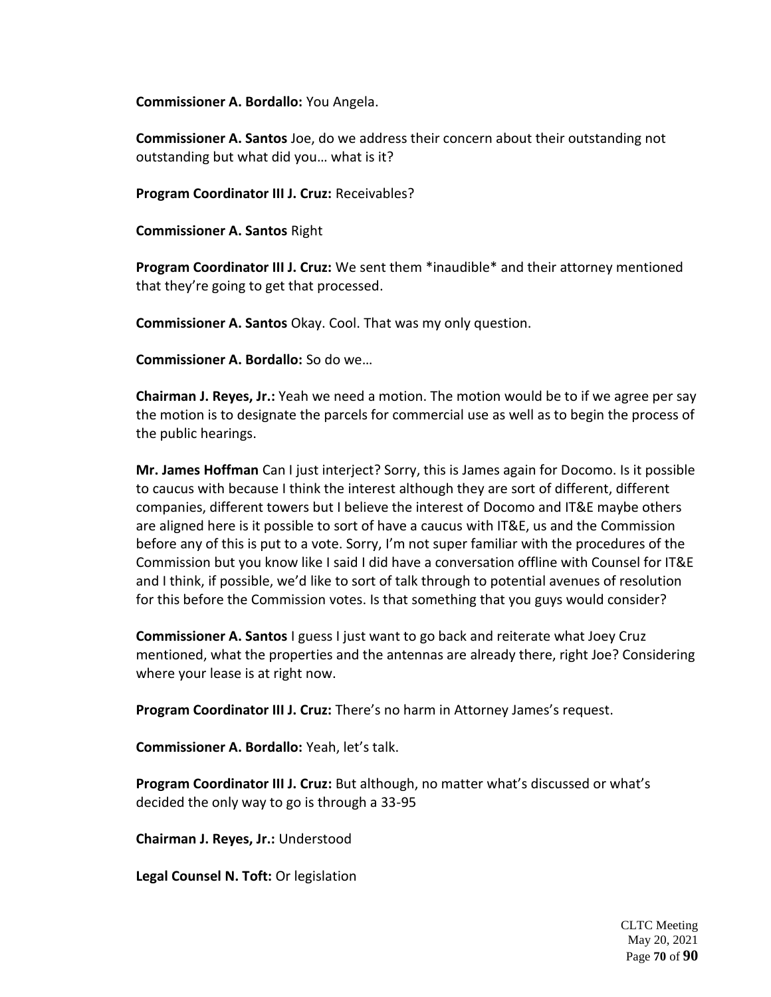**Commissioner A. Bordallo:** You Angela.

**Commissioner A. Santos** Joe, do we address their concern about their outstanding not outstanding but what did you… what is it?

**Program Coordinator III J. Cruz:** Receivables?

**Commissioner A. Santos** Right

**Program Coordinator III J. Cruz:** We sent them \*inaudible\* and their attorney mentioned that they're going to get that processed.

**Commissioner A. Santos** Okay. Cool. That was my only question.

**Commissioner A. Bordallo:** So do we…

**Chairman J. Reyes, Jr.:** Yeah we need a motion. The motion would be to if we agree per say the motion is to designate the parcels for commercial use as well as to begin the process of the public hearings.

**Mr. James Hoffman** Can I just interject? Sorry, this is James again for Docomo. Is it possible to caucus with because I think the interest although they are sort of different, different companies, different towers but I believe the interest of Docomo and IT&E maybe others are aligned here is it possible to sort of have a caucus with IT&E, us and the Commission before any of this is put to a vote. Sorry, I'm not super familiar with the procedures of the Commission but you know like I said I did have a conversation offline with Counsel for IT&E and I think, if possible, we'd like to sort of talk through to potential avenues of resolution for this before the Commission votes. Is that something that you guys would consider?

**Commissioner A. Santos** I guess I just want to go back and reiterate what Joey Cruz mentioned, what the properties and the antennas are already there, right Joe? Considering where your lease is at right now.

**Program Coordinator III J. Cruz:** There's no harm in Attorney James's request.

**Commissioner A. Bordallo:** Yeah, let's talk.

**Program Coordinator III J. Cruz:** But although, no matter what's discussed or what's decided the only way to go is through a 33-95

**Chairman J. Reyes, Jr.:** Understood

**Legal Counsel N. Toft:** Or legislation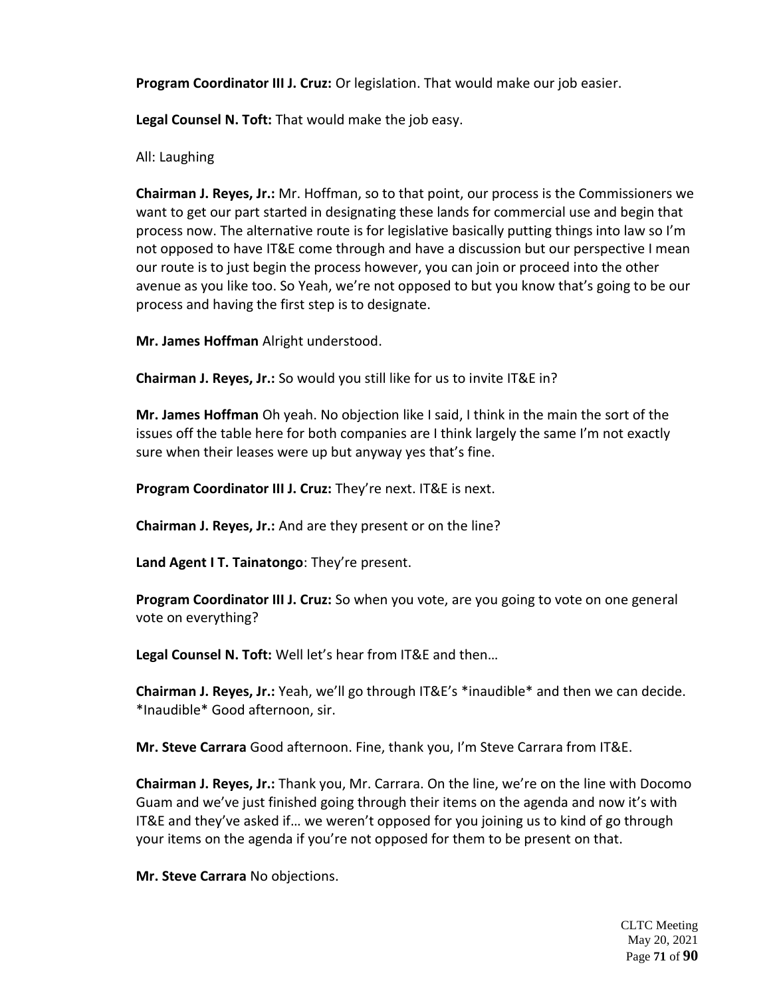**Program Coordinator III J. Cruz:** Or legislation. That would make our job easier.

**Legal Counsel N. Toft:** That would make the job easy.

All: Laughing

**Chairman J. Reyes, Jr.:** Mr. Hoffman, so to that point, our process is the Commissioners we want to get our part started in designating these lands for commercial use and begin that process now. The alternative route is for legislative basically putting things into law so I'm not opposed to have IT&E come through and have a discussion but our perspective I mean our route is to just begin the process however, you can join or proceed into the other avenue as you like too. So Yeah, we're not opposed to but you know that's going to be our process and having the first step is to designate.

**Mr. James Hoffman** Alright understood.

**Chairman J. Reyes, Jr.:** So would you still like for us to invite IT&E in?

**Mr. James Hoffman** Oh yeah. No objection like I said, I think in the main the sort of the issues off the table here for both companies are I think largely the same I'm not exactly sure when their leases were up but anyway yes that's fine.

**Program Coordinator III J. Cruz:** They're next. IT&E is next.

**Chairman J. Reyes, Jr.:** And are they present or on the line?

**Land Agent I T. Tainatongo**: They're present.

**Program Coordinator III J. Cruz:** So when you vote, are you going to vote on one general vote on everything?

**Legal Counsel N. Toft:** Well let's hear from IT&E and then…

**Chairman J. Reyes, Jr.:** Yeah, we'll go through IT&E's \*inaudible\* and then we can decide. \*Inaudible\* Good afternoon, sir.

**Mr. Steve Carrara** Good afternoon. Fine, thank you, I'm Steve Carrara from IT&E.

**Chairman J. Reyes, Jr.:** Thank you, Mr. Carrara. On the line, we're on the line with Docomo Guam and we've just finished going through their items on the agenda and now it's with IT&E and they've asked if… we weren't opposed for you joining us to kind of go through your items on the agenda if you're not opposed for them to be present on that.

**Mr. Steve Carrara** No objections.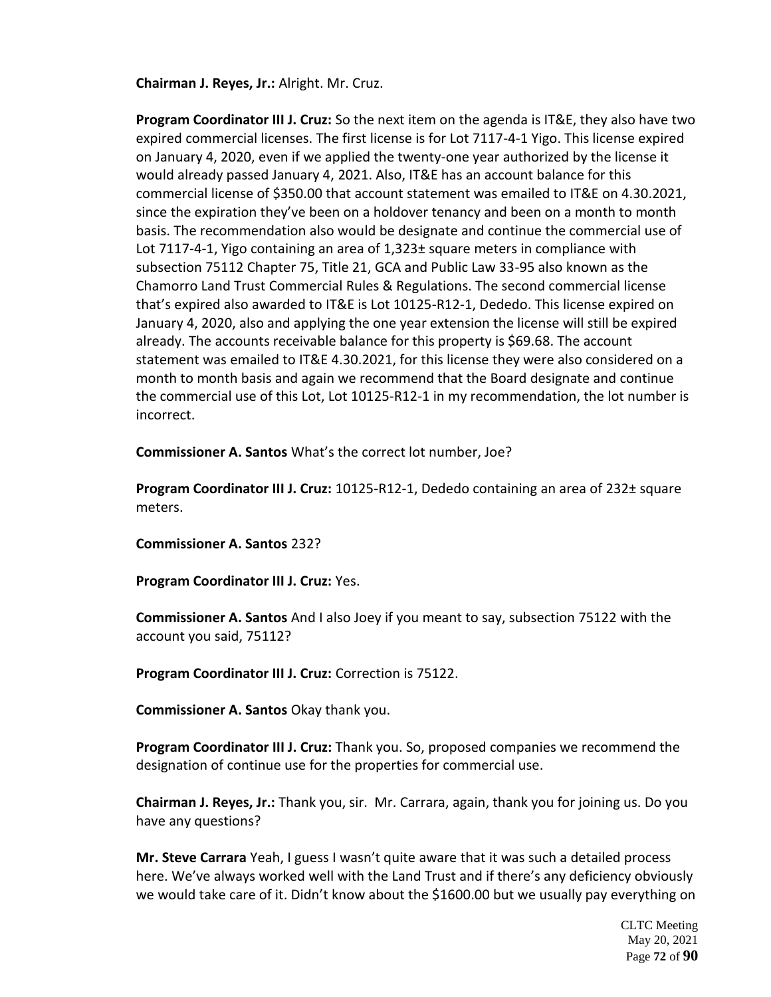**Chairman J. Reyes, Jr.:** Alright. Mr. Cruz.

**Program Coordinator III J. Cruz:** So the next item on the agenda is IT&E, they also have two expired commercial licenses. The first license is for Lot 7117-4-1 Yigo. This license expired on January 4, 2020, even if we applied the twenty-one year authorized by the license it would already passed January 4, 2021. Also, IT&E has an account balance for this commercial license of \$350.00 that account statement was emailed to IT&E on 4.30.2021, since the expiration they've been on a holdover tenancy and been on a month to month basis. The recommendation also would be designate and continue the commercial use of Lot 7117-4-1, Yigo containing an area of 1,323± square meters in compliance with subsection 75112 Chapter 75, Title 21, GCA and Public Law 33-95 also known as the Chamorro Land Trust Commercial Rules & Regulations. The second commercial license that's expired also awarded to IT&E is Lot 10125-R12-1, Dededo. This license expired on January 4, 2020, also and applying the one year extension the license will still be expired already. The accounts receivable balance for this property is \$69.68. The account statement was emailed to IT&E 4.30.2021, for this license they were also considered on a month to month basis and again we recommend that the Board designate and continue the commercial use of this Lot, Lot 10125-R12-1 in my recommendation, the lot number is incorrect.

**Commissioner A. Santos** What's the correct lot number, Joe?

**Program Coordinator III J. Cruz:** 10125-R12-1, Dededo containing an area of 232± square meters.

**Commissioner A. Santos** 232?

**Program Coordinator III J. Cruz:** Yes.

**Commissioner A. Santos** And I also Joey if you meant to say, subsection 75122 with the account you said, 75112?

**Program Coordinator III J. Cruz:** Correction is 75122.

**Commissioner A. Santos** Okay thank you.

**Program Coordinator III J. Cruz:** Thank you. So, proposed companies we recommend the designation of continue use for the properties for commercial use.

**Chairman J. Reyes, Jr.:** Thank you, sir. Mr. Carrara, again, thank you for joining us. Do you have any questions?

**Mr. Steve Carrara** Yeah, I guess I wasn't quite aware that it was such a detailed process here. We've always worked well with the Land Trust and if there's any deficiency obviously we would take care of it. Didn't know about the \$1600.00 but we usually pay everything on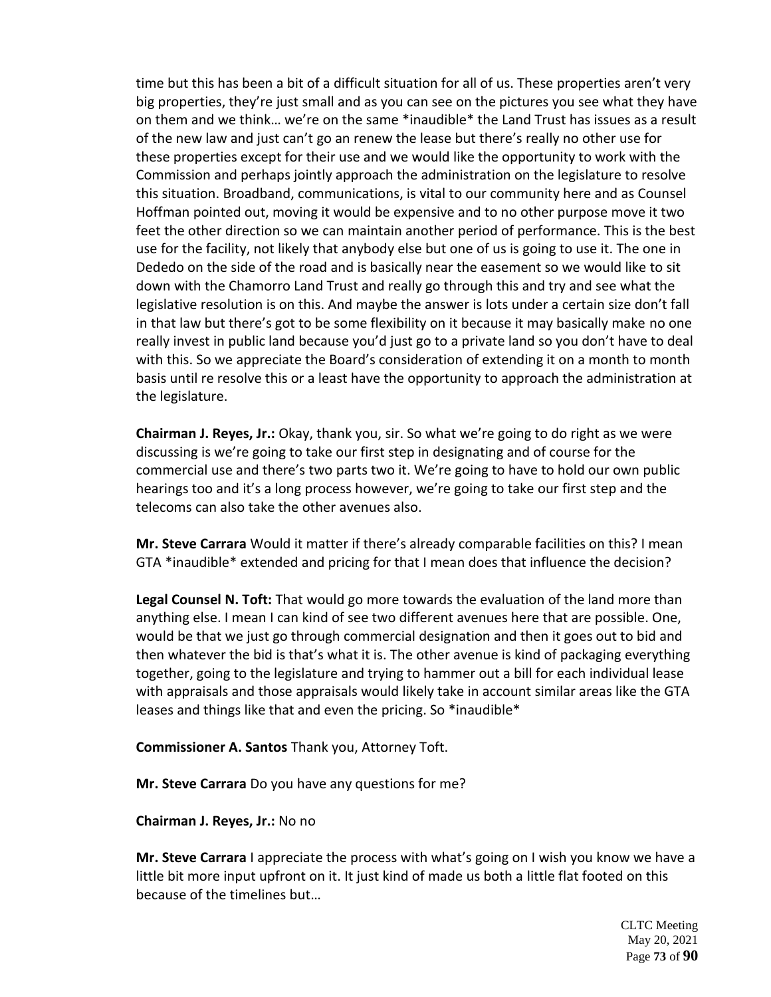time but this has been a bit of a difficult situation for all of us. These properties aren't very big properties, they're just small and as you can see on the pictures you see what they have on them and we think… we're on the same \*inaudible\* the Land Trust has issues as a result of the new law and just can't go an renew the lease but there's really no other use for these properties except for their use and we would like the opportunity to work with the Commission and perhaps jointly approach the administration on the legislature to resolve this situation. Broadband, communications, is vital to our community here and as Counsel Hoffman pointed out, moving it would be expensive and to no other purpose move it two feet the other direction so we can maintain another period of performance. This is the best use for the facility, not likely that anybody else but one of us is going to use it. The one in Dededo on the side of the road and is basically near the easement so we would like to sit down with the Chamorro Land Trust and really go through this and try and see what the legislative resolution is on this. And maybe the answer is lots under a certain size don't fall in that law but there's got to be some flexibility on it because it may basically make no one really invest in public land because you'd just go to a private land so you don't have to deal with this. So we appreciate the Board's consideration of extending it on a month to month basis until re resolve this or a least have the opportunity to approach the administration at the legislature.

**Chairman J. Reyes, Jr.:** Okay, thank you, sir. So what we're going to do right as we were discussing is we're going to take our first step in designating and of course for the commercial use and there's two parts two it. We're going to have to hold our own public hearings too and it's a long process however, we're going to take our first step and the telecoms can also take the other avenues also.

**Mr. Steve Carrara** Would it matter if there's already comparable facilities on this? I mean GTA \*inaudible\* extended and pricing for that I mean does that influence the decision?

**Legal Counsel N. Toft:** That would go more towards the evaluation of the land more than anything else. I mean I can kind of see two different avenues here that are possible. One, would be that we just go through commercial designation and then it goes out to bid and then whatever the bid is that's what it is. The other avenue is kind of packaging everything together, going to the legislature and trying to hammer out a bill for each individual lease with appraisals and those appraisals would likely take in account similar areas like the GTA leases and things like that and even the pricing. So \*inaudible\*

**Commissioner A. Santos** Thank you, Attorney Toft.

**Mr. Steve Carrara** Do you have any questions for me?

**Chairman J. Reyes, Jr.:** No no

**Mr. Steve Carrara** I appreciate the process with what's going on I wish you know we have a little bit more input upfront on it. It just kind of made us both a little flat footed on this because of the timelines but…

> CLTC Meeting May 20, 2021 Page **73** of **90**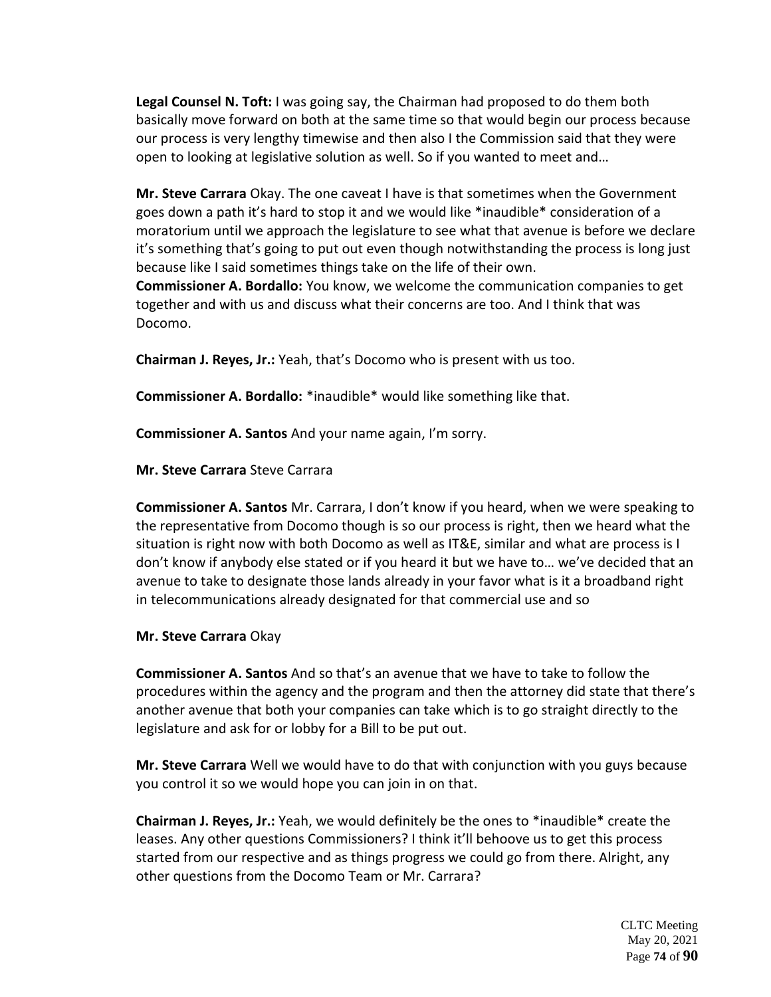**Legal Counsel N. Toft:** I was going say, the Chairman had proposed to do them both basically move forward on both at the same time so that would begin our process because our process is very lengthy timewise and then also I the Commission said that they were open to looking at legislative solution as well. So if you wanted to meet and…

**Mr. Steve Carrara** Okay. The one caveat I have is that sometimes when the Government goes down a path it's hard to stop it and we would like \*inaudible\* consideration of a moratorium until we approach the legislature to see what that avenue is before we declare it's something that's going to put out even though notwithstanding the process is long just because like I said sometimes things take on the life of their own.

**Commissioner A. Bordallo:** You know, we welcome the communication companies to get together and with us and discuss what their concerns are too. And I think that was Docomo.

**Chairman J. Reyes, Jr.:** Yeah, that's Docomo who is present with us too.

**Commissioner A. Bordallo:** \*inaudible\* would like something like that.

**Commissioner A. Santos** And your name again, I'm sorry.

**Mr. Steve Carrara** Steve Carrara

**Commissioner A. Santos** Mr. Carrara, I don't know if you heard, when we were speaking to the representative from Docomo though is so our process is right, then we heard what the situation is right now with both Docomo as well as IT&E, similar and what are process is I don't know if anybody else stated or if you heard it but we have to… we've decided that an avenue to take to designate those lands already in your favor what is it a broadband right in telecommunications already designated for that commercial use and so

## **Mr. Steve Carrara** Okay

**Commissioner A. Santos** And so that's an avenue that we have to take to follow the procedures within the agency and the program and then the attorney did state that there's another avenue that both your companies can take which is to go straight directly to the legislature and ask for or lobby for a Bill to be put out.

**Mr. Steve Carrara** Well we would have to do that with conjunction with you guys because you control it so we would hope you can join in on that.

**Chairman J. Reyes, Jr.:** Yeah, we would definitely be the ones to \*inaudible\* create the leases. Any other questions Commissioners? I think it'll behoove us to get this process started from our respective and as things progress we could go from there. Alright, any other questions from the Docomo Team or Mr. Carrara?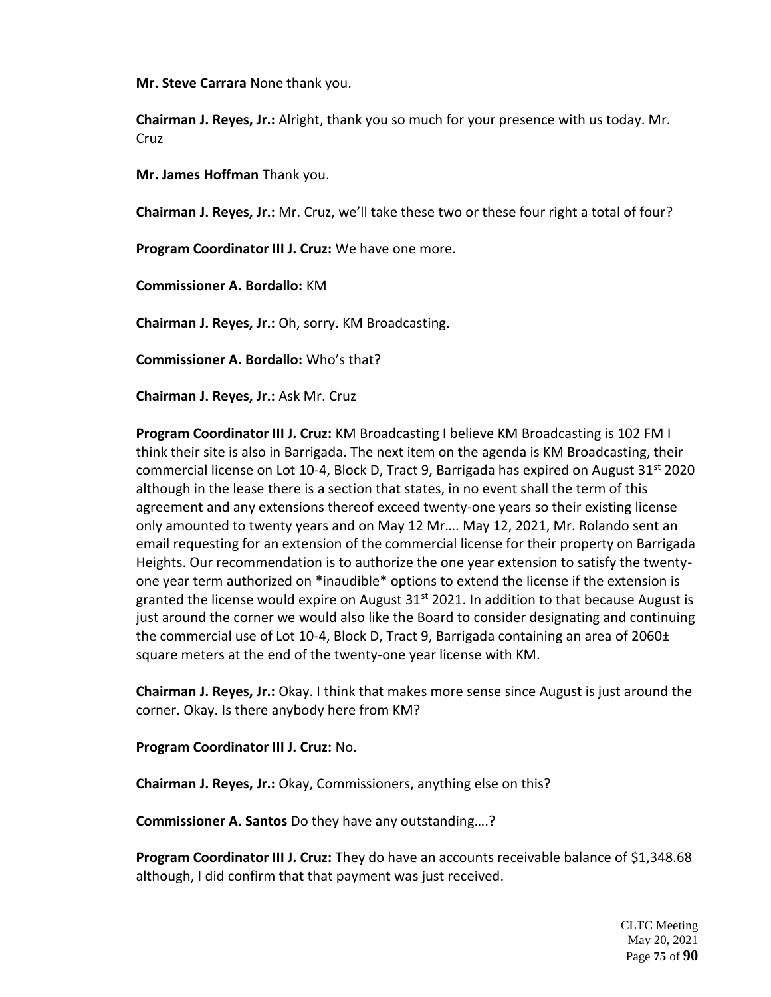**Mr. Steve Carrara** None thank you.

**Chairman J. Reyes, Jr.:** Alright, thank you so much for your presence with us today. Mr. **Cruz** 

**Mr. James Hoffman** Thank you.

**Chairman J. Reyes, Jr.:** Mr. Cruz, we'll take these two or these four right a total of four?

**Program Coordinator III J. Cruz:** We have one more.

**Commissioner A. Bordallo:** KM

**Chairman J. Reyes, Jr.:** Oh, sorry. KM Broadcasting.

**Commissioner A. Bordallo:** Who's that?

**Chairman J. Reyes, Jr.:** Ask Mr. Cruz

**Program Coordinator III J. Cruz:** KM Broadcasting I believe KM Broadcasting is 102 FM I think their site is also in Barrigada. The next item on the agenda is KM Broadcasting, their commercial license on Lot 10-4, Block D, Tract 9, Barrigada has expired on August  $31^{st}$  2020 although in the lease there is a section that states, in no event shall the term of this agreement and any extensions thereof exceed twenty-one years so their existing license only amounted to twenty years and on May 12 Mr…. May 12, 2021, Mr. Rolando sent an email requesting for an extension of the commercial license for their property on Barrigada Heights. Our recommendation is to authorize the one year extension to satisfy the twentyone year term authorized on \*inaudible\* options to extend the license if the extension is granted the license would expire on August  $31<sup>st</sup>$  2021. In addition to that because August is just around the corner we would also like the Board to consider designating and continuing the commercial use of Lot 10-4, Block D, Tract 9, Barrigada containing an area of 2060± square meters at the end of the twenty-one year license with KM.

**Chairman J. Reyes, Jr.:** Okay. I think that makes more sense since August is just around the corner. Okay. Is there anybody here from KM?

**Program Coordinator III J. Cruz:** No.

**Chairman J. Reyes, Jr.:** Okay, Commissioners, anything else on this?

**Commissioner A. Santos** Do they have any outstanding….?

**Program Coordinator III J. Cruz:** They do have an accounts receivable balance of \$1,348.68 although, I did confirm that that payment was just received.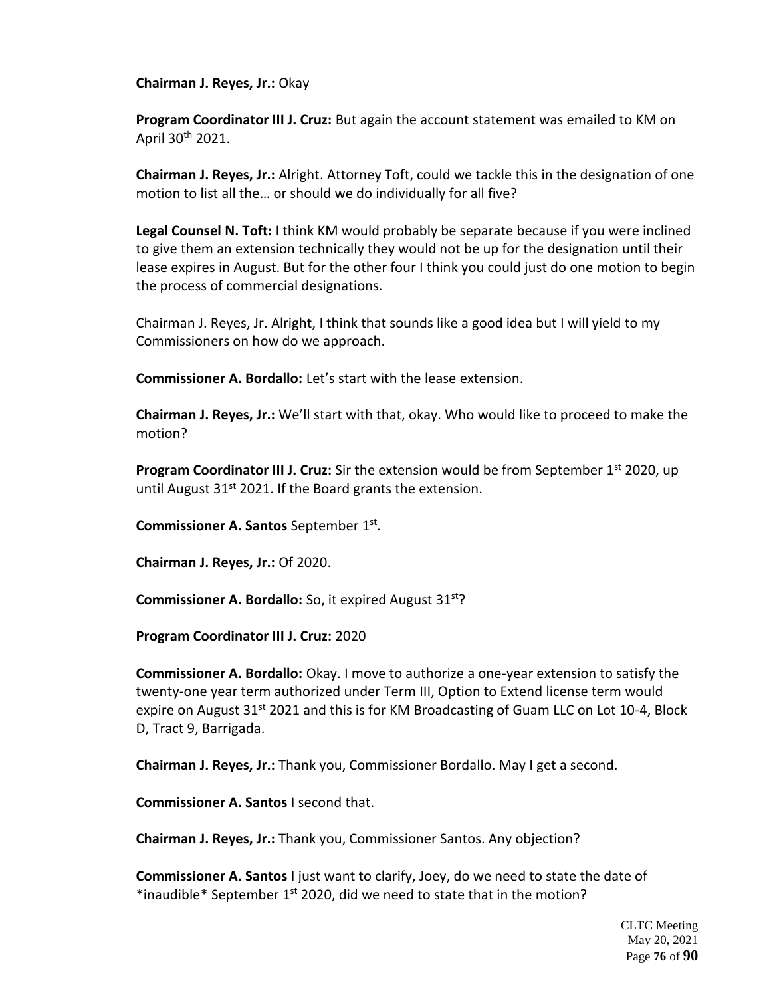**Chairman J. Reyes, Jr.:** Okay

**Program Coordinator III J. Cruz:** But again the account statement was emailed to KM on April 30th 2021.

**Chairman J. Reyes, Jr.:** Alright. Attorney Toft, could we tackle this in the designation of one motion to list all the… or should we do individually for all five?

**Legal Counsel N. Toft:** I think KM would probably be separate because if you were inclined to give them an extension technically they would not be up for the designation until their lease expires in August. But for the other four I think you could just do one motion to begin the process of commercial designations.

Chairman J. Reyes, Jr. Alright, I think that sounds like a good idea but I will yield to my Commissioners on how do we approach.

**Commissioner A. Bordallo:** Let's start with the lease extension.

**Chairman J. Reyes, Jr.:** We'll start with that, okay. Who would like to proceed to make the motion?

**Program Coordinator III J. Cruz:** Sir the extension would be from September 1<sup>st</sup> 2020, up until August  $31<sup>st</sup>$  2021. If the Board grants the extension.

**Commissioner A. Santos** September 1<sup>st</sup>.

**Chairman J. Reyes, Jr.:** Of 2020.

**Commissioner A. Bordallo:** So, it expired August 31<sup>st</sup>?

**Program Coordinator III J. Cruz:** 2020

**Commissioner A. Bordallo:** Okay. I move to authorize a one-year extension to satisfy the twenty-one year term authorized under Term III, Option to Extend license term would expire on August  $31^{st}$  2021 and this is for KM Broadcasting of Guam LLC on Lot 10-4, Block D, Tract 9, Barrigada.

**Chairman J. Reyes, Jr.:** Thank you, Commissioner Bordallo. May I get a second.

**Commissioner A. Santos** I second that.

**Chairman J. Reyes, Jr.:** Thank you, Commissioner Santos. Any objection?

**Commissioner A. Santos** I just want to clarify, Joey, do we need to state the date of \*inaudible\* September 1<sup>st</sup> 2020, did we need to state that in the motion?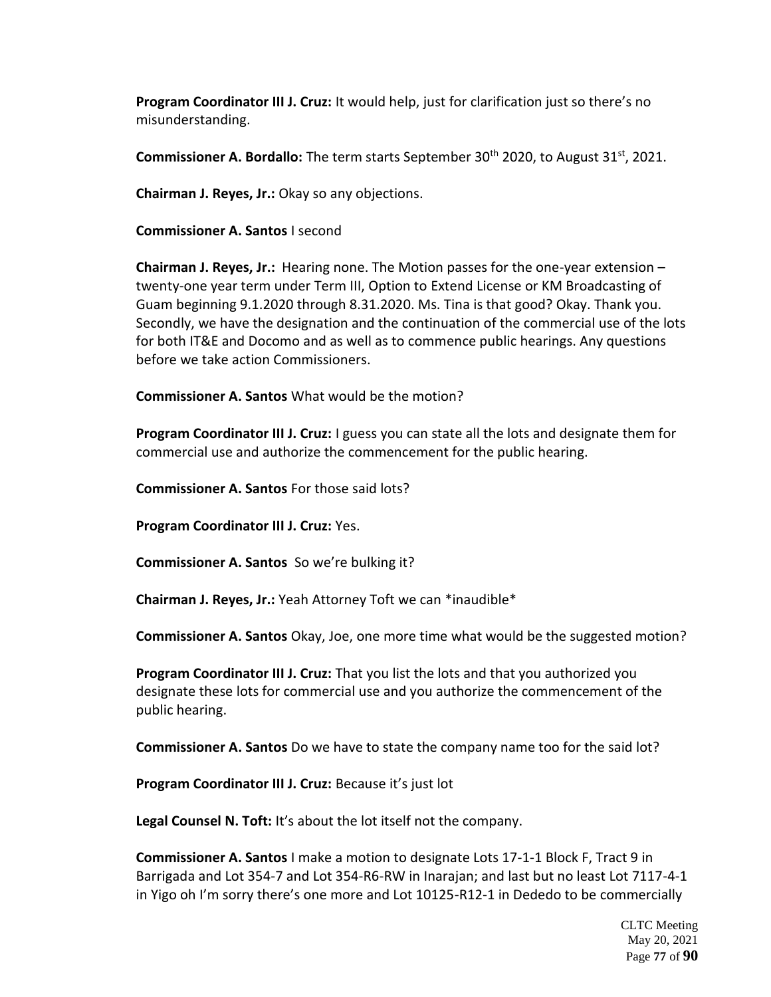**Program Coordinator III J. Cruz:** It would help, just for clarification just so there's no misunderstanding.

**Commissioner A. Bordallo:** The term starts September 30<sup>th</sup> 2020, to August 31<sup>st</sup>, 2021.

**Chairman J. Reyes, Jr.:** Okay so any objections.

**Commissioner A. Santos** I second

**Chairman J. Reyes, Jr.:** Hearing none. The Motion passes for the one-year extension – twenty-one year term under Term III, Option to Extend License or KM Broadcasting of Guam beginning 9.1.2020 through 8.31.2020. Ms. Tina is that good? Okay. Thank you. Secondly, we have the designation and the continuation of the commercial use of the lots for both IT&E and Docomo and as well as to commence public hearings. Any questions before we take action Commissioners.

**Commissioner A. Santos** What would be the motion?

**Program Coordinator III J. Cruz:** I guess you can state all the lots and designate them for commercial use and authorize the commencement for the public hearing.

**Commissioner A. Santos** For those said lots?

**Program Coordinator III J. Cruz:** Yes.

**Commissioner A. Santos** So we're bulking it?

**Chairman J. Reyes, Jr.:** Yeah Attorney Toft we can \*inaudible\*

**Commissioner A. Santos** Okay, Joe, one more time what would be the suggested motion?

**Program Coordinator III J. Cruz:** That you list the lots and that you authorized you designate these lots for commercial use and you authorize the commencement of the public hearing.

**Commissioner A. Santos** Do we have to state the company name too for the said lot?

**Program Coordinator III J. Cruz:** Because it's just lot

**Legal Counsel N. Toft:** It's about the lot itself not the company.

**Commissioner A. Santos** I make a motion to designate Lots 17-1-1 Block F, Tract 9 in Barrigada and Lot 354-7 and Lot 354-R6-RW in Inarajan; and last but no least Lot 7117-4-1 in Yigo oh I'm sorry there's one more and Lot 10125-R12-1 in Dededo to be commercially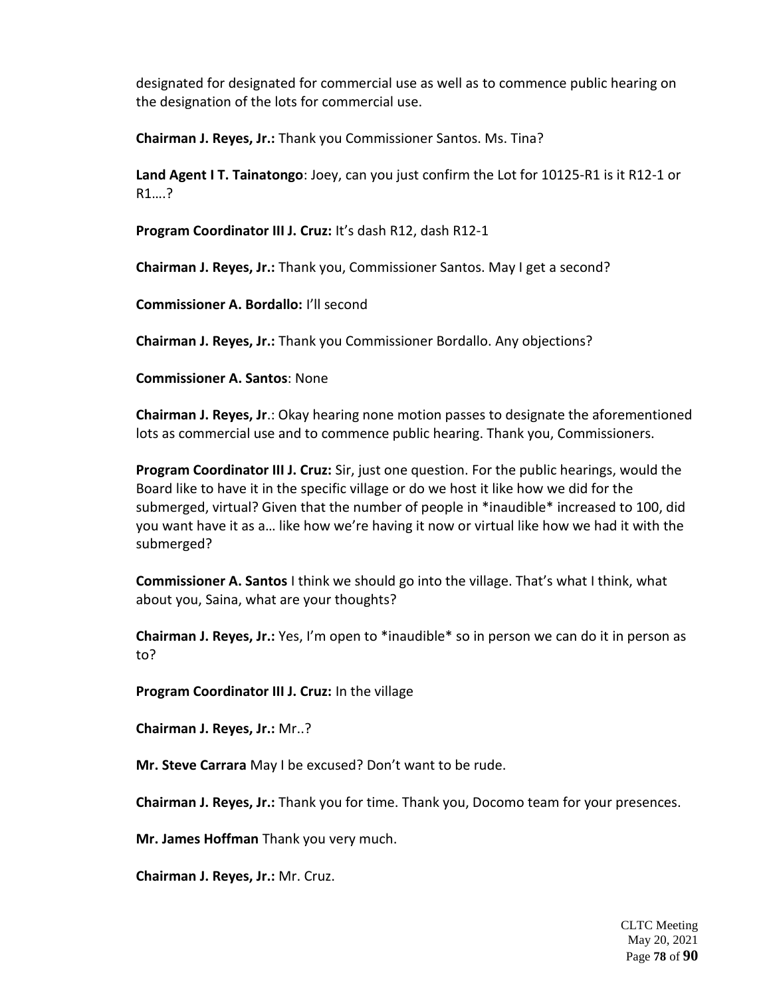designated for designated for commercial use as well as to commence public hearing on the designation of the lots for commercial use.

**Chairman J. Reyes, Jr.:** Thank you Commissioner Santos. Ms. Tina?

**Land Agent I T. Tainatongo**: Joey, can you just confirm the Lot for 10125-R1 is it R12-1 or R1….?

**Program Coordinator III J. Cruz:** It's dash R12, dash R12-1

**Chairman J. Reyes, Jr.:** Thank you, Commissioner Santos. May I get a second?

**Commissioner A. Bordallo:** I'll second

**Chairman J. Reyes, Jr.:** Thank you Commissioner Bordallo. Any objections?

**Commissioner A. Santos**: None

**Chairman J. Reyes, Jr**.: Okay hearing none motion passes to designate the aforementioned lots as commercial use and to commence public hearing. Thank you, Commissioners.

**Program Coordinator III J. Cruz:** Sir, just one question. For the public hearings, would the Board like to have it in the specific village or do we host it like how we did for the submerged, virtual? Given that the number of people in \*inaudible\* increased to 100, did you want have it as a… like how we're having it now or virtual like how we had it with the submerged?

**Commissioner A. Santos** I think we should go into the village. That's what I think, what about you, Saina, what are your thoughts?

**Chairman J. Reyes, Jr.:** Yes, I'm open to \*inaudible\* so in person we can do it in person as to?

**Program Coordinator III J. Cruz:** In the village

**Chairman J. Reyes, Jr.:** Mr..?

**Mr. Steve Carrara** May I be excused? Don't want to be rude.

**Chairman J. Reyes, Jr.:** Thank you for time. Thank you, Docomo team for your presences.

**Mr. James Hoffman** Thank you very much.

**Chairman J. Reyes, Jr.:** Mr. Cruz.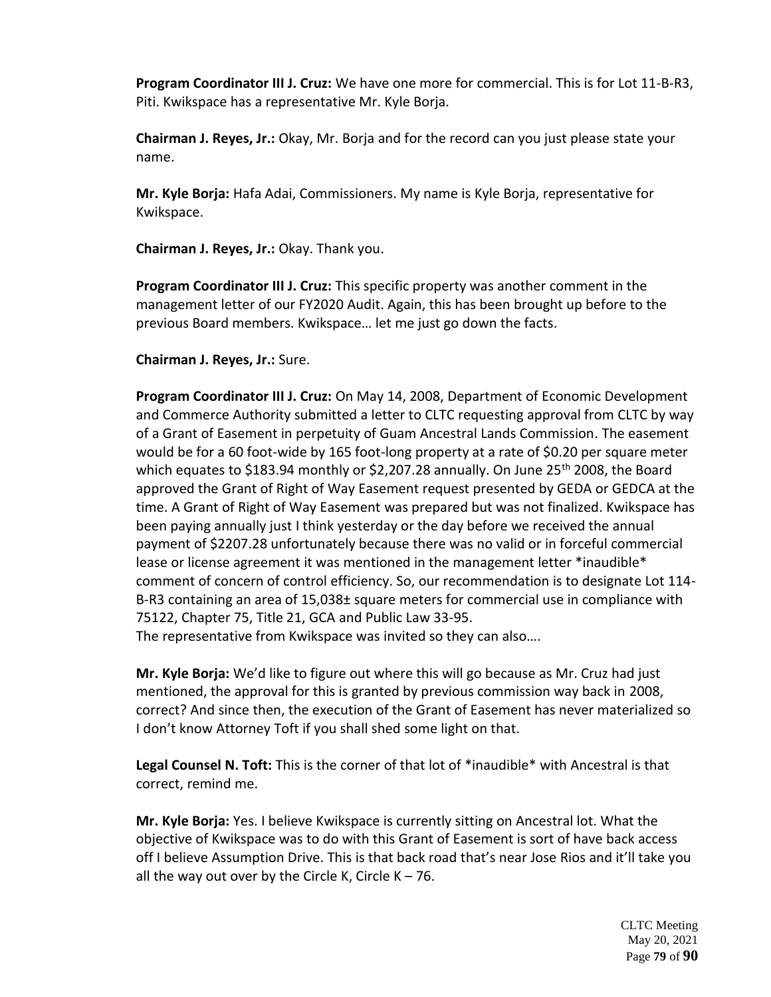**Program Coordinator III J. Cruz:** We have one more for commercial. This is for Lot 11-B-R3, Piti. Kwikspace has a representative Mr. Kyle Borja.

**Chairman J. Reyes, Jr.:** Okay, Mr. Borja and for the record can you just please state your name.

**Mr. Kyle Borja:** Hafa Adai, Commissioners. My name is Kyle Borja, representative for Kwikspace.

**Chairman J. Reyes, Jr.:** Okay. Thank you.

**Program Coordinator III J. Cruz:** This specific property was another comment in the management letter of our FY2020 Audit. Again, this has been brought up before to the previous Board members. Kwikspace… let me just go down the facts.

**Chairman J. Reyes, Jr.:** Sure.

**Program Coordinator III J. Cruz:** On May 14, 2008, Department of Economic Development and Commerce Authority submitted a letter to CLTC requesting approval from CLTC by way of a Grant of Easement in perpetuity of Guam Ancestral Lands Commission. The easement would be for a 60 foot-wide by 165 foot-long property at a rate of \$0.20 per square meter which equates to \$183.94 monthly or \$2,207.28 annually. On June  $25<sup>th</sup>$  2008, the Board approved the Grant of Right of Way Easement request presented by GEDA or GEDCA at the time. A Grant of Right of Way Easement was prepared but was not finalized. Kwikspace has been paying annually just I think yesterday or the day before we received the annual payment of \$2207.28 unfortunately because there was no valid or in forceful commercial lease or license agreement it was mentioned in the management letter \*inaudible\* comment of concern of control efficiency. So, our recommendation is to designate Lot 114- B-R3 containing an area of 15,038± square meters for commercial use in compliance with 75122, Chapter 75, Title 21, GCA and Public Law 33-95.

The representative from Kwikspace was invited so they can also….

**Mr. Kyle Borja:** We'd like to figure out where this will go because as Mr. Cruz had just mentioned, the approval for this is granted by previous commission way back in 2008, correct? And since then, the execution of the Grant of Easement has never materialized so I don't know Attorney Toft if you shall shed some light on that.

**Legal Counsel N. Toft:** This is the corner of that lot of \*inaudible\* with Ancestral is that correct, remind me.

**Mr. Kyle Borja:** Yes. I believe Kwikspace is currently sitting on Ancestral lot. What the objective of Kwikspace was to do with this Grant of Easement is sort of have back access off I believe Assumption Drive. This is that back road that's near Jose Rios and it'll take you all the way out over by the Circle K, Circle  $K - 76$ .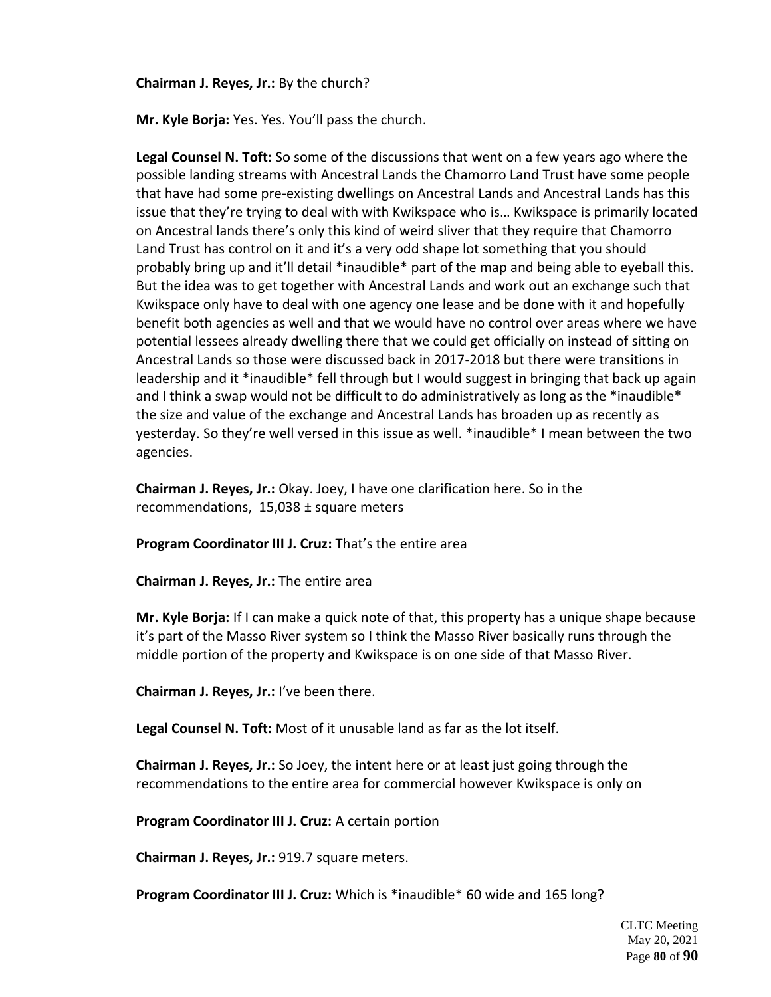**Chairman J. Reyes, Jr.:** By the church?

**Mr. Kyle Borja:** Yes. Yes. You'll pass the church.

**Legal Counsel N. Toft:** So some of the discussions that went on a few years ago where the possible landing streams with Ancestral Lands the Chamorro Land Trust have some people that have had some pre-existing dwellings on Ancestral Lands and Ancestral Lands has this issue that they're trying to deal with with Kwikspace who is… Kwikspace is primarily located on Ancestral lands there's only this kind of weird sliver that they require that Chamorro Land Trust has control on it and it's a very odd shape lot something that you should probably bring up and it'll detail \*inaudible\* part of the map and being able to eyeball this. But the idea was to get together with Ancestral Lands and work out an exchange such that Kwikspace only have to deal with one agency one lease and be done with it and hopefully benefit both agencies as well and that we would have no control over areas where we have potential lessees already dwelling there that we could get officially on instead of sitting on Ancestral Lands so those were discussed back in 2017-2018 but there were transitions in leadership and it \*inaudible\* fell through but I would suggest in bringing that back up again and I think a swap would not be difficult to do administratively as long as the \*inaudible\* the size and value of the exchange and Ancestral Lands has broaden up as recently as yesterday. So they're well versed in this issue as well. \*inaudible\* I mean between the two agencies.

**Chairman J. Reyes, Jr.:** Okay. Joey, I have one clarification here. So in the recommendations, 15,038 ± square meters

**Program Coordinator III J. Cruz:** That's the entire area

**Chairman J. Reyes, Jr.:** The entire area

**Mr. Kyle Borja:** If I can make a quick note of that, this property has a unique shape because it's part of the Masso River system so I think the Masso River basically runs through the middle portion of the property and Kwikspace is on one side of that Masso River.

**Chairman J. Reyes, Jr.:** I've been there.

**Legal Counsel N. Toft:** Most of it unusable land as far as the lot itself.

**Chairman J. Reyes, Jr.:** So Joey, the intent here or at least just going through the recommendations to the entire area for commercial however Kwikspace is only on

**Program Coordinator III J. Cruz:** A certain portion

**Chairman J. Reyes, Jr.:** 919.7 square meters.

**Program Coordinator III J. Cruz:** Which is \*inaudible\* 60 wide and 165 long?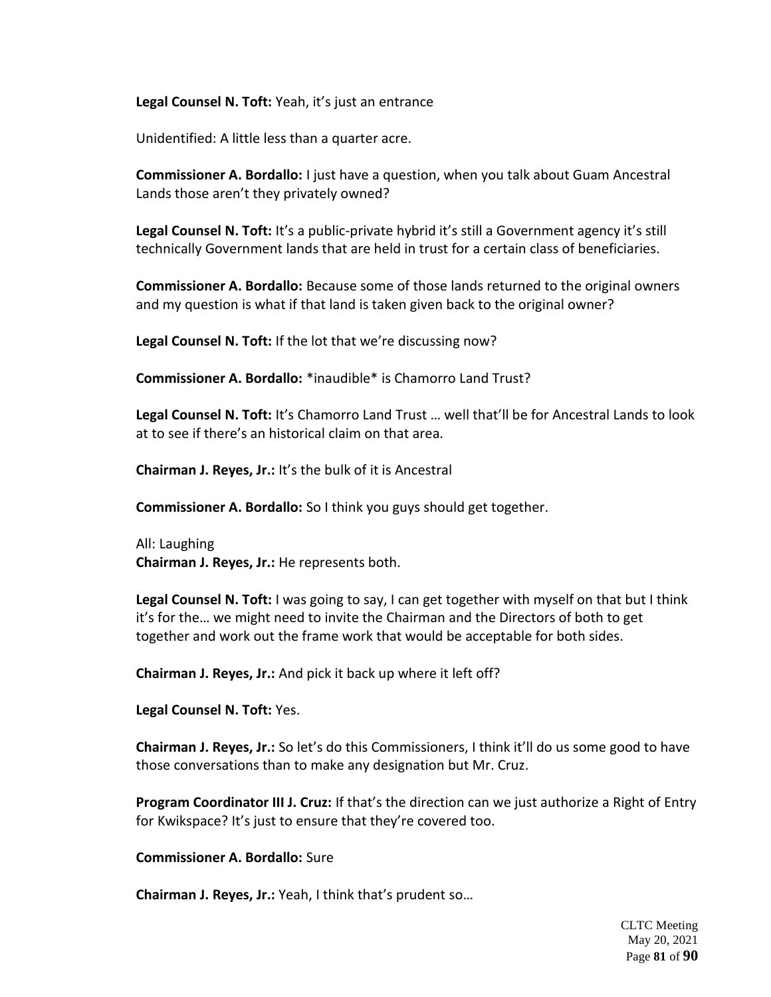**Legal Counsel N. Toft:** Yeah, it's just an entrance

Unidentified: A little less than a quarter acre.

**Commissioner A. Bordallo:** I just have a question, when you talk about Guam Ancestral Lands those aren't they privately owned?

**Legal Counsel N. Toft:** It's a public-private hybrid it's still a Government agency it's still technically Government lands that are held in trust for a certain class of beneficiaries.

**Commissioner A. Bordallo:** Because some of those lands returned to the original owners and my question is what if that land is taken given back to the original owner?

**Legal Counsel N. Toft:** If the lot that we're discussing now?

**Commissioner A. Bordallo:** \*inaudible\* is Chamorro Land Trust?

**Legal Counsel N. Toft:** It's Chamorro Land Trust … well that'll be for Ancestral Lands to look at to see if there's an historical claim on that area.

**Chairman J. Reyes, Jr.:** It's the bulk of it is Ancestral

**Commissioner A. Bordallo:** So I think you guys should get together.

All: Laughing **Chairman J. Reyes, Jr.:** He represents both.

**Legal Counsel N. Toft:** I was going to say, I can get together with myself on that but I think it's for the… we might need to invite the Chairman and the Directors of both to get together and work out the frame work that would be acceptable for both sides.

**Chairman J. Reyes, Jr.:** And pick it back up where it left off?

**Legal Counsel N. Toft:** Yes.

**Chairman J. Reyes, Jr.:** So let's do this Commissioners, I think it'll do us some good to have those conversations than to make any designation but Mr. Cruz.

**Program Coordinator III J. Cruz:** If that's the direction can we just authorize a Right of Entry for Kwikspace? It's just to ensure that they're covered too.

**Commissioner A. Bordallo:** Sure

**Chairman J. Reyes, Jr.:** Yeah, I think that's prudent so…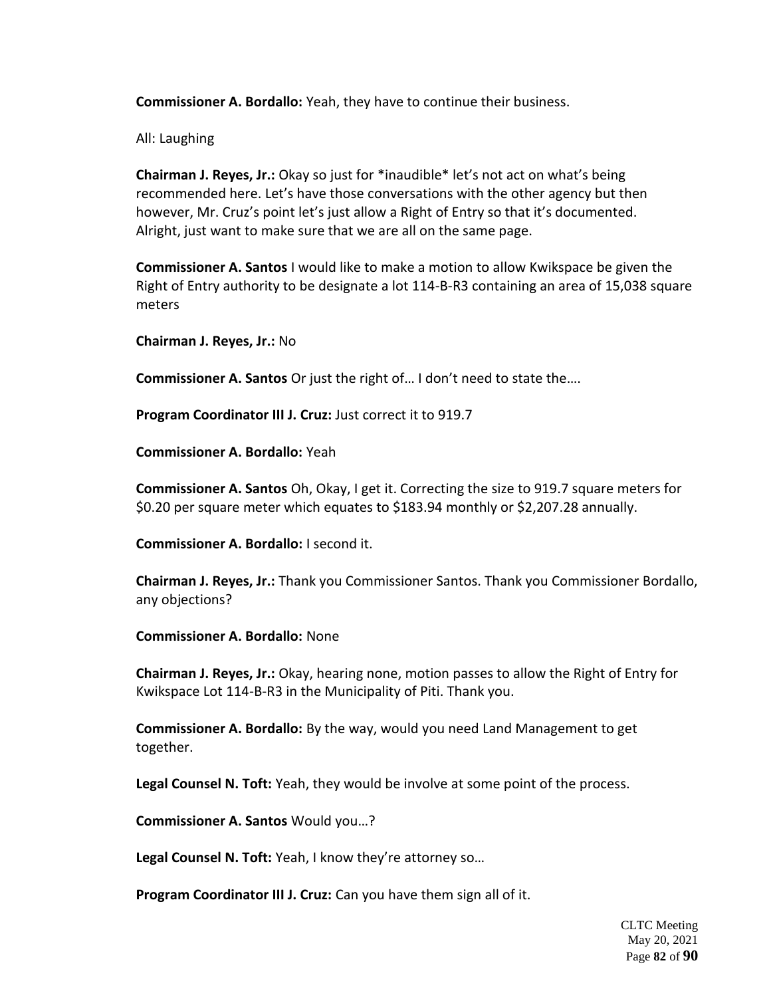**Commissioner A. Bordallo:** Yeah, they have to continue their business.

All: Laughing

**Chairman J. Reyes, Jr.:** Okay so just for \*inaudible\* let's not act on what's being recommended here. Let's have those conversations with the other agency but then however, Mr. Cruz's point let's just allow a Right of Entry so that it's documented. Alright, just want to make sure that we are all on the same page.

**Commissioner A. Santos** I would like to make a motion to allow Kwikspace be given the Right of Entry authority to be designate a lot 114-B-R3 containing an area of 15,038 square meters

**Chairman J. Reyes, Jr.:** No

**Commissioner A. Santos** Or just the right of… I don't need to state the….

**Program Coordinator III J. Cruz:** Just correct it to 919.7

**Commissioner A. Bordallo:** Yeah

**Commissioner A. Santos** Oh, Okay, I get it. Correcting the size to 919.7 square meters for \$0.20 per square meter which equates to \$183.94 monthly or \$2,207.28 annually.

**Commissioner A. Bordallo:** I second it.

**Chairman J. Reyes, Jr.:** Thank you Commissioner Santos. Thank you Commissioner Bordallo, any objections?

**Commissioner A. Bordallo:** None

**Chairman J. Reyes, Jr.:** Okay, hearing none, motion passes to allow the Right of Entry for Kwikspace Lot 114-B-R3 in the Municipality of Piti. Thank you.

**Commissioner A. Bordallo:** By the way, would you need Land Management to get together.

**Legal Counsel N. Toft:** Yeah, they would be involve at some point of the process.

**Commissioner A. Santos** Would you…?

**Legal Counsel N. Toft:** Yeah, I know they're attorney so…

**Program Coordinator III J. Cruz:** Can you have them sign all of it.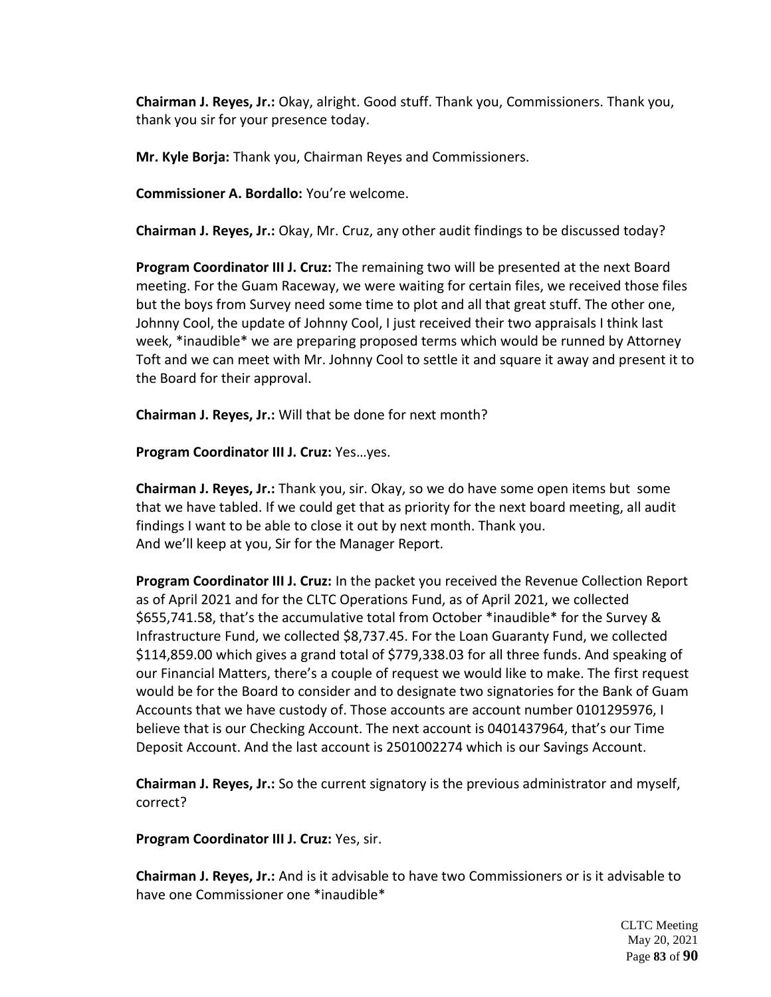**Chairman J. Reyes, Jr.:** Okay, alright. Good stuff. Thank you, Commissioners. Thank you, thank you sir for your presence today.

**Mr. Kyle Borja:** Thank you, Chairman Reyes and Commissioners.

**Commissioner A. Bordallo:** You're welcome.

**Chairman J. Reyes, Jr.:** Okay, Mr. Cruz, any other audit findings to be discussed today?

**Program Coordinator III J. Cruz:** The remaining two will be presented at the next Board meeting. For the Guam Raceway, we were waiting for certain files, we received those files but the boys from Survey need some time to plot and all that great stuff. The other one, Johnny Cool, the update of Johnny Cool, I just received their two appraisals I think last week, \*inaudible\* we are preparing proposed terms which would be runned by Attorney Toft and we can meet with Mr. Johnny Cool to settle it and square it away and present it to the Board for their approval.

**Chairman J. Reyes, Jr.:** Will that be done for next month?

**Program Coordinator III J. Cruz:** Yes…yes.

**Chairman J. Reyes, Jr.:** Thank you, sir. Okay, so we do have some open items but some that we have tabled. If we could get that as priority for the next board meeting, all audit findings I want to be able to close it out by next month. Thank you. And we'll keep at you, Sir for the Manager Report.

**Program Coordinator III J. Cruz:** In the packet you received the Revenue Collection Report as of April 2021 and for the CLTC Operations Fund, as of April 2021, we collected \$655,741.58, that's the accumulative total from October \*inaudible\* for the Survey & Infrastructure Fund, we collected \$8,737.45. For the Loan Guaranty Fund, we collected \$114,859.00 which gives a grand total of \$779,338.03 for all three funds. And speaking of our Financial Matters, there's a couple of request we would like to make. The first request would be for the Board to consider and to designate two signatories for the Bank of Guam Accounts that we have custody of. Those accounts are account number 0101295976, I believe that is our Checking Account. The next account is 0401437964, that's our Time Deposit Account. And the last account is 2501002274 which is our Savings Account.

**Chairman J. Reyes, Jr.:** So the current signatory is the previous administrator and myself, correct?

**Program Coordinator III J. Cruz:** Yes, sir.

**Chairman J. Reyes, Jr.:** And is it advisable to have two Commissioners or is it advisable to have one Commissioner one \*inaudible\*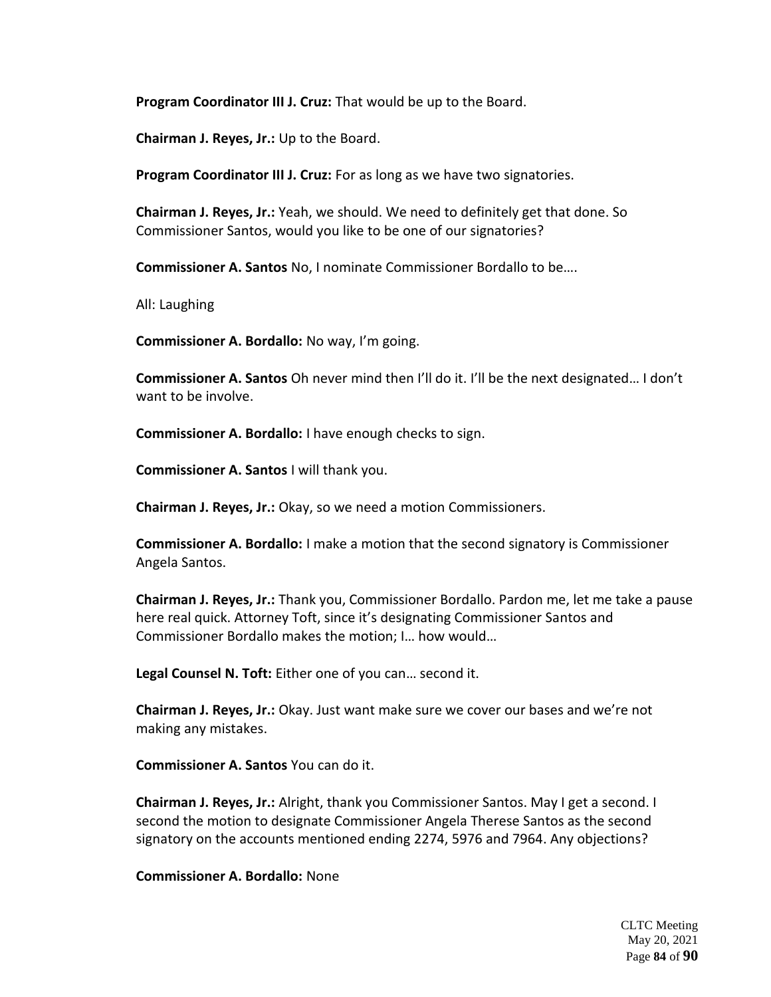**Program Coordinator III J. Cruz:** That would be up to the Board.

**Chairman J. Reyes, Jr.:** Up to the Board.

**Program Coordinator III J. Cruz:** For as long as we have two signatories.

**Chairman J. Reyes, Jr.:** Yeah, we should. We need to definitely get that done. So Commissioner Santos, would you like to be one of our signatories?

**Commissioner A. Santos** No, I nominate Commissioner Bordallo to be….

All: Laughing

**Commissioner A. Bordallo:** No way, I'm going.

**Commissioner A. Santos** Oh never mind then I'll do it. I'll be the next designated… I don't want to be involve.

**Commissioner A. Bordallo:** I have enough checks to sign.

**Commissioner A. Santos** I will thank you.

**Chairman J. Reyes, Jr.:** Okay, so we need a motion Commissioners.

**Commissioner A. Bordallo:** I make a motion that the second signatory is Commissioner Angela Santos.

**Chairman J. Reyes, Jr.:** Thank you, Commissioner Bordallo. Pardon me, let me take a pause here real quick. Attorney Toft, since it's designating Commissioner Santos and Commissioner Bordallo makes the motion; I… how would…

**Legal Counsel N. Toft:** Either one of you can… second it.

**Chairman J. Reyes, Jr.:** Okay. Just want make sure we cover our bases and we're not making any mistakes.

**Commissioner A. Santos** You can do it.

**Chairman J. Reyes, Jr.:** Alright, thank you Commissioner Santos. May I get a second. I second the motion to designate Commissioner Angela Therese Santos as the second signatory on the accounts mentioned ending 2274, 5976 and 7964. Any objections?

**Commissioner A. Bordallo:** None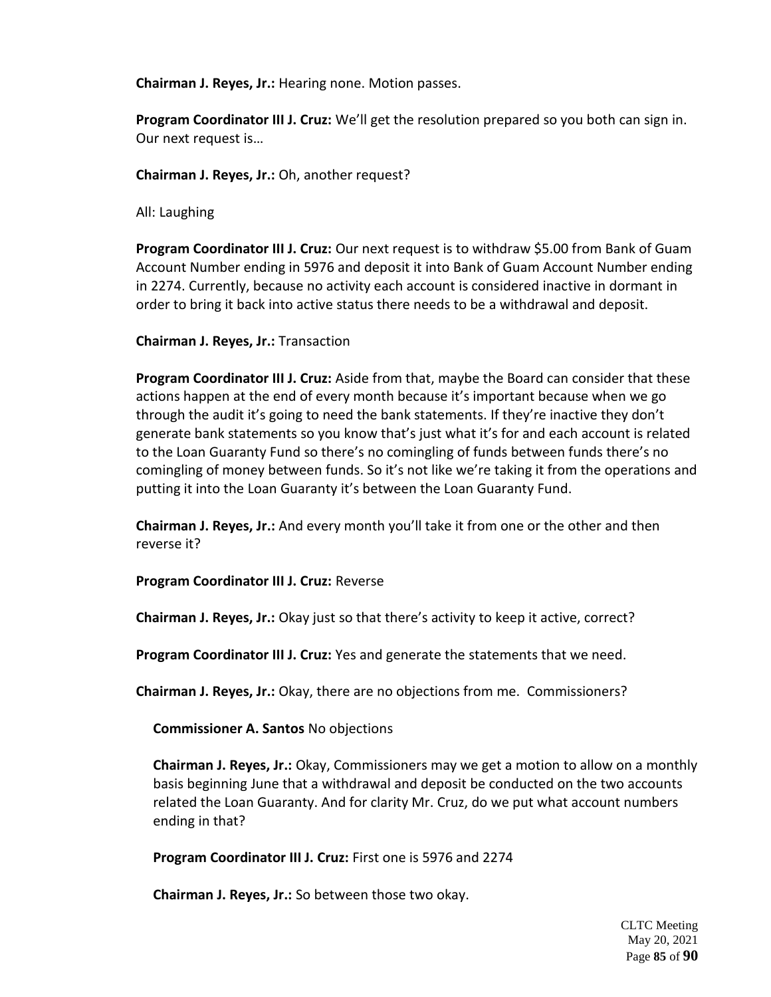**Chairman J. Reyes, Jr.:** Hearing none. Motion passes.

**Program Coordinator III J. Cruz:** We'll get the resolution prepared so you both can sign in. Our next request is…

**Chairman J. Reyes, Jr.:** Oh, another request?

All: Laughing

**Program Coordinator III J. Cruz:** Our next request is to withdraw \$5.00 from Bank of Guam Account Number ending in 5976 and deposit it into Bank of Guam Account Number ending in 2274. Currently, because no activity each account is considered inactive in dormant in order to bring it back into active status there needs to be a withdrawal and deposit.

**Chairman J. Reyes, Jr.:** Transaction

**Program Coordinator III J. Cruz:** Aside from that, maybe the Board can consider that these actions happen at the end of every month because it's important because when we go through the audit it's going to need the bank statements. If they're inactive they don't generate bank statements so you know that's just what it's for and each account is related to the Loan Guaranty Fund so there's no comingling of funds between funds there's no comingling of money between funds. So it's not like we're taking it from the operations and putting it into the Loan Guaranty it's between the Loan Guaranty Fund.

**Chairman J. Reyes, Jr.:** And every month you'll take it from one or the other and then reverse it?

**Program Coordinator III J. Cruz:** Reverse

**Chairman J. Reyes, Jr.:** Okay just so that there's activity to keep it active, correct?

**Program Coordinator III J. Cruz:** Yes and generate the statements that we need.

**Chairman J. Reyes, Jr.:** Okay, there are no objections from me. Commissioners?

**Commissioner A. Santos** No objections

**Chairman J. Reyes, Jr.:** Okay, Commissioners may we get a motion to allow on a monthly basis beginning June that a withdrawal and deposit be conducted on the two accounts related the Loan Guaranty. And for clarity Mr. Cruz, do we put what account numbers ending in that?

**Program Coordinator III J. Cruz:** First one is 5976 and 2274

**Chairman J. Reyes, Jr.:** So between those two okay.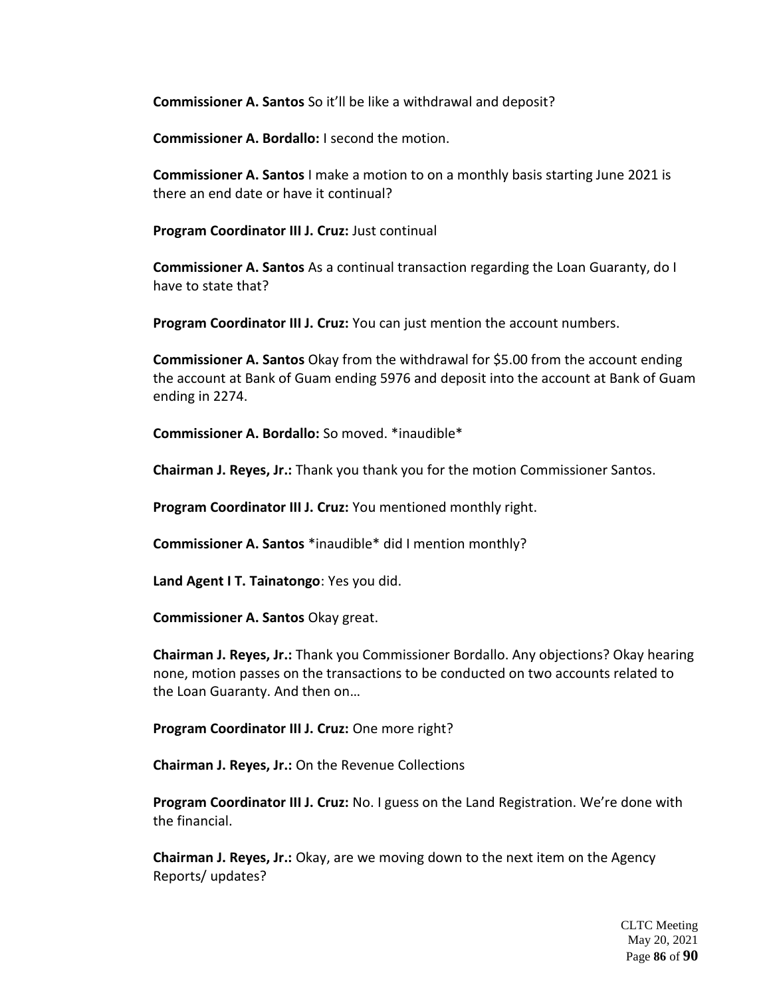**Commissioner A. Santos** So it'll be like a withdrawal and deposit?

**Commissioner A. Bordallo:** I second the motion.

**Commissioner A. Santos** I make a motion to on a monthly basis starting June 2021 is there an end date or have it continual?

**Program Coordinator III J. Cruz:** Just continual

**Commissioner A. Santos** As a continual transaction regarding the Loan Guaranty, do I have to state that?

**Program Coordinator III J. Cruz:** You can just mention the account numbers.

**Commissioner A. Santos** Okay from the withdrawal for \$5.00 from the account ending the account at Bank of Guam ending 5976 and deposit into the account at Bank of Guam ending in 2274.

**Commissioner A. Bordallo:** So moved. \*inaudible\*

**Chairman J. Reyes, Jr.:** Thank you thank you for the motion Commissioner Santos.

**Program Coordinator III J. Cruz:** You mentioned monthly right.

**Commissioner A. Santos** \*inaudible\* did I mention monthly?

**Land Agent I T. Tainatongo**: Yes you did.

**Commissioner A. Santos** Okay great.

**Chairman J. Reyes, Jr.:** Thank you Commissioner Bordallo. Any objections? Okay hearing none, motion passes on the transactions to be conducted on two accounts related to the Loan Guaranty. And then on…

**Program Coordinator III J. Cruz:** One more right?

**Chairman J. Reyes, Jr.:** On the Revenue Collections

**Program Coordinator III J. Cruz:** No. I guess on the Land Registration. We're done with the financial.

**Chairman J. Reyes, Jr.:** Okay, are we moving down to the next item on the Agency Reports/ updates?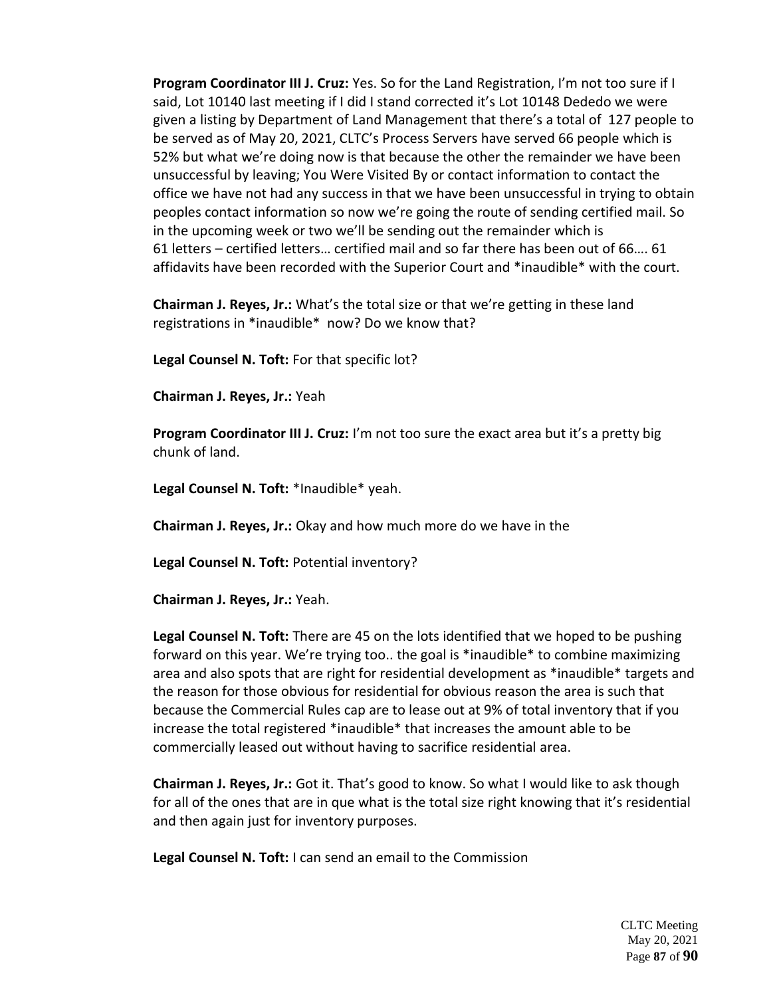**Program Coordinator III J. Cruz:** Yes. So for the Land Registration, I'm not too sure if I said, Lot 10140 last meeting if I did I stand corrected it's Lot 10148 Dededo we were given a listing by Department of Land Management that there's a total of 127 people to be served as of May 20, 2021, CLTC's Process Servers have served 66 people which is 52% but what we're doing now is that because the other the remainder we have been unsuccessful by leaving; You Were Visited By or contact information to contact the office we have not had any success in that we have been unsuccessful in trying to obtain peoples contact information so now we're going the route of sending certified mail. So in the upcoming week or two we'll be sending out the remainder which is 61 letters – certified letters… certified mail and so far there has been out of 66…. 61 affidavits have been recorded with the Superior Court and \*inaudible\* with the court.

**Chairman J. Reyes, Jr.:** What's the total size or that we're getting in these land registrations in \*inaudible\* now? Do we know that?

**Legal Counsel N. Toft:** For that specific lot?

**Chairman J. Reyes, Jr.:** Yeah

**Program Coordinator III J. Cruz:** I'm not too sure the exact area but it's a pretty big chunk of land.

**Legal Counsel N. Toft:** \*Inaudible\* yeah.

**Chairman J. Reyes, Jr.:** Okay and how much more do we have in the

**Legal Counsel N. Toft:** Potential inventory?

**Chairman J. Reyes, Jr.:** Yeah.

**Legal Counsel N. Toft:** There are 45 on the lots identified that we hoped to be pushing forward on this year. We're trying too.. the goal is \*inaudible\* to combine maximizing area and also spots that are right for residential development as \*inaudible\* targets and the reason for those obvious for residential for obvious reason the area is such that because the Commercial Rules cap are to lease out at 9% of total inventory that if you increase the total registered \*inaudible\* that increases the amount able to be commercially leased out without having to sacrifice residential area.

**Chairman J. Reyes, Jr.:** Got it. That's good to know. So what I would like to ask though for all of the ones that are in que what is the total size right knowing that it's residential and then again just for inventory purposes.

**Legal Counsel N. Toft:** I can send an email to the Commission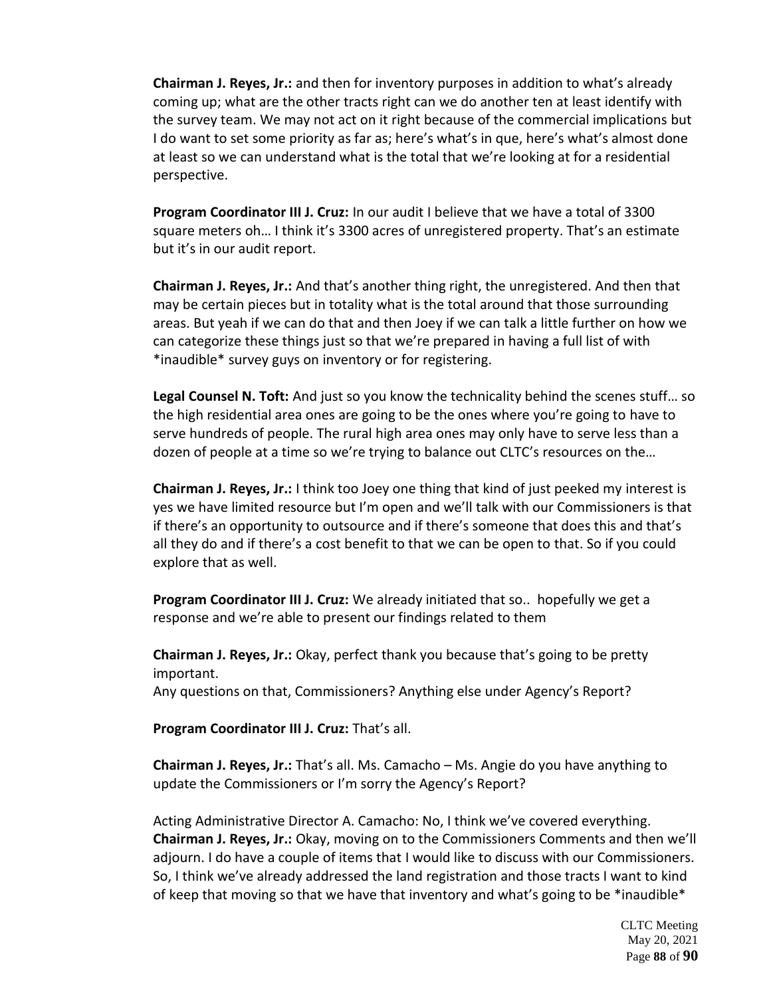**Chairman J. Reyes, Jr.:** and then for inventory purposes in addition to what's already coming up; what are the other tracts right can we do another ten at least identify with the survey team. We may not act on it right because of the commercial implications but I do want to set some priority as far as; here's what's in que, here's what's almost done at least so we can understand what is the total that we're looking at for a residential perspective.

**Program Coordinator III J. Cruz:** In our audit I believe that we have a total of 3300 square meters oh… I think it's 3300 acres of unregistered property. That's an estimate but it's in our audit report.

**Chairman J. Reyes, Jr.:** And that's another thing right, the unregistered. And then that may be certain pieces but in totality what is the total around that those surrounding areas. But yeah if we can do that and then Joey if we can talk a little further on how we can categorize these things just so that we're prepared in having a full list of with \*inaudible\* survey guys on inventory or for registering.

**Legal Counsel N. Toft:** And just so you know the technicality behind the scenes stuff… so the high residential area ones are going to be the ones where you're going to have to serve hundreds of people. The rural high area ones may only have to serve less than a dozen of people at a time so we're trying to balance out CLTC's resources on the…

**Chairman J. Reyes, Jr.:** I think too Joey one thing that kind of just peeked my interest is yes we have limited resource but I'm open and we'll talk with our Commissioners is that if there's an opportunity to outsource and if there's someone that does this and that's all they do and if there's a cost benefit to that we can be open to that. So if you could explore that as well.

**Program Coordinator III J. Cruz:** We already initiated that so.. hopefully we get a response and we're able to present our findings related to them

**Chairman J. Reyes, Jr.:** Okay, perfect thank you because that's going to be pretty important.

Any questions on that, Commissioners? Anything else under Agency's Report?

**Program Coordinator III J. Cruz:** That's all.

**Chairman J. Reyes, Jr.:** That's all. Ms. Camacho – Ms. Angie do you have anything to update the Commissioners or I'm sorry the Agency's Report?

Acting Administrative Director A. Camacho: No, I think we've covered everything. **Chairman J. Reyes, Jr.:** Okay, moving on to the Commissioners Comments and then we'll adjourn. I do have a couple of items that I would like to discuss with our Commissioners. So, I think we've already addressed the land registration and those tracts I want to kind of keep that moving so that we have that inventory and what's going to be \*inaudible\*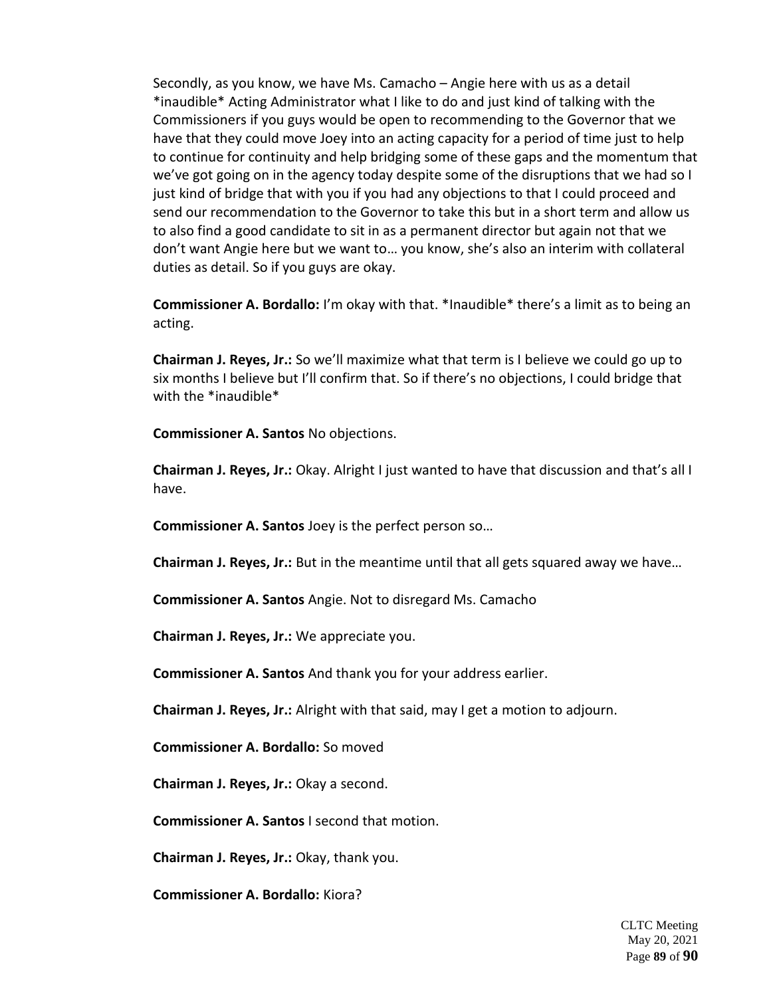Secondly, as you know, we have Ms. Camacho – Angie here with us as a detail \*inaudible\* Acting Administrator what I like to do and just kind of talking with the Commissioners if you guys would be open to recommending to the Governor that we have that they could move Joey into an acting capacity for a period of time just to help to continue for continuity and help bridging some of these gaps and the momentum that we've got going on in the agency today despite some of the disruptions that we had so I just kind of bridge that with you if you had any objections to that I could proceed and send our recommendation to the Governor to take this but in a short term and allow us to also find a good candidate to sit in as a permanent director but again not that we don't want Angie here but we want to… you know, she's also an interim with collateral duties as detail. So if you guys are okay.

**Commissioner A. Bordallo:** I'm okay with that. \*Inaudible\* there's a limit as to being an acting.

**Chairman J. Reyes, Jr.:** So we'll maximize what that term is I believe we could go up to six months I believe but I'll confirm that. So if there's no objections, I could bridge that with the \*inaudible\*

**Commissioner A. Santos** No objections.

**Chairman J. Reyes, Jr.:** Okay. Alright I just wanted to have that discussion and that's all I have.

**Commissioner A. Santos** Joey is the perfect person so…

**Chairman J. Reyes, Jr.:** But in the meantime until that all gets squared away we have…

**Commissioner A. Santos** Angie. Not to disregard Ms. Camacho

**Chairman J. Reyes, Jr.:** We appreciate you.

**Commissioner A. Santos** And thank you for your address earlier.

**Chairman J. Reyes, Jr.:** Alright with that said, may I get a motion to adjourn.

**Commissioner A. Bordallo:** So moved

**Chairman J. Reyes, Jr.:** Okay a second.

**Commissioner A. Santos** I second that motion.

**Chairman J. Reyes, Jr.:** Okay, thank you.

**Commissioner A. Bordallo:** Kiora?